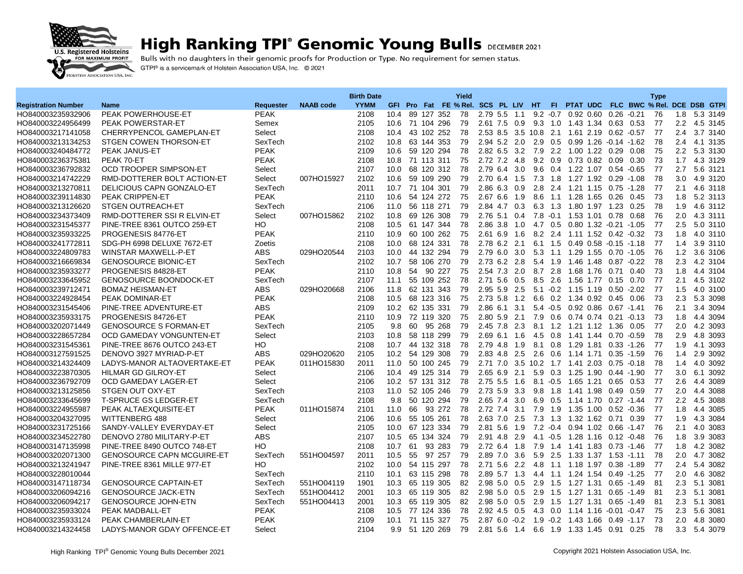

## **High Ranking TPI° Genomic Young Bulls DECEMBER 2021**

Bulls with no daughters in their genomic proofs for Production or Type. No requirement for semen status. GTPI® is a servicemark of Holstein Association USA, Inc. © 2021

| GFI Pro Fat FE % Rel. SCS PL LIV HT<br>FI PTAT UDC FLC BWC % Rel. DCE DSB GTPI<br><b>Registration Number</b><br><b>Requester</b><br><b>NAAB</b> code<br><b>YYMM</b><br><b>Name</b><br><b>PEAK POWERHOUSE-ET</b><br>89 127 352<br>78<br>HO840003235932906<br><b>PEAK</b><br>2108<br>10.4<br>2.79 5.5 1.1<br>$9.2 -0.7$ 0.92 0.60<br>0.26<br>$-0.21$<br>76<br>1.8<br>5.3 3149<br>9.3 1.0 1.43 1.34 0.63 0.53<br>77<br>2.2<br><b>PEAK POWERSTAR-ET</b><br>Semex<br>2105<br>10.6 71 104 296<br>79<br>2.61 7.5 0.9<br>4.5 3145<br>HO840003224956499<br>HO840003217141058<br>CHERRYPENCOL GAMEPLAN-ET<br>Select<br>2108<br>10.4<br>43 102 252<br>78<br>2.53 8.5 3.5 10.8 2.1 1.61 2.19<br>$0.62 - 0.57$<br>77<br>2.4<br>3.7 3140<br>2102<br>63 144 353<br>79<br>2.94 5.2 2.0<br>2.9<br>0.5 0.99 1.26 -0.14 -1.62<br>78<br>2.4<br>4.1 3135<br>HO840003213134253<br>STGEN COWEN THORSON-ET<br>SexTech<br>10.8<br>HO840003240484772<br><b>PEAK JANUS-ET</b><br><b>PEAK</b><br>2109<br>10.6<br>59 120 294<br>78<br>2.82 6.5 3.2<br>7.9<br>2.2<br>1.00 1.22 0.29<br>0.08<br>75<br>$2.2^{\circ}$<br>5.3 3130<br><b>PEAK</b><br>71 113 311<br>75<br>2.72 7.2 4.8<br>$9.2 \quad 0.9$<br>0.73 0.82<br>73<br>1.7<br>4.3 3129<br>HO840003236375381<br>PEAK 70-ET<br>2108<br>10.8<br>0.09<br>0.30<br>OCD TROOPER SIMPSON-ET<br>68 120 312<br>78<br>2.79 6.4 3.0<br>77<br>2.7<br>HO840003236792832<br>Select<br>2107<br>10.0<br>9.6 0.4 1.22 1.07 0.54 -0.65<br>5.6 3121<br>HO840003214742229<br>RMD-DOTTERER BOLT ACTION-ET<br>007HO15927<br>2102<br>10.6<br>59 109 290<br>79<br>7.3<br>1.8<br>1.27 1.92<br>78<br>3.0<br>4.9 3120<br>Select<br>2.70 6.4 1.5<br>$0.29 - 1.08$<br>79<br>2.1<br>HO840003213270811<br>DELICIOUS CAPN GONZALO-ET<br>SexTech<br>2011<br>10.7<br>71 104 301<br>2.86 6.3 0.9<br>2.8<br>2.4<br>1.21 1.15 0.75 -1.28<br>77<br>4.6 3118<br><b>PEAK</b><br>HO840003239114830<br><b>PEAK CRIPPEN-ET</b><br>2110<br>10.6<br>54 124 272<br>75<br>2.676.6<br>8.6<br>1.28 1.65<br>73<br>1.8<br>5.2 3113<br>1.9<br>1.1<br>0.26<br>0.45<br>4.6 3112<br>HO840003213126620<br><b>STGEN OUTREACH-ET</b><br>SexTech<br>2106<br>56 118 271<br>79<br>2.84 4.7 0.3<br>6.3 1.3 1.80 1.97 1.23 0.25<br>78<br>1.9<br>11.0<br>HO840003234373409<br>RMD-DOTTERER SSI R ELVIN-ET<br>007HO15862<br>2102<br>10.8<br>69 126 308<br>79<br>2.76 5.1 0.4<br>7.8<br>$-0.1$ 1.53 1.01 0.78<br>0.68<br>76<br>2.0<br>4.3 3111<br>Select<br>HO<br>2108<br>10.5<br>61 147 344<br>78<br>2.86 3.8 1.0<br>4.7 0.5 0.80 1.32 -0.21 -1.05<br>77<br>2.5<br>5.0 3110<br>HO840003231545377<br>PINE-TREE 8361 OUTCO 259-ET<br>75<br>73<br>4.0 3110<br>HO840003235933225<br>PROGENESIS 84776-ET<br><b>PEAK</b><br>2110<br>10.9<br>60 100 262<br>2.61 6.9 1.6<br>8.2 2.4<br>1.11 1.52 0.42 -0.32<br>1.8<br>68 124 331<br>78<br>2.78 6.2<br>2.1<br>77<br>3.9 3110<br>HO840003241772811<br>SDG-PH 6998 DELUXE 7672-ET<br>Zoetis<br>2108<br>10.0<br>6.1 1.5<br>$0.49$ $0.58$ $-0.15$ $-1.18$<br>1.4<br>029HO20544<br>79<br>76<br>HO840003224809783<br>WINSTAR MAXWELL-P-ET<br>ABS<br>2103<br>10.0<br>44 132 294<br>2.79 6.0 3.0<br>5.3 1.1 1.29 1.55 0.70 -1.05<br>1.2<br>3.6 3106<br>HO840003216669834<br><b>GENOSOURCE BIONIC-ET</b><br>SexTech<br>2102<br>10.7<br>58 106 270<br>79<br>2.73 6.2 2.8<br>5.4 1.9<br>78<br>2.3<br>4.2 3104<br>1.46 1.48<br>$0.87 - 0.22$<br>HO840003235933277<br>PROGENESIS 84828-ET<br><b>PEAK</b><br>2110<br>90 227<br>75<br>2.54 7.3 2.0<br>8.7 2.8<br>1.68 1.76<br>73<br>1.8<br>4.4 3104<br>10.8<br>54<br>0.71 0.40<br>HO840003233645952<br><b>GENOSOURCE BOONDOCK-ET</b><br>2107<br>55 109 252<br>78<br>2.71 5.6 0.5<br>8.5<br>2.6<br>1.56 1.77<br>77<br>2.1<br>4.5 3102<br>SexTech<br>11.1<br>$0.15$ 0.70<br>77<br>HO840003239712471<br><b>BOMAZ HEISMAN-ET</b><br>ABS<br>029HO20668<br>2106<br>62 131 343<br>79<br>2.95 5.9 2.5<br>$5.1 - 0.2$ 1.15 1.19<br>$0.50 - 2.02$<br>1.5<br>4.0 3100<br>11.8<br><b>PEAK</b><br>HO840003224928454<br><b>PEAK DOMINAR-ET</b><br>2108<br>10.5<br>68 123 316<br>75<br>2.73 5.8 1.2<br>6.6 0.2 1.34 0.92 0.45 0.06<br>73<br>2.3<br>5.3 3098<br>10.2 62 135 331<br>HO840003231545406<br>PINE-TREE ADVENTURE-ET<br><b>ABS</b><br>2109<br>79<br>2.86 6.1 3.1<br>5.4 -0.5 0.92 0.86<br>$0.67 - 1.41$<br>76<br>2.1<br>3.4 3094<br><b>PEAK</b><br>2.80 5.9 2.1<br>73<br>4.4 3094<br>HO840003235933175<br>PROGENESIS 84726-ET<br>2110<br>10.9<br>72 119 320<br>75<br>7.9<br>0.6<br>0.74 0.74 0.21 -0.13<br>1.8<br>60<br>2.3<br>8.1<br>77<br>2.0<br>4.2 3093<br>HO840003202071449<br><b>GENOSOURCE S FORMAN-ET</b><br>SexTech<br>2105<br>9.8<br>95<br>268<br>79<br>2.45 7.8<br>1.2<br>1.21 1.12 1.36<br>0.05<br>79<br>78<br>2.9<br>HO840003228657284<br>OCD GAMEDAY VONGUNTEN-ET<br>Select<br>2103<br>10.8<br>58 118 299<br>2.69 6.1 1.6<br>4.5<br>$0.8\,$<br>1.41 1.44 0.70 -0.59<br>4.8 3093<br>HO840003231545361<br>PINE-TREE 8676 OUTCO 243-ET<br>HO<br>2108<br>10.7<br>44 132 318<br>78<br>2.79 4.8 1.9<br>8.1<br>0.8<br>1.29 1.81<br>$0.33 - 1.26$<br>77<br>1.9<br>4.1 3093<br>HO840003127591525<br>DENOVO 3927 MYRIAD-P-ET<br><b>ABS</b><br>029HO20620<br>2105<br>10.2 54 129 308<br>79<br>2.83 4.8 2.5<br>2.6<br>$0.6\,$<br>76<br>2.9 3092<br>1.14 1.71 0.35 -1.59<br>1.4<br>LADYS-MANOR ALTAOVERTAKE-ET<br><b>PEAK</b><br>011HO15830<br>2011<br>50 100 245<br>79<br>$2.71$ $7.0$<br>3.5 10.2 1.7 1.41 2.03<br>78<br>4.0 3092<br>HO840003214324409<br>11.0<br>$0.75 - 0.18$<br>1.4<br>77<br>6.1 3092<br>HO840003223870305<br>HILMAR GD GILROY-ET<br>49 125 314<br>79<br>2.65 6.9 2.1<br>5.9<br>0.3 1.25 1.90 0.44 -1.90<br>3.0<br>Select<br>2106<br>10.4<br>HO840003236792709<br>4.4 3089<br>OCD GAMEDAY LAGER-ET<br>Select<br>2106<br>10.2 57 131 312<br>78<br>2.75 5.5 1.6<br>$8.1 - 0.5$<br>1.65 1.21 0.65 0.53<br>77<br>2.6<br>HO840003213125856<br>STGEN OUT OXY-ET<br>2103<br>11.0<br>52 105 246<br>79<br>2.73 5.9 3.3<br>9.8<br>1.8<br>1.41 1.98<br>0.49<br>0.59<br>77<br>2.0<br>4.4 3088<br>SexTech<br>2.2<br><b>T-SPRUCE GS LEDGER-ET</b><br>SexTech<br>2108<br>9.8<br>50 120 294<br>79<br>2.65 7.4<br>3.0<br>6.9<br>0.5<br>77<br>4.5 3088<br>HO840003233645699<br>1.14 1.70<br>$0.27 - 1.44$<br>3.1<br>77<br>4.4 3085<br>HO840003224955987<br>PEAK ALTAEXQUISITE-ET<br>PEAK<br>011HO15874<br>2101<br>11.0<br>66<br>93 272<br>78<br>2.72 7.4<br>1.9<br>1.35 1.00<br>$0.52 - 0.36$<br>1.8<br>7.9<br>HO840003204327095<br><b>WITTENBERG 488</b><br>55 105 261<br>78<br>2.63 7.0 2.5<br>77<br>4.3 3084<br>Select<br>2106<br>10.6<br>7.3 1.3 1.32 1.62 0.71 0.39<br>1.9<br>HO840003231725166<br>SANDY-VALLEY EVERYDAY-ET<br>2105<br>10.0<br>67 123 334<br>79<br>2.81<br>5.6<br>1.9<br>$7.2 - 0.4$<br>0.94 1.02<br>76<br>2.1<br>4.0 3083<br>Select<br>$0.66 - 1.47$<br>DENOVO 2780 MILITARY-P-ET<br><b>ABS</b><br>2107<br>65 134 324<br>79<br>2.91 4.8 2.9<br>4.1 -0.5 1.28 1.16 0.12 -0.48<br>3.9 3083<br>HO840003234522780<br>10.5<br>76<br>1.8<br>HO<br>2108<br>10.7<br>93 283<br>79<br>4.2 3082<br>HO840003147135998<br>PINE-TREE 8490 OUTCO 748-ET<br>61<br>2.72 6.4<br>1.8<br>7.9<br>1.4<br>1.41 1.83<br>$0.73 - 1.46$<br>-77<br>1.8<br>2.89 7.0 3.6<br>2.5<br>HO840003202071300<br><b>GENOSOURCE CAPN MCGUIRE-ET</b><br>SexTech<br>551HO04597<br>2011<br>10.5<br>55<br>97 257<br>79<br>5.9<br>1.33 1.37 1.53 1.11<br>78<br>2.0<br>4.7 3082<br>HO<br>78<br>77<br>5.4 3082<br>HO840003213241947<br>PINE-TREE 8361 MILLE 977-ET<br>2102<br>10.0<br>54 115 297<br>2.71 5.6 2.2<br>4.8<br>1.1 1.18 1.97 0.38 1.89<br>2.4<br>SexTech<br>10.1<br>63 115 298<br>78<br>2.89 5.7 1.3<br>1.24 1.54<br>$0.49 - 1.25$<br>77<br>2.0<br>4.6 3082<br>HO840003228010044<br>2110<br>4.4 1.1<br><b>GENOSOURCE CAPTAIN-ET</b><br>SexTech<br>551HO04119<br>1901<br>10.3<br>65 119 305<br>82<br>2.98 5.0 0.5<br>2.9<br>1.5<br>1.27 1.31 0.65 -1.49<br>81<br>2.3<br>5.1 3081<br>HO840003147118734<br>2.3<br>5.1 3081<br>HO840003206094216<br><b>GENOSOURCE JACK-ETN</b><br>SexTech<br>551HO04412<br>2001<br>10.3<br>65 119 305<br>82<br>2.98 5.0 0.5<br>2.9<br>1.5<br>1.27 1.31<br>$0.65 - 1.49$<br>81<br><b>GENOSOURCE JOHN-ETN</b><br>SexTech<br>82<br>2.9<br>2.3<br>5.1 3081<br>HO840003206094217<br>551HO04413<br>2001<br>10.3<br>65 119 305<br>2.98 5.0 0.5<br>1.5<br>1.27 1.31<br>$0.65 - 1.49$<br>81<br>HO840003235933024<br>PEAK MADBALL-ET<br><b>PEAK</b><br>2108<br>10.5<br>77 124 336<br>78<br>2.92 4.5 0.5<br>0.0<br>75<br>2.3<br>5.6 3081<br>4.3<br>1.14 1.16 -0.01 -0.47<br>2109<br>75<br>2.87 6.0 -0.2 1.9 -0.2 1.43 1.66 0.49 -1.17<br>73<br>2.0<br>HO840003235933124<br>PEAK CHAMBERLAIN-ET<br><b>PEAK</b><br>10.1 71 115 327<br>4.8 3080<br>5.4 3079<br>51 120 269<br>2.81 5.6 1.4 6.6 1.9 1.33 1.45 0.91 0.25 |                   |                             |        | <b>Birth Date</b> |     |  | Yield |  |  |  |  | <b>Type</b> |     |  |
|---------------------------------------------------------------------------------------------------------------------------------------------------------------------------------------------------------------------------------------------------------------------------------------------------------------------------------------------------------------------------------------------------------------------------------------------------------------------------------------------------------------------------------------------------------------------------------------------------------------------------------------------------------------------------------------------------------------------------------------------------------------------------------------------------------------------------------------------------------------------------------------------------------------------------------------------------------------------------------------------------------------------------------------------------------------------------------------------------------------------------------------------------------------------------------------------------------------------------------------------------------------------------------------------------------------------------------------------------------------------------------------------------------------------------------------------------------------------------------------------------------------------------------------------------------------------------------------------------------------------------------------------------------------------------------------------------------------------------------------------------------------------------------------------------------------------------------------------------------------------------------------------------------------------------------------------------------------------------------------------------------------------------------------------------------------------------------------------------------------------------------------------------------------------------------------------------------------------------------------------------------------------------------------------------------------------------------------------------------------------------------------------------------------------------------------------------------------------------------------------------------------------------------------------------------------------------------------------------------------------------------------------------------------------------------------------------------------------------------------------------------------------------------------------------------------------------------------------------------------------------------------------------------------------------------------------------------------------------------------------------------------------------------------------------------------------------------------------------------------------------------------------------------------------------------------------------------------------------------------------------------------------------------------------------------------------------------------------------------------------------------------------------------------------------------------------------------------------------------------------------------------------------------------------------------------------------------------------------------------------------------------------------------------------------------------------------------------------------------------------------------------------------------------------------------------------------------------------------------------------------------------------------------------------------------------------------------------------------------------------------------------------------------------------------------------------------------------------------------------------------------------------------------------------------------------------------------------------------------------------------------------------------------------------------------------------------------------------------------------------------------------------------------------------------------------------------------------------------------------------------------------------------------------------------------------------------------------------------------------------------------------------------------------------------------------------------------------------------------------------------------------------------------------------------------------------------------------------------------------------------------------------------------------------------------------------------------------------------------------------------------------------------------------------------------------------------------------------------------------------------------------------------------------------------------------------------------------------------------------------------------------------------------------------------------------------------------------------------------------------------------------------------------------------------------------------------------------------------------------------------------------------------------------------------------------------------------------------------------------------------------------------------------------------------------------------------------------------------------------------------------------------------------------------------------------------------------------------------------------------------------------------------------------------------------------------------------------------------------------------------------------------------------------------------------------------------------------------------------------------------------------------------------------------------------------------------------------------------------------------------------------------------------------------------------------------------------------------------------------------------------------------------------------------------------------------------------------------------------------------------------------------------------------------------------------------------------------------------------------------------------------------------------------------------------------------------------------------------------------------------------------------------------------------------------------------------------------------------------------------------------------------------------------------------------------------------------------------------------------------------------------------------------------------------------------------------------------------------------------------------------------------------------------------------------------------------------------------------------------------------------------------------------------------------------------------------------------------------------------------------------------------------------------------------------------------------------------------------------------------------------------------------------------------------------------------------------------------------------------------------------------------------------------------------------------------------------------------------------------------------------------------------------------------------------------------------------------------------------------------------------------------------------------------------------------------------------------------------------------------------------------------------------------------------------------------------------------------------------------------------------------------------------------------------------------------------------------------------------------------------------------------------------------------------------------------------------------------------------------------------------------------------------------------------------------------------------------------------------------------------------------------------------------------------------------------------------------------------------------------------------------------------|-------------------|-----------------------------|--------|-------------------|-----|--|-------|--|--|--|--|-------------|-----|--|
|                                                                                                                                                                                                                                                                                                                                                                                                                                                                                                                                                                                                                                                                                                                                                                                                                                                                                                                                                                                                                                                                                                                                                                                                                                                                                                                                                                                                                                                                                                                                                                                                                                                                                                                                                                                                                                                                                                                                                                                                                                                                                                                                                                                                                                                                                                                                                                                                                                                                                                                                                                                                                                                                                                                                                                                                                                                                                                                                                                                                                                                                                                                                                                                                                                                                                                                                                                                                                                                                                                                                                                                                                                                                                                                                                                                                                                                                                                                                                                                                                                                                                                                                                                                                                                                                                                                                                                                                                                                                                                                                                                                                                                                                                                                                                                                                                                                                                                                                                                                                                                                                                                                                                                                                                                                                                                                                                                                                                                                                                                                                                                                                                                                                                                                                                                                                                                                                                                                                                                                                                                                                                                                                                                                                                                                                                                                                                                                                                                                                                                                                                                                                                                                                                                                                                                                                                                                                                                                                                                                                                                                                                                                                                                                                                                                                                                                                                                                                                                                                                                                                                                                                                                                                                                                                                                                                                                                                                                                                                                                                                                                                                                                                                                                                                                                                                                                                                                                                                                                                                                                                                                                                                                                   |                   |                             |        |                   |     |  |       |  |  |  |  |             |     |  |
|                                                                                                                                                                                                                                                                                                                                                                                                                                                                                                                                                                                                                                                                                                                                                                                                                                                                                                                                                                                                                                                                                                                                                                                                                                                                                                                                                                                                                                                                                                                                                                                                                                                                                                                                                                                                                                                                                                                                                                                                                                                                                                                                                                                                                                                                                                                                                                                                                                                                                                                                                                                                                                                                                                                                                                                                                                                                                                                                                                                                                                                                                                                                                                                                                                                                                                                                                                                                                                                                                                                                                                                                                                                                                                                                                                                                                                                                                                                                                                                                                                                                                                                                                                                                                                                                                                                                                                                                                                                                                                                                                                                                                                                                                                                                                                                                                                                                                                                                                                                                                                                                                                                                                                                                                                                                                                                                                                                                                                                                                                                                                                                                                                                                                                                                                                                                                                                                                                                                                                                                                                                                                                                                                                                                                                                                                                                                                                                                                                                                                                                                                                                                                                                                                                                                                                                                                                                                                                                                                                                                                                                                                                                                                                                                                                                                                                                                                                                                                                                                                                                                                                                                                                                                                                                                                                                                                                                                                                                                                                                                                                                                                                                                                                                                                                                                                                                                                                                                                                                                                                                                                                                                                                                   |                   |                             |        |                   |     |  |       |  |  |  |  |             |     |  |
|                                                                                                                                                                                                                                                                                                                                                                                                                                                                                                                                                                                                                                                                                                                                                                                                                                                                                                                                                                                                                                                                                                                                                                                                                                                                                                                                                                                                                                                                                                                                                                                                                                                                                                                                                                                                                                                                                                                                                                                                                                                                                                                                                                                                                                                                                                                                                                                                                                                                                                                                                                                                                                                                                                                                                                                                                                                                                                                                                                                                                                                                                                                                                                                                                                                                                                                                                                                                                                                                                                                                                                                                                                                                                                                                                                                                                                                                                                                                                                                                                                                                                                                                                                                                                                                                                                                                                                                                                                                                                                                                                                                                                                                                                                                                                                                                                                                                                                                                                                                                                                                                                                                                                                                                                                                                                                                                                                                                                                                                                                                                                                                                                                                                                                                                                                                                                                                                                                                                                                                                                                                                                                                                                                                                                                                                                                                                                                                                                                                                                                                                                                                                                                                                                                                                                                                                                                                                                                                                                                                                                                                                                                                                                                                                                                                                                                                                                                                                                                                                                                                                                                                                                                                                                                                                                                                                                                                                                                                                                                                                                                                                                                                                                                                                                                                                                                                                                                                                                                                                                                                                                                                                                                                   |                   |                             |        |                   |     |  |       |  |  |  |  |             |     |  |
|                                                                                                                                                                                                                                                                                                                                                                                                                                                                                                                                                                                                                                                                                                                                                                                                                                                                                                                                                                                                                                                                                                                                                                                                                                                                                                                                                                                                                                                                                                                                                                                                                                                                                                                                                                                                                                                                                                                                                                                                                                                                                                                                                                                                                                                                                                                                                                                                                                                                                                                                                                                                                                                                                                                                                                                                                                                                                                                                                                                                                                                                                                                                                                                                                                                                                                                                                                                                                                                                                                                                                                                                                                                                                                                                                                                                                                                                                                                                                                                                                                                                                                                                                                                                                                                                                                                                                                                                                                                                                                                                                                                                                                                                                                                                                                                                                                                                                                                                                                                                                                                                                                                                                                                                                                                                                                                                                                                                                                                                                                                                                                                                                                                                                                                                                                                                                                                                                                                                                                                                                                                                                                                                                                                                                                                                                                                                                                                                                                                                                                                                                                                                                                                                                                                                                                                                                                                                                                                                                                                                                                                                                                                                                                                                                                                                                                                                                                                                                                                                                                                                                                                                                                                                                                                                                                                                                                                                                                                                                                                                                                                                                                                                                                                                                                                                                                                                                                                                                                                                                                                                                                                                                                                   |                   |                             |        |                   |     |  |       |  |  |  |  |             |     |  |
|                                                                                                                                                                                                                                                                                                                                                                                                                                                                                                                                                                                                                                                                                                                                                                                                                                                                                                                                                                                                                                                                                                                                                                                                                                                                                                                                                                                                                                                                                                                                                                                                                                                                                                                                                                                                                                                                                                                                                                                                                                                                                                                                                                                                                                                                                                                                                                                                                                                                                                                                                                                                                                                                                                                                                                                                                                                                                                                                                                                                                                                                                                                                                                                                                                                                                                                                                                                                                                                                                                                                                                                                                                                                                                                                                                                                                                                                                                                                                                                                                                                                                                                                                                                                                                                                                                                                                                                                                                                                                                                                                                                                                                                                                                                                                                                                                                                                                                                                                                                                                                                                                                                                                                                                                                                                                                                                                                                                                                                                                                                                                                                                                                                                                                                                                                                                                                                                                                                                                                                                                                                                                                                                                                                                                                                                                                                                                                                                                                                                                                                                                                                                                                                                                                                                                                                                                                                                                                                                                                                                                                                                                                                                                                                                                                                                                                                                                                                                                                                                                                                                                                                                                                                                                                                                                                                                                                                                                                                                                                                                                                                                                                                                                                                                                                                                                                                                                                                                                                                                                                                                                                                                                                                   |                   |                             |        |                   |     |  |       |  |  |  |  |             |     |  |
|                                                                                                                                                                                                                                                                                                                                                                                                                                                                                                                                                                                                                                                                                                                                                                                                                                                                                                                                                                                                                                                                                                                                                                                                                                                                                                                                                                                                                                                                                                                                                                                                                                                                                                                                                                                                                                                                                                                                                                                                                                                                                                                                                                                                                                                                                                                                                                                                                                                                                                                                                                                                                                                                                                                                                                                                                                                                                                                                                                                                                                                                                                                                                                                                                                                                                                                                                                                                                                                                                                                                                                                                                                                                                                                                                                                                                                                                                                                                                                                                                                                                                                                                                                                                                                                                                                                                                                                                                                                                                                                                                                                                                                                                                                                                                                                                                                                                                                                                                                                                                                                                                                                                                                                                                                                                                                                                                                                                                                                                                                                                                                                                                                                                                                                                                                                                                                                                                                                                                                                                                                                                                                                                                                                                                                                                                                                                                                                                                                                                                                                                                                                                                                                                                                                                                                                                                                                                                                                                                                                                                                                                                                                                                                                                                                                                                                                                                                                                                                                                                                                                                                                                                                                                                                                                                                                                                                                                                                                                                                                                                                                                                                                                                                                                                                                                                                                                                                                                                                                                                                                                                                                                                                                   |                   |                             |        |                   |     |  |       |  |  |  |  |             |     |  |
|                                                                                                                                                                                                                                                                                                                                                                                                                                                                                                                                                                                                                                                                                                                                                                                                                                                                                                                                                                                                                                                                                                                                                                                                                                                                                                                                                                                                                                                                                                                                                                                                                                                                                                                                                                                                                                                                                                                                                                                                                                                                                                                                                                                                                                                                                                                                                                                                                                                                                                                                                                                                                                                                                                                                                                                                                                                                                                                                                                                                                                                                                                                                                                                                                                                                                                                                                                                                                                                                                                                                                                                                                                                                                                                                                                                                                                                                                                                                                                                                                                                                                                                                                                                                                                                                                                                                                                                                                                                                                                                                                                                                                                                                                                                                                                                                                                                                                                                                                                                                                                                                                                                                                                                                                                                                                                                                                                                                                                                                                                                                                                                                                                                                                                                                                                                                                                                                                                                                                                                                                                                                                                                                                                                                                                                                                                                                                                                                                                                                                                                                                                                                                                                                                                                                                                                                                                                                                                                                                                                                                                                                                                                                                                                                                                                                                                                                                                                                                                                                                                                                                                                                                                                                                                                                                                                                                                                                                                                                                                                                                                                                                                                                                                                                                                                                                                                                                                                                                                                                                                                                                                                                                                                   |                   |                             |        |                   |     |  |       |  |  |  |  |             |     |  |
|                                                                                                                                                                                                                                                                                                                                                                                                                                                                                                                                                                                                                                                                                                                                                                                                                                                                                                                                                                                                                                                                                                                                                                                                                                                                                                                                                                                                                                                                                                                                                                                                                                                                                                                                                                                                                                                                                                                                                                                                                                                                                                                                                                                                                                                                                                                                                                                                                                                                                                                                                                                                                                                                                                                                                                                                                                                                                                                                                                                                                                                                                                                                                                                                                                                                                                                                                                                                                                                                                                                                                                                                                                                                                                                                                                                                                                                                                                                                                                                                                                                                                                                                                                                                                                                                                                                                                                                                                                                                                                                                                                                                                                                                                                                                                                                                                                                                                                                                                                                                                                                                                                                                                                                                                                                                                                                                                                                                                                                                                                                                                                                                                                                                                                                                                                                                                                                                                                                                                                                                                                                                                                                                                                                                                                                                                                                                                                                                                                                                                                                                                                                                                                                                                                                                                                                                                                                                                                                                                                                                                                                                                                                                                                                                                                                                                                                                                                                                                                                                                                                                                                                                                                                                                                                                                                                                                                                                                                                                                                                                                                                                                                                                                                                                                                                                                                                                                                                                                                                                                                                                                                                                                                                   |                   |                             |        |                   |     |  |       |  |  |  |  |             |     |  |
|                                                                                                                                                                                                                                                                                                                                                                                                                                                                                                                                                                                                                                                                                                                                                                                                                                                                                                                                                                                                                                                                                                                                                                                                                                                                                                                                                                                                                                                                                                                                                                                                                                                                                                                                                                                                                                                                                                                                                                                                                                                                                                                                                                                                                                                                                                                                                                                                                                                                                                                                                                                                                                                                                                                                                                                                                                                                                                                                                                                                                                                                                                                                                                                                                                                                                                                                                                                                                                                                                                                                                                                                                                                                                                                                                                                                                                                                                                                                                                                                                                                                                                                                                                                                                                                                                                                                                                                                                                                                                                                                                                                                                                                                                                                                                                                                                                                                                                                                                                                                                                                                                                                                                                                                                                                                                                                                                                                                                                                                                                                                                                                                                                                                                                                                                                                                                                                                                                                                                                                                                                                                                                                                                                                                                                                                                                                                                                                                                                                                                                                                                                                                                                                                                                                                                                                                                                                                                                                                                                                                                                                                                                                                                                                                                                                                                                                                                                                                                                                                                                                                                                                                                                                                                                                                                                                                                                                                                                                                                                                                                                                                                                                                                                                                                                                                                                                                                                                                                                                                                                                                                                                                                                                   |                   |                             |        |                   |     |  |       |  |  |  |  |             |     |  |
|                                                                                                                                                                                                                                                                                                                                                                                                                                                                                                                                                                                                                                                                                                                                                                                                                                                                                                                                                                                                                                                                                                                                                                                                                                                                                                                                                                                                                                                                                                                                                                                                                                                                                                                                                                                                                                                                                                                                                                                                                                                                                                                                                                                                                                                                                                                                                                                                                                                                                                                                                                                                                                                                                                                                                                                                                                                                                                                                                                                                                                                                                                                                                                                                                                                                                                                                                                                                                                                                                                                                                                                                                                                                                                                                                                                                                                                                                                                                                                                                                                                                                                                                                                                                                                                                                                                                                                                                                                                                                                                                                                                                                                                                                                                                                                                                                                                                                                                                                                                                                                                                                                                                                                                                                                                                                                                                                                                                                                                                                                                                                                                                                                                                                                                                                                                                                                                                                                                                                                                                                                                                                                                                                                                                                                                                                                                                                                                                                                                                                                                                                                                                                                                                                                                                                                                                                                                                                                                                                                                                                                                                                                                                                                                                                                                                                                                                                                                                                                                                                                                                                                                                                                                                                                                                                                                                                                                                                                                                                                                                                                                                                                                                                                                                                                                                                                                                                                                                                                                                                                                                                                                                                                                   |                   |                             |        |                   |     |  |       |  |  |  |  |             |     |  |
|                                                                                                                                                                                                                                                                                                                                                                                                                                                                                                                                                                                                                                                                                                                                                                                                                                                                                                                                                                                                                                                                                                                                                                                                                                                                                                                                                                                                                                                                                                                                                                                                                                                                                                                                                                                                                                                                                                                                                                                                                                                                                                                                                                                                                                                                                                                                                                                                                                                                                                                                                                                                                                                                                                                                                                                                                                                                                                                                                                                                                                                                                                                                                                                                                                                                                                                                                                                                                                                                                                                                                                                                                                                                                                                                                                                                                                                                                                                                                                                                                                                                                                                                                                                                                                                                                                                                                                                                                                                                                                                                                                                                                                                                                                                                                                                                                                                                                                                                                                                                                                                                                                                                                                                                                                                                                                                                                                                                                                                                                                                                                                                                                                                                                                                                                                                                                                                                                                                                                                                                                                                                                                                                                                                                                                                                                                                                                                                                                                                                                                                                                                                                                                                                                                                                                                                                                                                                                                                                                                                                                                                                                                                                                                                                                                                                                                                                                                                                                                                                                                                                                                                                                                                                                                                                                                                                                                                                                                                                                                                                                                                                                                                                                                                                                                                                                                                                                                                                                                                                                                                                                                                                                                                   |                   |                             |        |                   |     |  |       |  |  |  |  |             |     |  |
|                                                                                                                                                                                                                                                                                                                                                                                                                                                                                                                                                                                                                                                                                                                                                                                                                                                                                                                                                                                                                                                                                                                                                                                                                                                                                                                                                                                                                                                                                                                                                                                                                                                                                                                                                                                                                                                                                                                                                                                                                                                                                                                                                                                                                                                                                                                                                                                                                                                                                                                                                                                                                                                                                                                                                                                                                                                                                                                                                                                                                                                                                                                                                                                                                                                                                                                                                                                                                                                                                                                                                                                                                                                                                                                                                                                                                                                                                                                                                                                                                                                                                                                                                                                                                                                                                                                                                                                                                                                                                                                                                                                                                                                                                                                                                                                                                                                                                                                                                                                                                                                                                                                                                                                                                                                                                                                                                                                                                                                                                                                                                                                                                                                                                                                                                                                                                                                                                                                                                                                                                                                                                                                                                                                                                                                                                                                                                                                                                                                                                                                                                                                                                                                                                                                                                                                                                                                                                                                                                                                                                                                                                                                                                                                                                                                                                                                                                                                                                                                                                                                                                                                                                                                                                                                                                                                                                                                                                                                                                                                                                                                                                                                                                                                                                                                                                                                                                                                                                                                                                                                                                                                                                                                   |                   |                             |        |                   |     |  |       |  |  |  |  |             |     |  |
|                                                                                                                                                                                                                                                                                                                                                                                                                                                                                                                                                                                                                                                                                                                                                                                                                                                                                                                                                                                                                                                                                                                                                                                                                                                                                                                                                                                                                                                                                                                                                                                                                                                                                                                                                                                                                                                                                                                                                                                                                                                                                                                                                                                                                                                                                                                                                                                                                                                                                                                                                                                                                                                                                                                                                                                                                                                                                                                                                                                                                                                                                                                                                                                                                                                                                                                                                                                                                                                                                                                                                                                                                                                                                                                                                                                                                                                                                                                                                                                                                                                                                                                                                                                                                                                                                                                                                                                                                                                                                                                                                                                                                                                                                                                                                                                                                                                                                                                                                                                                                                                                                                                                                                                                                                                                                                                                                                                                                                                                                                                                                                                                                                                                                                                                                                                                                                                                                                                                                                                                                                                                                                                                                                                                                                                                                                                                                                                                                                                                                                                                                                                                                                                                                                                                                                                                                                                                                                                                                                                                                                                                                                                                                                                                                                                                                                                                                                                                                                                                                                                                                                                                                                                                                                                                                                                                                                                                                                                                                                                                                                                                                                                                                                                                                                                                                                                                                                                                                                                                                                                                                                                                                                                   |                   |                             |        |                   |     |  |       |  |  |  |  |             |     |  |
|                                                                                                                                                                                                                                                                                                                                                                                                                                                                                                                                                                                                                                                                                                                                                                                                                                                                                                                                                                                                                                                                                                                                                                                                                                                                                                                                                                                                                                                                                                                                                                                                                                                                                                                                                                                                                                                                                                                                                                                                                                                                                                                                                                                                                                                                                                                                                                                                                                                                                                                                                                                                                                                                                                                                                                                                                                                                                                                                                                                                                                                                                                                                                                                                                                                                                                                                                                                                                                                                                                                                                                                                                                                                                                                                                                                                                                                                                                                                                                                                                                                                                                                                                                                                                                                                                                                                                                                                                                                                                                                                                                                                                                                                                                                                                                                                                                                                                                                                                                                                                                                                                                                                                                                                                                                                                                                                                                                                                                                                                                                                                                                                                                                                                                                                                                                                                                                                                                                                                                                                                                                                                                                                                                                                                                                                                                                                                                                                                                                                                                                                                                                                                                                                                                                                                                                                                                                                                                                                                                                                                                                                                                                                                                                                                                                                                                                                                                                                                                                                                                                                                                                                                                                                                                                                                                                                                                                                                                                                                                                                                                                                                                                                                                                                                                                                                                                                                                                                                                                                                                                                                                                                                                                   |                   |                             |        |                   |     |  |       |  |  |  |  |             |     |  |
|                                                                                                                                                                                                                                                                                                                                                                                                                                                                                                                                                                                                                                                                                                                                                                                                                                                                                                                                                                                                                                                                                                                                                                                                                                                                                                                                                                                                                                                                                                                                                                                                                                                                                                                                                                                                                                                                                                                                                                                                                                                                                                                                                                                                                                                                                                                                                                                                                                                                                                                                                                                                                                                                                                                                                                                                                                                                                                                                                                                                                                                                                                                                                                                                                                                                                                                                                                                                                                                                                                                                                                                                                                                                                                                                                                                                                                                                                                                                                                                                                                                                                                                                                                                                                                                                                                                                                                                                                                                                                                                                                                                                                                                                                                                                                                                                                                                                                                                                                                                                                                                                                                                                                                                                                                                                                                                                                                                                                                                                                                                                                                                                                                                                                                                                                                                                                                                                                                                                                                                                                                                                                                                                                                                                                                                                                                                                                                                                                                                                                                                                                                                                                                                                                                                                                                                                                                                                                                                                                                                                                                                                                                                                                                                                                                                                                                                                                                                                                                                                                                                                                                                                                                                                                                                                                                                                                                                                                                                                                                                                                                                                                                                                                                                                                                                                                                                                                                                                                                                                                                                                                                                                                                                   |                   |                             |        |                   |     |  |       |  |  |  |  |             |     |  |
|                                                                                                                                                                                                                                                                                                                                                                                                                                                                                                                                                                                                                                                                                                                                                                                                                                                                                                                                                                                                                                                                                                                                                                                                                                                                                                                                                                                                                                                                                                                                                                                                                                                                                                                                                                                                                                                                                                                                                                                                                                                                                                                                                                                                                                                                                                                                                                                                                                                                                                                                                                                                                                                                                                                                                                                                                                                                                                                                                                                                                                                                                                                                                                                                                                                                                                                                                                                                                                                                                                                                                                                                                                                                                                                                                                                                                                                                                                                                                                                                                                                                                                                                                                                                                                                                                                                                                                                                                                                                                                                                                                                                                                                                                                                                                                                                                                                                                                                                                                                                                                                                                                                                                                                                                                                                                                                                                                                                                                                                                                                                                                                                                                                                                                                                                                                                                                                                                                                                                                                                                                                                                                                                                                                                                                                                                                                                                                                                                                                                                                                                                                                                                                                                                                                                                                                                                                                                                                                                                                                                                                                                                                                                                                                                                                                                                                                                                                                                                                                                                                                                                                                                                                                                                                                                                                                                                                                                                                                                                                                                                                                                                                                                                                                                                                                                                                                                                                                                                                                                                                                                                                                                                                                   |                   |                             |        |                   |     |  |       |  |  |  |  |             |     |  |
|                                                                                                                                                                                                                                                                                                                                                                                                                                                                                                                                                                                                                                                                                                                                                                                                                                                                                                                                                                                                                                                                                                                                                                                                                                                                                                                                                                                                                                                                                                                                                                                                                                                                                                                                                                                                                                                                                                                                                                                                                                                                                                                                                                                                                                                                                                                                                                                                                                                                                                                                                                                                                                                                                                                                                                                                                                                                                                                                                                                                                                                                                                                                                                                                                                                                                                                                                                                                                                                                                                                                                                                                                                                                                                                                                                                                                                                                                                                                                                                                                                                                                                                                                                                                                                                                                                                                                                                                                                                                                                                                                                                                                                                                                                                                                                                                                                                                                                                                                                                                                                                                                                                                                                                                                                                                                                                                                                                                                                                                                                                                                                                                                                                                                                                                                                                                                                                                                                                                                                                                                                                                                                                                                                                                                                                                                                                                                                                                                                                                                                                                                                                                                                                                                                                                                                                                                                                                                                                                                                                                                                                                                                                                                                                                                                                                                                                                                                                                                                                                                                                                                                                                                                                                                                                                                                                                                                                                                                                                                                                                                                                                                                                                                                                                                                                                                                                                                                                                                                                                                                                                                                                                                                                   |                   |                             |        |                   |     |  |       |  |  |  |  |             |     |  |
|                                                                                                                                                                                                                                                                                                                                                                                                                                                                                                                                                                                                                                                                                                                                                                                                                                                                                                                                                                                                                                                                                                                                                                                                                                                                                                                                                                                                                                                                                                                                                                                                                                                                                                                                                                                                                                                                                                                                                                                                                                                                                                                                                                                                                                                                                                                                                                                                                                                                                                                                                                                                                                                                                                                                                                                                                                                                                                                                                                                                                                                                                                                                                                                                                                                                                                                                                                                                                                                                                                                                                                                                                                                                                                                                                                                                                                                                                                                                                                                                                                                                                                                                                                                                                                                                                                                                                                                                                                                                                                                                                                                                                                                                                                                                                                                                                                                                                                                                                                                                                                                                                                                                                                                                                                                                                                                                                                                                                                                                                                                                                                                                                                                                                                                                                                                                                                                                                                                                                                                                                                                                                                                                                                                                                                                                                                                                                                                                                                                                                                                                                                                                                                                                                                                                                                                                                                                                                                                                                                                                                                                                                                                                                                                                                                                                                                                                                                                                                                                                                                                                                                                                                                                                                                                                                                                                                                                                                                                                                                                                                                                                                                                                                                                                                                                                                                                                                                                                                                                                                                                                                                                                                                                   |                   |                             |        |                   |     |  |       |  |  |  |  |             |     |  |
|                                                                                                                                                                                                                                                                                                                                                                                                                                                                                                                                                                                                                                                                                                                                                                                                                                                                                                                                                                                                                                                                                                                                                                                                                                                                                                                                                                                                                                                                                                                                                                                                                                                                                                                                                                                                                                                                                                                                                                                                                                                                                                                                                                                                                                                                                                                                                                                                                                                                                                                                                                                                                                                                                                                                                                                                                                                                                                                                                                                                                                                                                                                                                                                                                                                                                                                                                                                                                                                                                                                                                                                                                                                                                                                                                                                                                                                                                                                                                                                                                                                                                                                                                                                                                                                                                                                                                                                                                                                                                                                                                                                                                                                                                                                                                                                                                                                                                                                                                                                                                                                                                                                                                                                                                                                                                                                                                                                                                                                                                                                                                                                                                                                                                                                                                                                                                                                                                                                                                                                                                                                                                                                                                                                                                                                                                                                                                                                                                                                                                                                                                                                                                                                                                                                                                                                                                                                                                                                                                                                                                                                                                                                                                                                                                                                                                                                                                                                                                                                                                                                                                                                                                                                                                                                                                                                                                                                                                                                                                                                                                                                                                                                                                                                                                                                                                                                                                                                                                                                                                                                                                                                                                                                   |                   |                             |        |                   |     |  |       |  |  |  |  |             |     |  |
|                                                                                                                                                                                                                                                                                                                                                                                                                                                                                                                                                                                                                                                                                                                                                                                                                                                                                                                                                                                                                                                                                                                                                                                                                                                                                                                                                                                                                                                                                                                                                                                                                                                                                                                                                                                                                                                                                                                                                                                                                                                                                                                                                                                                                                                                                                                                                                                                                                                                                                                                                                                                                                                                                                                                                                                                                                                                                                                                                                                                                                                                                                                                                                                                                                                                                                                                                                                                                                                                                                                                                                                                                                                                                                                                                                                                                                                                                                                                                                                                                                                                                                                                                                                                                                                                                                                                                                                                                                                                                                                                                                                                                                                                                                                                                                                                                                                                                                                                                                                                                                                                                                                                                                                                                                                                                                                                                                                                                                                                                                                                                                                                                                                                                                                                                                                                                                                                                                                                                                                                                                                                                                                                                                                                                                                                                                                                                                                                                                                                                                                                                                                                                                                                                                                                                                                                                                                                                                                                                                                                                                                                                                                                                                                                                                                                                                                                                                                                                                                                                                                                                                                                                                                                                                                                                                                                                                                                                                                                                                                                                                                                                                                                                                                                                                                                                                                                                                                                                                                                                                                                                                                                                                                   |                   |                             |        |                   |     |  |       |  |  |  |  |             |     |  |
|                                                                                                                                                                                                                                                                                                                                                                                                                                                                                                                                                                                                                                                                                                                                                                                                                                                                                                                                                                                                                                                                                                                                                                                                                                                                                                                                                                                                                                                                                                                                                                                                                                                                                                                                                                                                                                                                                                                                                                                                                                                                                                                                                                                                                                                                                                                                                                                                                                                                                                                                                                                                                                                                                                                                                                                                                                                                                                                                                                                                                                                                                                                                                                                                                                                                                                                                                                                                                                                                                                                                                                                                                                                                                                                                                                                                                                                                                                                                                                                                                                                                                                                                                                                                                                                                                                                                                                                                                                                                                                                                                                                                                                                                                                                                                                                                                                                                                                                                                                                                                                                                                                                                                                                                                                                                                                                                                                                                                                                                                                                                                                                                                                                                                                                                                                                                                                                                                                                                                                                                                                                                                                                                                                                                                                                                                                                                                                                                                                                                                                                                                                                                                                                                                                                                                                                                                                                                                                                                                                                                                                                                                                                                                                                                                                                                                                                                                                                                                                                                                                                                                                                                                                                                                                                                                                                                                                                                                                                                                                                                                                                                                                                                                                                                                                                                                                                                                                                                                                                                                                                                                                                                                                                   |                   |                             |        |                   |     |  |       |  |  |  |  |             |     |  |
|                                                                                                                                                                                                                                                                                                                                                                                                                                                                                                                                                                                                                                                                                                                                                                                                                                                                                                                                                                                                                                                                                                                                                                                                                                                                                                                                                                                                                                                                                                                                                                                                                                                                                                                                                                                                                                                                                                                                                                                                                                                                                                                                                                                                                                                                                                                                                                                                                                                                                                                                                                                                                                                                                                                                                                                                                                                                                                                                                                                                                                                                                                                                                                                                                                                                                                                                                                                                                                                                                                                                                                                                                                                                                                                                                                                                                                                                                                                                                                                                                                                                                                                                                                                                                                                                                                                                                                                                                                                                                                                                                                                                                                                                                                                                                                                                                                                                                                                                                                                                                                                                                                                                                                                                                                                                                                                                                                                                                                                                                                                                                                                                                                                                                                                                                                                                                                                                                                                                                                                                                                                                                                                                                                                                                                                                                                                                                                                                                                                                                                                                                                                                                                                                                                                                                                                                                                                                                                                                                                                                                                                                                                                                                                                                                                                                                                                                                                                                                                                                                                                                                                                                                                                                                                                                                                                                                                                                                                                                                                                                                                                                                                                                                                                                                                                                                                                                                                                                                                                                                                                                                                                                                                                   |                   |                             |        |                   |     |  |       |  |  |  |  |             |     |  |
|                                                                                                                                                                                                                                                                                                                                                                                                                                                                                                                                                                                                                                                                                                                                                                                                                                                                                                                                                                                                                                                                                                                                                                                                                                                                                                                                                                                                                                                                                                                                                                                                                                                                                                                                                                                                                                                                                                                                                                                                                                                                                                                                                                                                                                                                                                                                                                                                                                                                                                                                                                                                                                                                                                                                                                                                                                                                                                                                                                                                                                                                                                                                                                                                                                                                                                                                                                                                                                                                                                                                                                                                                                                                                                                                                                                                                                                                                                                                                                                                                                                                                                                                                                                                                                                                                                                                                                                                                                                                                                                                                                                                                                                                                                                                                                                                                                                                                                                                                                                                                                                                                                                                                                                                                                                                                                                                                                                                                                                                                                                                                                                                                                                                                                                                                                                                                                                                                                                                                                                                                                                                                                                                                                                                                                                                                                                                                                                                                                                                                                                                                                                                                                                                                                                                                                                                                                                                                                                                                                                                                                                                                                                                                                                                                                                                                                                                                                                                                                                                                                                                                                                                                                                                                                                                                                                                                                                                                                                                                                                                                                                                                                                                                                                                                                                                                                                                                                                                                                                                                                                                                                                                                                                   |                   |                             |        |                   |     |  |       |  |  |  |  |             |     |  |
|                                                                                                                                                                                                                                                                                                                                                                                                                                                                                                                                                                                                                                                                                                                                                                                                                                                                                                                                                                                                                                                                                                                                                                                                                                                                                                                                                                                                                                                                                                                                                                                                                                                                                                                                                                                                                                                                                                                                                                                                                                                                                                                                                                                                                                                                                                                                                                                                                                                                                                                                                                                                                                                                                                                                                                                                                                                                                                                                                                                                                                                                                                                                                                                                                                                                                                                                                                                                                                                                                                                                                                                                                                                                                                                                                                                                                                                                                                                                                                                                                                                                                                                                                                                                                                                                                                                                                                                                                                                                                                                                                                                                                                                                                                                                                                                                                                                                                                                                                                                                                                                                                                                                                                                                                                                                                                                                                                                                                                                                                                                                                                                                                                                                                                                                                                                                                                                                                                                                                                                                                                                                                                                                                                                                                                                                                                                                                                                                                                                                                                                                                                                                                                                                                                                                                                                                                                                                                                                                                                                                                                                                                                                                                                                                                                                                                                                                                                                                                                                                                                                                                                                                                                                                                                                                                                                                                                                                                                                                                                                                                                                                                                                                                                                                                                                                                                                                                                                                                                                                                                                                                                                                                                                   |                   |                             |        |                   |     |  |       |  |  |  |  |             |     |  |
|                                                                                                                                                                                                                                                                                                                                                                                                                                                                                                                                                                                                                                                                                                                                                                                                                                                                                                                                                                                                                                                                                                                                                                                                                                                                                                                                                                                                                                                                                                                                                                                                                                                                                                                                                                                                                                                                                                                                                                                                                                                                                                                                                                                                                                                                                                                                                                                                                                                                                                                                                                                                                                                                                                                                                                                                                                                                                                                                                                                                                                                                                                                                                                                                                                                                                                                                                                                                                                                                                                                                                                                                                                                                                                                                                                                                                                                                                                                                                                                                                                                                                                                                                                                                                                                                                                                                                                                                                                                                                                                                                                                                                                                                                                                                                                                                                                                                                                                                                                                                                                                                                                                                                                                                                                                                                                                                                                                                                                                                                                                                                                                                                                                                                                                                                                                                                                                                                                                                                                                                                                                                                                                                                                                                                                                                                                                                                                                                                                                                                                                                                                                                                                                                                                                                                                                                                                                                                                                                                                                                                                                                                                                                                                                                                                                                                                                                                                                                                                                                                                                                                                                                                                                                                                                                                                                                                                                                                                                                                                                                                                                                                                                                                                                                                                                                                                                                                                                                                                                                                                                                                                                                                                                   |                   |                             |        |                   |     |  |       |  |  |  |  |             |     |  |
|                                                                                                                                                                                                                                                                                                                                                                                                                                                                                                                                                                                                                                                                                                                                                                                                                                                                                                                                                                                                                                                                                                                                                                                                                                                                                                                                                                                                                                                                                                                                                                                                                                                                                                                                                                                                                                                                                                                                                                                                                                                                                                                                                                                                                                                                                                                                                                                                                                                                                                                                                                                                                                                                                                                                                                                                                                                                                                                                                                                                                                                                                                                                                                                                                                                                                                                                                                                                                                                                                                                                                                                                                                                                                                                                                                                                                                                                                                                                                                                                                                                                                                                                                                                                                                                                                                                                                                                                                                                                                                                                                                                                                                                                                                                                                                                                                                                                                                                                                                                                                                                                                                                                                                                                                                                                                                                                                                                                                                                                                                                                                                                                                                                                                                                                                                                                                                                                                                                                                                                                                                                                                                                                                                                                                                                                                                                                                                                                                                                                                                                                                                                                                                                                                                                                                                                                                                                                                                                                                                                                                                                                                                                                                                                                                                                                                                                                                                                                                                                                                                                                                                                                                                                                                                                                                                                                                                                                                                                                                                                                                                                                                                                                                                                                                                                                                                                                                                                                                                                                                                                                                                                                                                                   |                   |                             |        |                   |     |  |       |  |  |  |  |             |     |  |
|                                                                                                                                                                                                                                                                                                                                                                                                                                                                                                                                                                                                                                                                                                                                                                                                                                                                                                                                                                                                                                                                                                                                                                                                                                                                                                                                                                                                                                                                                                                                                                                                                                                                                                                                                                                                                                                                                                                                                                                                                                                                                                                                                                                                                                                                                                                                                                                                                                                                                                                                                                                                                                                                                                                                                                                                                                                                                                                                                                                                                                                                                                                                                                                                                                                                                                                                                                                                                                                                                                                                                                                                                                                                                                                                                                                                                                                                                                                                                                                                                                                                                                                                                                                                                                                                                                                                                                                                                                                                                                                                                                                                                                                                                                                                                                                                                                                                                                                                                                                                                                                                                                                                                                                                                                                                                                                                                                                                                                                                                                                                                                                                                                                                                                                                                                                                                                                                                                                                                                                                                                                                                                                                                                                                                                                                                                                                                                                                                                                                                                                                                                                                                                                                                                                                                                                                                                                                                                                                                                                                                                                                                                                                                                                                                                                                                                                                                                                                                                                                                                                                                                                                                                                                                                                                                                                                                                                                                                                                                                                                                                                                                                                                                                                                                                                                                                                                                                                                                                                                                                                                                                                                                                                   |                   |                             |        |                   |     |  |       |  |  |  |  |             |     |  |
|                                                                                                                                                                                                                                                                                                                                                                                                                                                                                                                                                                                                                                                                                                                                                                                                                                                                                                                                                                                                                                                                                                                                                                                                                                                                                                                                                                                                                                                                                                                                                                                                                                                                                                                                                                                                                                                                                                                                                                                                                                                                                                                                                                                                                                                                                                                                                                                                                                                                                                                                                                                                                                                                                                                                                                                                                                                                                                                                                                                                                                                                                                                                                                                                                                                                                                                                                                                                                                                                                                                                                                                                                                                                                                                                                                                                                                                                                                                                                                                                                                                                                                                                                                                                                                                                                                                                                                                                                                                                                                                                                                                                                                                                                                                                                                                                                                                                                                                                                                                                                                                                                                                                                                                                                                                                                                                                                                                                                                                                                                                                                                                                                                                                                                                                                                                                                                                                                                                                                                                                                                                                                                                                                                                                                                                                                                                                                                                                                                                                                                                                                                                                                                                                                                                                                                                                                                                                                                                                                                                                                                                                                                                                                                                                                                                                                                                                                                                                                                                                                                                                                                                                                                                                                                                                                                                                                                                                                                                                                                                                                                                                                                                                                                                                                                                                                                                                                                                                                                                                                                                                                                                                                                                   |                   |                             |        |                   |     |  |       |  |  |  |  |             |     |  |
|                                                                                                                                                                                                                                                                                                                                                                                                                                                                                                                                                                                                                                                                                                                                                                                                                                                                                                                                                                                                                                                                                                                                                                                                                                                                                                                                                                                                                                                                                                                                                                                                                                                                                                                                                                                                                                                                                                                                                                                                                                                                                                                                                                                                                                                                                                                                                                                                                                                                                                                                                                                                                                                                                                                                                                                                                                                                                                                                                                                                                                                                                                                                                                                                                                                                                                                                                                                                                                                                                                                                                                                                                                                                                                                                                                                                                                                                                                                                                                                                                                                                                                                                                                                                                                                                                                                                                                                                                                                                                                                                                                                                                                                                                                                                                                                                                                                                                                                                                                                                                                                                                                                                                                                                                                                                                                                                                                                                                                                                                                                                                                                                                                                                                                                                                                                                                                                                                                                                                                                                                                                                                                                                                                                                                                                                                                                                                                                                                                                                                                                                                                                                                                                                                                                                                                                                                                                                                                                                                                                                                                                                                                                                                                                                                                                                                                                                                                                                                                                                                                                                                                                                                                                                                                                                                                                                                                                                                                                                                                                                                                                                                                                                                                                                                                                                                                                                                                                                                                                                                                                                                                                                                                                   |                   |                             |        |                   |     |  |       |  |  |  |  |             |     |  |
|                                                                                                                                                                                                                                                                                                                                                                                                                                                                                                                                                                                                                                                                                                                                                                                                                                                                                                                                                                                                                                                                                                                                                                                                                                                                                                                                                                                                                                                                                                                                                                                                                                                                                                                                                                                                                                                                                                                                                                                                                                                                                                                                                                                                                                                                                                                                                                                                                                                                                                                                                                                                                                                                                                                                                                                                                                                                                                                                                                                                                                                                                                                                                                                                                                                                                                                                                                                                                                                                                                                                                                                                                                                                                                                                                                                                                                                                                                                                                                                                                                                                                                                                                                                                                                                                                                                                                                                                                                                                                                                                                                                                                                                                                                                                                                                                                                                                                                                                                                                                                                                                                                                                                                                                                                                                                                                                                                                                                                                                                                                                                                                                                                                                                                                                                                                                                                                                                                                                                                                                                                                                                                                                                                                                                                                                                                                                                                                                                                                                                                                                                                                                                                                                                                                                                                                                                                                                                                                                                                                                                                                                                                                                                                                                                                                                                                                                                                                                                                                                                                                                                                                                                                                                                                                                                                                                                                                                                                                                                                                                                                                                                                                                                                                                                                                                                                                                                                                                                                                                                                                                                                                                                                                   |                   |                             |        |                   |     |  |       |  |  |  |  |             |     |  |
|                                                                                                                                                                                                                                                                                                                                                                                                                                                                                                                                                                                                                                                                                                                                                                                                                                                                                                                                                                                                                                                                                                                                                                                                                                                                                                                                                                                                                                                                                                                                                                                                                                                                                                                                                                                                                                                                                                                                                                                                                                                                                                                                                                                                                                                                                                                                                                                                                                                                                                                                                                                                                                                                                                                                                                                                                                                                                                                                                                                                                                                                                                                                                                                                                                                                                                                                                                                                                                                                                                                                                                                                                                                                                                                                                                                                                                                                                                                                                                                                                                                                                                                                                                                                                                                                                                                                                                                                                                                                                                                                                                                                                                                                                                                                                                                                                                                                                                                                                                                                                                                                                                                                                                                                                                                                                                                                                                                                                                                                                                                                                                                                                                                                                                                                                                                                                                                                                                                                                                                                                                                                                                                                                                                                                                                                                                                                                                                                                                                                                                                                                                                                                                                                                                                                                                                                                                                                                                                                                                                                                                                                                                                                                                                                                                                                                                                                                                                                                                                                                                                                                                                                                                                                                                                                                                                                                                                                                                                                                                                                                                                                                                                                                                                                                                                                                                                                                                                                                                                                                                                                                                                                                                                   |                   |                             |        |                   |     |  |       |  |  |  |  |             |     |  |
|                                                                                                                                                                                                                                                                                                                                                                                                                                                                                                                                                                                                                                                                                                                                                                                                                                                                                                                                                                                                                                                                                                                                                                                                                                                                                                                                                                                                                                                                                                                                                                                                                                                                                                                                                                                                                                                                                                                                                                                                                                                                                                                                                                                                                                                                                                                                                                                                                                                                                                                                                                                                                                                                                                                                                                                                                                                                                                                                                                                                                                                                                                                                                                                                                                                                                                                                                                                                                                                                                                                                                                                                                                                                                                                                                                                                                                                                                                                                                                                                                                                                                                                                                                                                                                                                                                                                                                                                                                                                                                                                                                                                                                                                                                                                                                                                                                                                                                                                                                                                                                                                                                                                                                                                                                                                                                                                                                                                                                                                                                                                                                                                                                                                                                                                                                                                                                                                                                                                                                                                                                                                                                                                                                                                                                                                                                                                                                                                                                                                                                                                                                                                                                                                                                                                                                                                                                                                                                                                                                                                                                                                                                                                                                                                                                                                                                                                                                                                                                                                                                                                                                                                                                                                                                                                                                                                                                                                                                                                                                                                                                                                                                                                                                                                                                                                                                                                                                                                                                                                                                                                                                                                                                                   |                   |                             |        |                   |     |  |       |  |  |  |  |             |     |  |
|                                                                                                                                                                                                                                                                                                                                                                                                                                                                                                                                                                                                                                                                                                                                                                                                                                                                                                                                                                                                                                                                                                                                                                                                                                                                                                                                                                                                                                                                                                                                                                                                                                                                                                                                                                                                                                                                                                                                                                                                                                                                                                                                                                                                                                                                                                                                                                                                                                                                                                                                                                                                                                                                                                                                                                                                                                                                                                                                                                                                                                                                                                                                                                                                                                                                                                                                                                                                                                                                                                                                                                                                                                                                                                                                                                                                                                                                                                                                                                                                                                                                                                                                                                                                                                                                                                                                                                                                                                                                                                                                                                                                                                                                                                                                                                                                                                                                                                                                                                                                                                                                                                                                                                                                                                                                                                                                                                                                                                                                                                                                                                                                                                                                                                                                                                                                                                                                                                                                                                                                                                                                                                                                                                                                                                                                                                                                                                                                                                                                                                                                                                                                                                                                                                                                                                                                                                                                                                                                                                                                                                                                                                                                                                                                                                                                                                                                                                                                                                                                                                                                                                                                                                                                                                                                                                                                                                                                                                                                                                                                                                                                                                                                                                                                                                                                                                                                                                                                                                                                                                                                                                                                                                                   |                   |                             |        |                   |     |  |       |  |  |  |  |             |     |  |
|                                                                                                                                                                                                                                                                                                                                                                                                                                                                                                                                                                                                                                                                                                                                                                                                                                                                                                                                                                                                                                                                                                                                                                                                                                                                                                                                                                                                                                                                                                                                                                                                                                                                                                                                                                                                                                                                                                                                                                                                                                                                                                                                                                                                                                                                                                                                                                                                                                                                                                                                                                                                                                                                                                                                                                                                                                                                                                                                                                                                                                                                                                                                                                                                                                                                                                                                                                                                                                                                                                                                                                                                                                                                                                                                                                                                                                                                                                                                                                                                                                                                                                                                                                                                                                                                                                                                                                                                                                                                                                                                                                                                                                                                                                                                                                                                                                                                                                                                                                                                                                                                                                                                                                                                                                                                                                                                                                                                                                                                                                                                                                                                                                                                                                                                                                                                                                                                                                                                                                                                                                                                                                                                                                                                                                                                                                                                                                                                                                                                                                                                                                                                                                                                                                                                                                                                                                                                                                                                                                                                                                                                                                                                                                                                                                                                                                                                                                                                                                                                                                                                                                                                                                                                                                                                                                                                                                                                                                                                                                                                                                                                                                                                                                                                                                                                                                                                                                                                                                                                                                                                                                                                                                                   |                   |                             |        |                   |     |  |       |  |  |  |  |             |     |  |
|                                                                                                                                                                                                                                                                                                                                                                                                                                                                                                                                                                                                                                                                                                                                                                                                                                                                                                                                                                                                                                                                                                                                                                                                                                                                                                                                                                                                                                                                                                                                                                                                                                                                                                                                                                                                                                                                                                                                                                                                                                                                                                                                                                                                                                                                                                                                                                                                                                                                                                                                                                                                                                                                                                                                                                                                                                                                                                                                                                                                                                                                                                                                                                                                                                                                                                                                                                                                                                                                                                                                                                                                                                                                                                                                                                                                                                                                                                                                                                                                                                                                                                                                                                                                                                                                                                                                                                                                                                                                                                                                                                                                                                                                                                                                                                                                                                                                                                                                                                                                                                                                                                                                                                                                                                                                                                                                                                                                                                                                                                                                                                                                                                                                                                                                                                                                                                                                                                                                                                                                                                                                                                                                                                                                                                                                                                                                                                                                                                                                                                                                                                                                                                                                                                                                                                                                                                                                                                                                                                                                                                                                                                                                                                                                                                                                                                                                                                                                                                                                                                                                                                                                                                                                                                                                                                                                                                                                                                                                                                                                                                                                                                                                                                                                                                                                                                                                                                                                                                                                                                                                                                                                                                                   |                   |                             |        |                   |     |  |       |  |  |  |  |             |     |  |
|                                                                                                                                                                                                                                                                                                                                                                                                                                                                                                                                                                                                                                                                                                                                                                                                                                                                                                                                                                                                                                                                                                                                                                                                                                                                                                                                                                                                                                                                                                                                                                                                                                                                                                                                                                                                                                                                                                                                                                                                                                                                                                                                                                                                                                                                                                                                                                                                                                                                                                                                                                                                                                                                                                                                                                                                                                                                                                                                                                                                                                                                                                                                                                                                                                                                                                                                                                                                                                                                                                                                                                                                                                                                                                                                                                                                                                                                                                                                                                                                                                                                                                                                                                                                                                                                                                                                                                                                                                                                                                                                                                                                                                                                                                                                                                                                                                                                                                                                                                                                                                                                                                                                                                                                                                                                                                                                                                                                                                                                                                                                                                                                                                                                                                                                                                                                                                                                                                                                                                                                                                                                                                                                                                                                                                                                                                                                                                                                                                                                                                                                                                                                                                                                                                                                                                                                                                                                                                                                                                                                                                                                                                                                                                                                                                                                                                                                                                                                                                                                                                                                                                                                                                                                                                                                                                                                                                                                                                                                                                                                                                                                                                                                                                                                                                                                                                                                                                                                                                                                                                                                                                                                                                                   |                   |                             |        |                   |     |  |       |  |  |  |  |             |     |  |
|                                                                                                                                                                                                                                                                                                                                                                                                                                                                                                                                                                                                                                                                                                                                                                                                                                                                                                                                                                                                                                                                                                                                                                                                                                                                                                                                                                                                                                                                                                                                                                                                                                                                                                                                                                                                                                                                                                                                                                                                                                                                                                                                                                                                                                                                                                                                                                                                                                                                                                                                                                                                                                                                                                                                                                                                                                                                                                                                                                                                                                                                                                                                                                                                                                                                                                                                                                                                                                                                                                                                                                                                                                                                                                                                                                                                                                                                                                                                                                                                                                                                                                                                                                                                                                                                                                                                                                                                                                                                                                                                                                                                                                                                                                                                                                                                                                                                                                                                                                                                                                                                                                                                                                                                                                                                                                                                                                                                                                                                                                                                                                                                                                                                                                                                                                                                                                                                                                                                                                                                                                                                                                                                                                                                                                                                                                                                                                                                                                                                                                                                                                                                                                                                                                                                                                                                                                                                                                                                                                                                                                                                                                                                                                                                                                                                                                                                                                                                                                                                                                                                                                                                                                                                                                                                                                                                                                                                                                                                                                                                                                                                                                                                                                                                                                                                                                                                                                                                                                                                                                                                                                                                                                                   |                   |                             |        |                   |     |  |       |  |  |  |  |             |     |  |
|                                                                                                                                                                                                                                                                                                                                                                                                                                                                                                                                                                                                                                                                                                                                                                                                                                                                                                                                                                                                                                                                                                                                                                                                                                                                                                                                                                                                                                                                                                                                                                                                                                                                                                                                                                                                                                                                                                                                                                                                                                                                                                                                                                                                                                                                                                                                                                                                                                                                                                                                                                                                                                                                                                                                                                                                                                                                                                                                                                                                                                                                                                                                                                                                                                                                                                                                                                                                                                                                                                                                                                                                                                                                                                                                                                                                                                                                                                                                                                                                                                                                                                                                                                                                                                                                                                                                                                                                                                                                                                                                                                                                                                                                                                                                                                                                                                                                                                                                                                                                                                                                                                                                                                                                                                                                                                                                                                                                                                                                                                                                                                                                                                                                                                                                                                                                                                                                                                                                                                                                                                                                                                                                                                                                                                                                                                                                                                                                                                                                                                                                                                                                                                                                                                                                                                                                                                                                                                                                                                                                                                                                                                                                                                                                                                                                                                                                                                                                                                                                                                                                                                                                                                                                                                                                                                                                                                                                                                                                                                                                                                                                                                                                                                                                                                                                                                                                                                                                                                                                                                                                                                                                                                                   |                   |                             |        |                   |     |  |       |  |  |  |  |             |     |  |
|                                                                                                                                                                                                                                                                                                                                                                                                                                                                                                                                                                                                                                                                                                                                                                                                                                                                                                                                                                                                                                                                                                                                                                                                                                                                                                                                                                                                                                                                                                                                                                                                                                                                                                                                                                                                                                                                                                                                                                                                                                                                                                                                                                                                                                                                                                                                                                                                                                                                                                                                                                                                                                                                                                                                                                                                                                                                                                                                                                                                                                                                                                                                                                                                                                                                                                                                                                                                                                                                                                                                                                                                                                                                                                                                                                                                                                                                                                                                                                                                                                                                                                                                                                                                                                                                                                                                                                                                                                                                                                                                                                                                                                                                                                                                                                                                                                                                                                                                                                                                                                                                                                                                                                                                                                                                                                                                                                                                                                                                                                                                                                                                                                                                                                                                                                                                                                                                                                                                                                                                                                                                                                                                                                                                                                                                                                                                                                                                                                                                                                                                                                                                                                                                                                                                                                                                                                                                                                                                                                                                                                                                                                                                                                                                                                                                                                                                                                                                                                                                                                                                                                                                                                                                                                                                                                                                                                                                                                                                                                                                                                                                                                                                                                                                                                                                                                                                                                                                                                                                                                                                                                                                                                                   |                   |                             |        |                   |     |  |       |  |  |  |  |             |     |  |
|                                                                                                                                                                                                                                                                                                                                                                                                                                                                                                                                                                                                                                                                                                                                                                                                                                                                                                                                                                                                                                                                                                                                                                                                                                                                                                                                                                                                                                                                                                                                                                                                                                                                                                                                                                                                                                                                                                                                                                                                                                                                                                                                                                                                                                                                                                                                                                                                                                                                                                                                                                                                                                                                                                                                                                                                                                                                                                                                                                                                                                                                                                                                                                                                                                                                                                                                                                                                                                                                                                                                                                                                                                                                                                                                                                                                                                                                                                                                                                                                                                                                                                                                                                                                                                                                                                                                                                                                                                                                                                                                                                                                                                                                                                                                                                                                                                                                                                                                                                                                                                                                                                                                                                                                                                                                                                                                                                                                                                                                                                                                                                                                                                                                                                                                                                                                                                                                                                                                                                                                                                                                                                                                                                                                                                                                                                                                                                                                                                                                                                                                                                                                                                                                                                                                                                                                                                                                                                                                                                                                                                                                                                                                                                                                                                                                                                                                                                                                                                                                                                                                                                                                                                                                                                                                                                                                                                                                                                                                                                                                                                                                                                                                                                                                                                                                                                                                                                                                                                                                                                                                                                                                                                                   |                   |                             |        |                   |     |  |       |  |  |  |  |             |     |  |
|                                                                                                                                                                                                                                                                                                                                                                                                                                                                                                                                                                                                                                                                                                                                                                                                                                                                                                                                                                                                                                                                                                                                                                                                                                                                                                                                                                                                                                                                                                                                                                                                                                                                                                                                                                                                                                                                                                                                                                                                                                                                                                                                                                                                                                                                                                                                                                                                                                                                                                                                                                                                                                                                                                                                                                                                                                                                                                                                                                                                                                                                                                                                                                                                                                                                                                                                                                                                                                                                                                                                                                                                                                                                                                                                                                                                                                                                                                                                                                                                                                                                                                                                                                                                                                                                                                                                                                                                                                                                                                                                                                                                                                                                                                                                                                                                                                                                                                                                                                                                                                                                                                                                                                                                                                                                                                                                                                                                                                                                                                                                                                                                                                                                                                                                                                                                                                                                                                                                                                                                                                                                                                                                                                                                                                                                                                                                                                                                                                                                                                                                                                                                                                                                                                                                                                                                                                                                                                                                                                                                                                                                                                                                                                                                                                                                                                                                                                                                                                                                                                                                                                                                                                                                                                                                                                                                                                                                                                                                                                                                                                                                                                                                                                                                                                                                                                                                                                                                                                                                                                                                                                                                                                                   |                   |                             |        |                   |     |  |       |  |  |  |  |             |     |  |
|                                                                                                                                                                                                                                                                                                                                                                                                                                                                                                                                                                                                                                                                                                                                                                                                                                                                                                                                                                                                                                                                                                                                                                                                                                                                                                                                                                                                                                                                                                                                                                                                                                                                                                                                                                                                                                                                                                                                                                                                                                                                                                                                                                                                                                                                                                                                                                                                                                                                                                                                                                                                                                                                                                                                                                                                                                                                                                                                                                                                                                                                                                                                                                                                                                                                                                                                                                                                                                                                                                                                                                                                                                                                                                                                                                                                                                                                                                                                                                                                                                                                                                                                                                                                                                                                                                                                                                                                                                                                                                                                                                                                                                                                                                                                                                                                                                                                                                                                                                                                                                                                                                                                                                                                                                                                                                                                                                                                                                                                                                                                                                                                                                                                                                                                                                                                                                                                                                                                                                                                                                                                                                                                                                                                                                                                                                                                                                                                                                                                                                                                                                                                                                                                                                                                                                                                                                                                                                                                                                                                                                                                                                                                                                                                                                                                                                                                                                                                                                                                                                                                                                                                                                                                                                                                                                                                                                                                                                                                                                                                                                                                                                                                                                                                                                                                                                                                                                                                                                                                                                                                                                                                                                                   |                   |                             |        |                   |     |  |       |  |  |  |  |             |     |  |
|                                                                                                                                                                                                                                                                                                                                                                                                                                                                                                                                                                                                                                                                                                                                                                                                                                                                                                                                                                                                                                                                                                                                                                                                                                                                                                                                                                                                                                                                                                                                                                                                                                                                                                                                                                                                                                                                                                                                                                                                                                                                                                                                                                                                                                                                                                                                                                                                                                                                                                                                                                                                                                                                                                                                                                                                                                                                                                                                                                                                                                                                                                                                                                                                                                                                                                                                                                                                                                                                                                                                                                                                                                                                                                                                                                                                                                                                                                                                                                                                                                                                                                                                                                                                                                                                                                                                                                                                                                                                                                                                                                                                                                                                                                                                                                                                                                                                                                                                                                                                                                                                                                                                                                                                                                                                                                                                                                                                                                                                                                                                                                                                                                                                                                                                                                                                                                                                                                                                                                                                                                                                                                                                                                                                                                                                                                                                                                                                                                                                                                                                                                                                                                                                                                                                                                                                                                                                                                                                                                                                                                                                                                                                                                                                                                                                                                                                                                                                                                                                                                                                                                                                                                                                                                                                                                                                                                                                                                                                                                                                                                                                                                                                                                                                                                                                                                                                                                                                                                                                                                                                                                                                                                                   |                   |                             |        |                   |     |  |       |  |  |  |  |             |     |  |
|                                                                                                                                                                                                                                                                                                                                                                                                                                                                                                                                                                                                                                                                                                                                                                                                                                                                                                                                                                                                                                                                                                                                                                                                                                                                                                                                                                                                                                                                                                                                                                                                                                                                                                                                                                                                                                                                                                                                                                                                                                                                                                                                                                                                                                                                                                                                                                                                                                                                                                                                                                                                                                                                                                                                                                                                                                                                                                                                                                                                                                                                                                                                                                                                                                                                                                                                                                                                                                                                                                                                                                                                                                                                                                                                                                                                                                                                                                                                                                                                                                                                                                                                                                                                                                                                                                                                                                                                                                                                                                                                                                                                                                                                                                                                                                                                                                                                                                                                                                                                                                                                                                                                                                                                                                                                                                                                                                                                                                                                                                                                                                                                                                                                                                                                                                                                                                                                                                                                                                                                                                                                                                                                                                                                                                                                                                                                                                                                                                                                                                                                                                                                                                                                                                                                                                                                                                                                                                                                                                                                                                                                                                                                                                                                                                                                                                                                                                                                                                                                                                                                                                                                                                                                                                                                                                                                                                                                                                                                                                                                                                                                                                                                                                                                                                                                                                                                                                                                                                                                                                                                                                                                                                                   |                   |                             |        |                   |     |  |       |  |  |  |  |             |     |  |
|                                                                                                                                                                                                                                                                                                                                                                                                                                                                                                                                                                                                                                                                                                                                                                                                                                                                                                                                                                                                                                                                                                                                                                                                                                                                                                                                                                                                                                                                                                                                                                                                                                                                                                                                                                                                                                                                                                                                                                                                                                                                                                                                                                                                                                                                                                                                                                                                                                                                                                                                                                                                                                                                                                                                                                                                                                                                                                                                                                                                                                                                                                                                                                                                                                                                                                                                                                                                                                                                                                                                                                                                                                                                                                                                                                                                                                                                                                                                                                                                                                                                                                                                                                                                                                                                                                                                                                                                                                                                                                                                                                                                                                                                                                                                                                                                                                                                                                                                                                                                                                                                                                                                                                                                                                                                                                                                                                                                                                                                                                                                                                                                                                                                                                                                                                                                                                                                                                                                                                                                                                                                                                                                                                                                                                                                                                                                                                                                                                                                                                                                                                                                                                                                                                                                                                                                                                                                                                                                                                                                                                                                                                                                                                                                                                                                                                                                                                                                                                                                                                                                                                                                                                                                                                                                                                                                                                                                                                                                                                                                                                                                                                                                                                                                                                                                                                                                                                                                                                                                                                                                                                                                                                                   |                   |                             |        |                   |     |  |       |  |  |  |  |             |     |  |
|                                                                                                                                                                                                                                                                                                                                                                                                                                                                                                                                                                                                                                                                                                                                                                                                                                                                                                                                                                                                                                                                                                                                                                                                                                                                                                                                                                                                                                                                                                                                                                                                                                                                                                                                                                                                                                                                                                                                                                                                                                                                                                                                                                                                                                                                                                                                                                                                                                                                                                                                                                                                                                                                                                                                                                                                                                                                                                                                                                                                                                                                                                                                                                                                                                                                                                                                                                                                                                                                                                                                                                                                                                                                                                                                                                                                                                                                                                                                                                                                                                                                                                                                                                                                                                                                                                                                                                                                                                                                                                                                                                                                                                                                                                                                                                                                                                                                                                                                                                                                                                                                                                                                                                                                                                                                                                                                                                                                                                                                                                                                                                                                                                                                                                                                                                                                                                                                                                                                                                                                                                                                                                                                                                                                                                                                                                                                                                                                                                                                                                                                                                                                                                                                                                                                                                                                                                                                                                                                                                                                                                                                                                                                                                                                                                                                                                                                                                                                                                                                                                                                                                                                                                                                                                                                                                                                                                                                                                                                                                                                                                                                                                                                                                                                                                                                                                                                                                                                                                                                                                                                                                                                                                                   |                   |                             |        |                   |     |  |       |  |  |  |  |             |     |  |
|                                                                                                                                                                                                                                                                                                                                                                                                                                                                                                                                                                                                                                                                                                                                                                                                                                                                                                                                                                                                                                                                                                                                                                                                                                                                                                                                                                                                                                                                                                                                                                                                                                                                                                                                                                                                                                                                                                                                                                                                                                                                                                                                                                                                                                                                                                                                                                                                                                                                                                                                                                                                                                                                                                                                                                                                                                                                                                                                                                                                                                                                                                                                                                                                                                                                                                                                                                                                                                                                                                                                                                                                                                                                                                                                                                                                                                                                                                                                                                                                                                                                                                                                                                                                                                                                                                                                                                                                                                                                                                                                                                                                                                                                                                                                                                                                                                                                                                                                                                                                                                                                                                                                                                                                                                                                                                                                                                                                                                                                                                                                                                                                                                                                                                                                                                                                                                                                                                                                                                                                                                                                                                                                                                                                                                                                                                                                                                                                                                                                                                                                                                                                                                                                                                                                                                                                                                                                                                                                                                                                                                                                                                                                                                                                                                                                                                                                                                                                                                                                                                                                                                                                                                                                                                                                                                                                                                                                                                                                                                                                                                                                                                                                                                                                                                                                                                                                                                                                                                                                                                                                                                                                                                                   | HO840003214324458 | LADYS-MANOR GDAY OFFENCE-ET | Select | 2104              | 9.9 |  | 79    |  |  |  |  | 78          | 3.3 |  |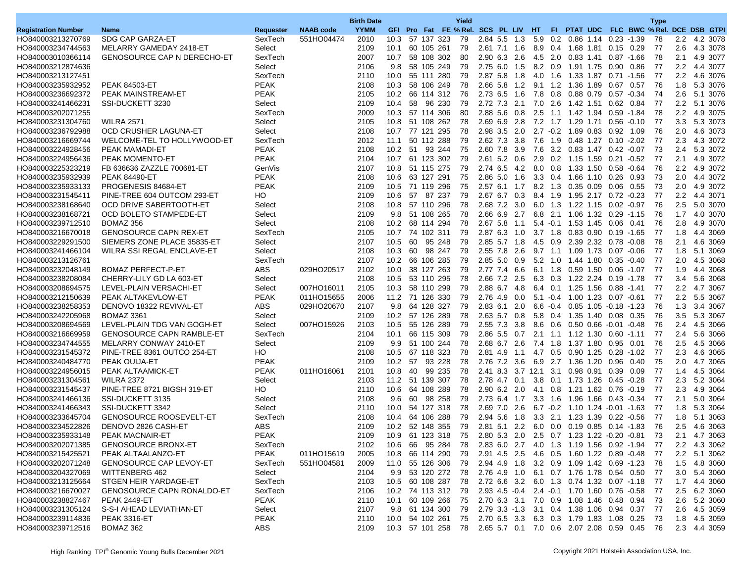| <b>NAAB</b> code<br><b>YYMM</b><br>GFI Pro Fat FE % Rel. SCS PL LIV HT<br>FI PTAT UDC FLC BWC % Rel. DCE DSB GTPI<br><b>Registration Number</b><br>Requester<br><b>Name</b><br>HO840003213270769<br>SDG CAP GARZA-ET<br>SexTech<br>551HO04474<br>2010<br>57 137 323<br>79<br>2.84 5.5 1.3<br>0.2 0.86 1.14 0.23 -1.39<br>2.2<br>10.3<br>5.9<br>78<br>4.2 3078<br>MELARRY GAMEDAY 2418-ET<br>Select<br>2109<br>10.1<br>60 105 261<br>79<br>2.61 7.1 1.6<br>8.9 0.4 1.68 1.81 0.15 0.29<br>77<br>2.6<br>4.3 3078<br>HO840003234744563<br>HO840003010366114<br><b>GENOSOURCE CAP N DERECHO-ET</b><br>SexTech<br>2007<br>58 108 302<br>80<br>2.90 6.3 2.6<br>4.5 2.0 0.83 1.41 0.87 -1.66<br>78<br>2.1<br>4.9 3077<br>10.7<br>Select<br>2106<br>9.8<br>58 105 249<br>79<br>2.75 6.0 1.5<br>8.2 0.9 1.91 1.75<br>-77<br>$2.2\,$<br>4.4 3077<br>HO840003212874636<br>$0.90\quad 0.86$<br>SexTech<br>10.0 55 111 280<br>79<br>2.87 5.8 1.8<br>4.0<br>1.6 1.33 1.87 0.71 1.56<br>77<br>2.2<br>4.6 3076<br>HO840003213127451<br>2110<br><b>PEAK</b><br><b>PEAK 84503-ET</b><br>58 106 249<br>78<br>2.66 5.8 1.2<br>-76<br>1.8<br>5.3 3076<br>HO840003235932952<br>2108<br>10.3<br>9.1 1.2 1.36 1.89 0.67 0.57<br><b>PEAK</b><br>HO840003236692372<br>PEAK MAINSTREAM-ET<br>2105<br>10.2<br>66 114 312<br>76<br>2.73 6.5 1.6<br>7.8<br>0.8<br>0.88 0.79<br>$0.57 - 0.34$<br>74<br>2.6<br>5.1 3076<br>Select<br>58 96 230<br>79<br>2.72 7.3 2.1<br>7.0 2.6 1.42 1.51 0.62 0.84<br>77<br>$2.2\,$<br>5.1 3076<br>HO840003241466231<br>SSI-DUCKETT 3230<br>2109<br>10.4<br>SexTech<br>2009<br>10.3 57 114 306<br>80<br>2.88 5.6 0.8<br>2.5<br>78<br>2.2<br>4.9 3075<br>HO840003202071255<br>1.1 1.42 1.94 0.59 -1.84<br>HO840003231304760<br><b>WILRA 2571</b><br>Select<br>2105<br>51 108 262<br>78<br>2.69 6.9 2.8<br>7.2 1.7 1.29 1.71 0.56 -0.10<br>-77<br>3.3<br>5.3 3073<br>10.8<br>78<br>2.98 3.5 2.0<br>2.7 -0.2 1.89 0.83 0.92 1.09<br>76<br>2.0<br>4.6 3073<br>HO840003236792988<br>OCD CRUSHER LAGUNA-ET<br>Select<br>2108<br>10.7 77 121 295<br>WELCOME-TEL TO HOLLYWOOD-ET<br>SexTech<br>2012<br>50 112 288<br>79<br>2.62 7.3 3.8<br>1.9 0.48 1.27<br>$0.10 - 2.02$<br>-77<br>2.3<br>4.3 3072<br>HO840003216669744<br>11.1<br>7.6<br><b>PEAK</b><br>73<br>2108<br>10.2<br>51<br>93 244<br>75<br>2.60 7.8 3.9<br>7.6<br>3.2 0.83 1.47 0.42 -0.07<br>2.4<br>5.3 3072<br>HO840003224928456<br><b>PEAK MAMADI-ET</b><br><b>PEAK</b><br>HO840003224956436<br>PEAK MOMENTO-ET<br>2104<br>10.7 61 123 302<br>79<br>2.61 5.2 0.6<br>2.9 0.2 1.15 1.59 0.21 -0.52<br>-77<br>2.1<br>4.9 3072<br>HO840003225323219<br>FB 636636 ZAZZLE 700681-ET<br>GenVis<br>2107<br>51 115 275<br>79<br>2.74 6.5 4.2<br>8.0<br>0.8 1.33 1.50<br>$2.2\,$<br>4.9 3072<br>10.8<br>0.58 -0.64<br>76<br><b>PEAK</b><br>73<br>HO840003235932939<br><b>PEAK 84490-ET</b><br>2108<br>10.6<br>63 127 291<br>75<br>2.86 5.0 1.6<br>3.3 0.4 1.66 1.10 0.26<br>0.93<br>2.0<br>4.4 3072<br><b>PEAK</b><br>73<br>PROGENESIS 84684-ET<br>75<br>2.57 6.1 1.7 8.2 1.3 0.35 0.09 0.06 0.55<br>2.0<br>4.9 3072<br>HO840003235933133<br>2109<br>10.5 71 119 296<br>HO<br>2.2<br>HO840003231545411<br>PINE-TREE 604 OUTCOM 293-ET<br>2109<br>10.6<br>57<br>87 237<br>79<br>2.67 6.7 0.3<br>8.4<br>1.9 1.95 2.17<br>$0.72 - 0.23$<br>-77<br>4.4 3071<br>HO840003238168640<br>Select<br>2108<br>10.8 57 110 296<br>78<br>2.68 7.2 3.0<br>6.0 1.3 1.22 1.15<br>76<br>2.5<br>5.0 3070<br>OCD DRIVE SABERTOOTH-ET<br>0.02 -0.97<br>78<br>Select<br>2109<br>9.8 51 108 265<br>$2.66$ 6.9 2.7<br>6.8 2.1 1.06 1.32 0.29 -1.15<br>76<br>1.7<br>4.0 3070<br>HO840003238168721<br>OCD BOLETO STAMPEDE-ET<br>HO840003239712510<br>BOMAZ 356<br>Select<br>2108<br>68 114 294<br>78<br>2.67 5.8 1.1<br>5.4 -0.1 1.53 1.45<br>76<br>2.8<br>4.9 3070<br>10.2<br>$0.06$ 0.41<br>3.7 1.8 0.83 0.90 0.19 -1.65<br>HO840003216670018<br><b>GENOSOURCE CAPN REX-ET</b><br>SexTech<br>2105<br>10.7 74 102 311<br>79<br>2.87 6.3 1.0<br>-77<br>1.8<br>4.4 3069<br>SIEMERS ZONE PLACE 35835-ET<br>Select<br>2107<br>10.5<br>60<br>95 248<br>79<br>2.85 5.7 1.8<br>4.5 0.9 2.39 2.32 0.78 -0.08<br>78<br>2.1<br>4.6 3069<br>HO840003229291500<br>77<br>Select<br>10.3<br>98 247<br>79<br>2.55 7.8<br>1.8<br>5.1 3069<br>HO840003241466104<br>WILRA SSI REGAL ENCLAVE-ET<br>2108<br>60<br>-2.6<br>9.7 1.1 1.09 1.73 0.07 0.06<br>HO840003213126761<br>SexTech<br>2107<br>10.2 66 106 285<br>79<br>$2.85$ 5.0 0.9<br>5.2 1.0 1.44 1.80 0.35 0.40<br>-77<br>2.0<br>4.5 3068<br>HO840003232048149<br><b>BOMAZ PERFECT-P-ET</b><br>ABS<br>029HO20517<br>2102<br>10.0<br>38 127 263<br>79<br>2.77 7.4 6.6<br>6.1 1.8 0.59 1.50 0.06 -1.07<br>1.9<br>4.4 3068<br>-77<br>77<br>3.4<br>HO840003238208084<br>CHERRY-LILY GD LA 603-ET<br>Select<br>2108<br>10.5<br>53 110 295<br>78<br>2.66 7.2 2.5<br>6.3 0.3 1.22 2.24<br>5.6 3068<br>$0.19 - 1.78$<br>HO840003208694575<br>LEVEL-PLAIN VERSACHI-ET<br>007HO16011<br>2105<br>58 110 299<br>79<br>2.88 6.7 4.8<br>6.4 0.1 1.25 1.56 0.88 -1.41<br>-77<br>$2.2^{\circ}$<br>4.7 3067<br>Select<br>10.3<br>HO840003212150639<br><b>PEAK</b><br>011HO15655<br>2006<br>11.2 71 126 330<br>79<br>2.76 4.9 0.0<br>5.1 -0.4 1.00 1.23 0.07 -0.61<br>-77<br>$2.2\,$<br>5.5 3067<br>PEAK ALTAKEVLOW-ET<br>64 128 327<br>HO840003238258353<br>DENOVO 18322 REVIVAL-ET<br>ABS<br>029HO20670<br>2107<br>9.8<br>79<br>2.83 6.1 2.0<br>6.6 -0.4 0.85 1.05 -0.18 -1.23<br>76<br>1.3<br>3.4 3067<br>HO840003242205968<br>10.2 57 126 289<br>78<br>$2.63$ 5.7 0.8<br>76<br>3.5<br>5.3 3067<br><b>BOMAZ 3361</b><br>Select<br>2109<br>5.8 0.4 1.35 1.40 0.08 0.35<br>HO840003208694569<br>LEVEL-PLAIN TDG VAN GOGH-ET<br>Select<br>007HO15926<br>2103<br>55 126 289<br>79<br>2.55 7.3 3.8<br>8.6<br>$0.6$ $0.50$ $0.66$ $-0.01$<br>2.4<br>4.5 3066<br>10.5<br>$-0.48$<br>76<br>66 115 309<br><b>GENOSOURCE CAPN RAMBLE-ET</b><br>SexTech<br>2104<br>79<br>$2.86$ 5.5 0.7<br>2.1 1.1 1.12 1.30 0.60 -1.11<br>77<br>2.4<br>5.6 3066<br>HO840003216669959<br>10.1<br>Select<br>2109<br>9.9<br>51 100 244<br>78<br>2.68 6.7 2.6<br>7.4 1.8 1.37 1.80 0.95 0.01<br>76<br>2.5<br>4.5 3066<br>HO840003234744555<br>MELARRY CONWAY 2410-ET<br>HO840003231545372<br>PINE-TREE 8361 OUTCO 254-ET<br>HО<br>2108<br>67 118 323<br>78<br>2.81 4.9<br>$0.5$ 0.90 1.25<br>-77<br>2.3<br>4.6 3065<br>10.5<br>1.1<br>4.7<br>$0.28 - 1.02$<br>78<br>75<br>2.0<br>HO840003240484770<br>PEAK OUIJA-ET<br><b>PEAK</b><br>2109<br>10.2 57<br>93 228<br>2.76 7.2 3.6<br>6.9 2.7 1.36 1.20 0.96 0.40<br>4.7 3065<br>PEAK ALTAAMICK-ET<br><b>PEAK</b><br>011HO16061<br>10.8<br>99 235<br>78<br>2.41 8.3 3.7 12.1<br>-77<br>4.5 3064<br>HO840003224956015<br>2101<br>-40<br>3.1<br>0.98 0.91 0.39 0.09<br>1.4<br>51 139 307<br>2.3<br>HO840003231304561<br>2103<br>11.2<br>78<br>2.78 4.7 0.1<br>3.8 0.1 1.73 1.26 0.45 0.28<br>-77<br>5.2 3064<br><b>WILRA 2372</b><br>Select<br>HO<br>HO840003231545437<br>PINE-TREE 8721 BIGSH 319-ET<br>2110<br>10.6<br>64 108 289<br>78<br>$2.90$ 6.2 2.0<br>4.1 0.8 1.21 1.62 0.76 -0.19<br>-77<br>2.3<br>4.9 3064<br>2108<br>9.6<br>60<br>98 258<br>79<br>2.73 6.4 1.7<br>3.3 1.6 1.96 1.66 0.43 0.34<br>-77<br>2.1<br>5.0 3064<br>HO840003241466136<br>SSI-DUCKETT 3135<br>Select<br>SSI-DUCKETT 3342<br>Select<br>54 127 318<br>78<br>2.69 7.0 2.6<br>6.7 -0.2 1.10 1.24 -0.01 -1.63<br>-77<br>1.8<br>5.3 3064<br>HO840003241466343<br>2110<br>10.0<br>HO840003233645704<br><b>GENOSOURCE ROOSEVELT-ET</b><br>SexTech<br>10.4 64 106 288<br>79<br>2.94 5.6 1.8<br>3.3 2.1 1.23 1.39 0.22 -0.56<br>-77<br>1.8<br>5.1 3063<br>2108<br><b>ABS</b><br>HO840003234522826<br>DENOVO 2826 CASH-ET<br>2109<br>10.2 52 148 355<br>79<br>2.81 5.1 2.2 6.0 0.0 0.19 0.85 0.14 -1.83<br>76<br>2.5<br>4.6 3063<br>PEAK<br>HO840003235933148<br>PEAK MACNAIR-ET<br>2109<br>10.9 61 123 318 75 2.80 5.3 2.0 2.5 0.7 1.23 1.22 -0.20 -0.81 73<br>2.1 4.7 3063<br><b>GENOSOURCE BRONX-ET</b><br>SexTech<br>HO840003202071385<br>10.6 66 95 284 78 2.83 6.0 2.7 4.0 1.3 1.19 1.56 0.92 -1.94 77<br>2.2 4.3 3062<br>2102<br><b>PEAK</b><br>HO840003215425521<br>PEAK ALTAALANZO-ET<br>011HO15619<br>2005<br>2.91 4.5 2.5 4.6 0.5 1.60 1.22 0.89 0.48<br>2.2 5.1 3062<br>10.8 66 114 290<br>79<br>-77<br>HO840003202071248<br><b>GENOSOURCE CAP LEVOY-ET</b><br>SexTech<br>551HO04581<br>11.0 55 126 306 79 2.94 4.9 1.8 3.2 0.9 1.09 1.42 0.69 -1.23 78<br>1.5 4.8 3060<br>2009<br>HO840003204327069<br>WITTENBERG 462<br>Select<br>3.0 5.4 3060<br>2104<br>9.9 53 120 272 78 2.76 4.9 1.0 6.1 0.7 1.76 1.78 0.54 0.50 77<br>HO840003213125664<br>STGEN HEIR YARDAGE-ET<br>SexTech<br>2103<br>2.72 6.6 3.2 6.0 1.3 0.74 1.32 0.07 -1.18 77<br>1.7 4.4 3060<br>10.5 60 108 287 78<br>HO840003216670027<br><b>GENOSOURCE CAPN RONALDO-ET</b><br>SexTech<br>2.5 6.2 3060<br>2106<br>10.2 74 113 312 79 2.93 4.5 -0.4 2.4 -0.1 1.70 1.60 0.76 -0.58 77<br>HO840003238827467<br><b>PEAK</b><br><b>PEAK 2449-ET</b><br>2110<br>10.1 60 109 266 75<br>2.70 6.3 3.1 7.0 0.9 1.08 1.46 0.48 0.94<br>2.6 5.2 3060<br>- 73<br>HO840003231305124<br>S-S-I AHEAD LEVIATHAN-ET<br>Select<br>2.79 3.3 -1.3 3.1 0.4 1.38 1.06 0.94 0.37 77<br>2.6 4.5 3059<br>2107<br>9.8 61 134 300 79<br><b>PEAK</b><br>HO840003239114836<br><b>PEAK 3316-ET</b><br>10.0 54 102 261 75 2.70 6.5 3.3 6.3 0.3 1.79 1.83 1.08 0.25 73<br>1.8 4.5 3059<br>2110<br>ABS<br>HO840003239712516<br>BOMAZ 362<br>2109<br>10.3 57 101 258 78 2.65 5.7 0.1 7.0 0.6 2.07 2.08 0.59 0.45 76<br>2.3 4.4 3059 |  |  | <b>Birth Date</b> |  |  | Yield |  |  |  |  | <b>Type</b> |  |  |
|----------------------------------------------------------------------------------------------------------------------------------------------------------------------------------------------------------------------------------------------------------------------------------------------------------------------------------------------------------------------------------------------------------------------------------------------------------------------------------------------------------------------------------------------------------------------------------------------------------------------------------------------------------------------------------------------------------------------------------------------------------------------------------------------------------------------------------------------------------------------------------------------------------------------------------------------------------------------------------------------------------------------------------------------------------------------------------------------------------------------------------------------------------------------------------------------------------------------------------------------------------------------------------------------------------------------------------------------------------------------------------------------------------------------------------------------------------------------------------------------------------------------------------------------------------------------------------------------------------------------------------------------------------------------------------------------------------------------------------------------------------------------------------------------------------------------------------------------------------------------------------------------------------------------------------------------------------------------------------------------------------------------------------------------------------------------------------------------------------------------------------------------------------------------------------------------------------------------------------------------------------------------------------------------------------------------------------------------------------------------------------------------------------------------------------------------------------------------------------------------------------------------------------------------------------------------------------------------------------------------------------------------------------------------------------------------------------------------------------------------------------------------------------------------------------------------------------------------------------------------------------------------------------------------------------------------------------------------------------------------------------------------------------------------------------------------------------------------------------------------------------------------------------------------------------------------------------------------------------------------------------------------------------------------------------------------------------------------------------------------------------------------------------------------------------------------------------------------------------------------------------------------------------------------------------------------------------------------------------------------------------------------------------------------------------------------------------------------------------------------------------------------------------------------------------------------------------------------------------------------------------------------------------------------------------------------------------------------------------------------------------------------------------------------------------------------------------------------------------------------------------------------------------------------------------------------------------------------------------------------------------------------------------------------------------------------------------------------------------------------------------------------------------------------------------------------------------------------------------------------------------------------------------------------------------------------------------------------------------------------------------------------------------------------------------------------------------------------------------------------------------------------------------------------------------------------------------------------------------------------------------------------------------------------------------------------------------------------------------------------------------------------------------------------------------------------------------------------------------------------------------------------------------------------------------------------------------------------------------------------------------------------------------------------------------------------------------------------------------------------------------------------------------------------------------------------------------------------------------------------------------------------------------------------------------------------------------------------------------------------------------------------------------------------------------------------------------------------------------------------------------------------------------------------------------------------------------------------------------------------------------------------------------------------------------------------------------------------------------------------------------------------------------------------------------------------------------------------------------------------------------------------------------------------------------------------------------------------------------------------------------------------------------------------------------------------------------------------------------------------------------------------------------------------------------------------------------------------------------------------------------------------------------------------------------------------------------------------------------------------------------------------------------------------------------------------------------------------------------------------------------------------------------------------------------------------------------------------------------------------------------------------------------------------------------------------------------------------------------------------------------------------------------------------------------------------------------------------------------------------------------------------------------------------------------------------------------------------------------------------------------------------------------------------------------------------------------------------------------------------------------------------------------------------------------------------------------------------------------------------------------------------------------------------------------------------------------------------------------------------------------------------------------------------------------------------------------------------------------------------------------------------------------------------------------------------------------------------------------------------------------------------------------------------------------------------------------------------------------------------------------------------------------------------------------------------------------------------------------------------------------------------------------------------------------------------------------------------------------------------------------------------------------------------------------------------------------------------------------------------------------------------------------------------------------------------------------------------------------------------------------------------------------------------------------------------------------------------------------------------------------------------------------------------------------------------------------------------------------------------------------------------------------------------------------------------------------------------------------------------------------------------------------------------------------------------------------------------------------------------------------------------------------------------------------------------------------------------------------------------------------------------------------------------------------------------------------------------------------------------------------------------------------------------------------------------------------------------------------------------------------------------------------------------------------------------------------------------------------------------------------|--|--|-------------------|--|--|-------|--|--|--|--|-------------|--|--|
|                                                                                                                                                                                                                                                                                                                                                                                                                                                                                                                                                                                                                                                                                                                                                                                                                                                                                                                                                                                                                                                                                                                                                                                                                                                                                                                                                                                                                                                                                                                                                                                                                                                                                                                                                                                                                                                                                                                                                                                                                                                                                                                                                                                                                                                                                                                                                                                                                                                                                                                                                                                                                                                                                                                                                                                                                                                                                                                                                                                                                                                                                                                                                                                                                                                                                                                                                                                                                                                                                                                                                                                                                                                                                                                                                                                                                                                                                                                                                                                                                                                                                                                                                                                                                                                                                                                                                                                                                                                                                                                                                                                                                                                                                                                                                                                                                                                                                                                                                                                                                                                                                                                                                                                                                                                                                                                                                                                                                                                                                                                                                                                                                                                                                                                                                                                                                                                                                                                                                                                                                                                                                                                                                                                                                                                                                                                                                                                                                                                                                                                                                                                                                                                                                                                                                                                                                                                                                                                                                                                                                                                                                                                                                                                                                                                                                                                                                                                                                                                                                                                                                                                                                                                                                                                                                                                                                                                                                                                                                                                                                                                                                                                                                                                                                                                                                                                                                                                                                                                                                                                                                                                                                                                                                                                                                                                                                                                                                                                                                                                                                                                                                                                                                                                                                                                                                                                                                                                                                                                                                                          |  |  |                   |  |  |       |  |  |  |  |             |  |  |
|                                                                                                                                                                                                                                                                                                                                                                                                                                                                                                                                                                                                                                                                                                                                                                                                                                                                                                                                                                                                                                                                                                                                                                                                                                                                                                                                                                                                                                                                                                                                                                                                                                                                                                                                                                                                                                                                                                                                                                                                                                                                                                                                                                                                                                                                                                                                                                                                                                                                                                                                                                                                                                                                                                                                                                                                                                                                                                                                                                                                                                                                                                                                                                                                                                                                                                                                                                                                                                                                                                                                                                                                                                                                                                                                                                                                                                                                                                                                                                                                                                                                                                                                                                                                                                                                                                                                                                                                                                                                                                                                                                                                                                                                                                                                                                                                                                                                                                                                                                                                                                                                                                                                                                                                                                                                                                                                                                                                                                                                                                                                                                                                                                                                                                                                                                                                                                                                                                                                                                                                                                                                                                                                                                                                                                                                                                                                                                                                                                                                                                                                                                                                                                                                                                                                                                                                                                                                                                                                                                                                                                                                                                                                                                                                                                                                                                                                                                                                                                                                                                                                                                                                                                                                                                                                                                                                                                                                                                                                                                                                                                                                                                                                                                                                                                                                                                                                                                                                                                                                                                                                                                                                                                                                                                                                                                                                                                                                                                                                                                                                                                                                                                                                                                                                                                                                                                                                                                                                                                                                                                          |  |  |                   |  |  |       |  |  |  |  |             |  |  |
|                                                                                                                                                                                                                                                                                                                                                                                                                                                                                                                                                                                                                                                                                                                                                                                                                                                                                                                                                                                                                                                                                                                                                                                                                                                                                                                                                                                                                                                                                                                                                                                                                                                                                                                                                                                                                                                                                                                                                                                                                                                                                                                                                                                                                                                                                                                                                                                                                                                                                                                                                                                                                                                                                                                                                                                                                                                                                                                                                                                                                                                                                                                                                                                                                                                                                                                                                                                                                                                                                                                                                                                                                                                                                                                                                                                                                                                                                                                                                                                                                                                                                                                                                                                                                                                                                                                                                                                                                                                                                                                                                                                                                                                                                                                                                                                                                                                                                                                                                                                                                                                                                                                                                                                                                                                                                                                                                                                                                                                                                                                                                                                                                                                                                                                                                                                                                                                                                                                                                                                                                                                                                                                                                                                                                                                                                                                                                                                                                                                                                                                                                                                                                                                                                                                                                                                                                                                                                                                                                                                                                                                                                                                                                                                                                                                                                                                                                                                                                                                                                                                                                                                                                                                                                                                                                                                                                                                                                                                                                                                                                                                                                                                                                                                                                                                                                                                                                                                                                                                                                                                                                                                                                                                                                                                                                                                                                                                                                                                                                                                                                                                                                                                                                                                                                                                                                                                                                                                                                                                                                                          |  |  |                   |  |  |       |  |  |  |  |             |  |  |
|                                                                                                                                                                                                                                                                                                                                                                                                                                                                                                                                                                                                                                                                                                                                                                                                                                                                                                                                                                                                                                                                                                                                                                                                                                                                                                                                                                                                                                                                                                                                                                                                                                                                                                                                                                                                                                                                                                                                                                                                                                                                                                                                                                                                                                                                                                                                                                                                                                                                                                                                                                                                                                                                                                                                                                                                                                                                                                                                                                                                                                                                                                                                                                                                                                                                                                                                                                                                                                                                                                                                                                                                                                                                                                                                                                                                                                                                                                                                                                                                                                                                                                                                                                                                                                                                                                                                                                                                                                                                                                                                                                                                                                                                                                                                                                                                                                                                                                                                                                                                                                                                                                                                                                                                                                                                                                                                                                                                                                                                                                                                                                                                                                                                                                                                                                                                                                                                                                                                                                                                                                                                                                                                                                                                                                                                                                                                                                                                                                                                                                                                                                                                                                                                                                                                                                                                                                                                                                                                                                                                                                                                                                                                                                                                                                                                                                                                                                                                                                                                                                                                                                                                                                                                                                                                                                                                                                                                                                                                                                                                                                                                                                                                                                                                                                                                                                                                                                                                                                                                                                                                                                                                                                                                                                                                                                                                                                                                                                                                                                                                                                                                                                                                                                                                                                                                                                                                                                                                                                                                                                          |  |  |                   |  |  |       |  |  |  |  |             |  |  |
|                                                                                                                                                                                                                                                                                                                                                                                                                                                                                                                                                                                                                                                                                                                                                                                                                                                                                                                                                                                                                                                                                                                                                                                                                                                                                                                                                                                                                                                                                                                                                                                                                                                                                                                                                                                                                                                                                                                                                                                                                                                                                                                                                                                                                                                                                                                                                                                                                                                                                                                                                                                                                                                                                                                                                                                                                                                                                                                                                                                                                                                                                                                                                                                                                                                                                                                                                                                                                                                                                                                                                                                                                                                                                                                                                                                                                                                                                                                                                                                                                                                                                                                                                                                                                                                                                                                                                                                                                                                                                                                                                                                                                                                                                                                                                                                                                                                                                                                                                                                                                                                                                                                                                                                                                                                                                                                                                                                                                                                                                                                                                                                                                                                                                                                                                                                                                                                                                                                                                                                                                                                                                                                                                                                                                                                                                                                                                                                                                                                                                                                                                                                                                                                                                                                                                                                                                                                                                                                                                                                                                                                                                                                                                                                                                                                                                                                                                                                                                                                                                                                                                                                                                                                                                                                                                                                                                                                                                                                                                                                                                                                                                                                                                                                                                                                                                                                                                                                                                                                                                                                                                                                                                                                                                                                                                                                                                                                                                                                                                                                                                                                                                                                                                                                                                                                                                                                                                                                                                                                                                                          |  |  |                   |  |  |       |  |  |  |  |             |  |  |
|                                                                                                                                                                                                                                                                                                                                                                                                                                                                                                                                                                                                                                                                                                                                                                                                                                                                                                                                                                                                                                                                                                                                                                                                                                                                                                                                                                                                                                                                                                                                                                                                                                                                                                                                                                                                                                                                                                                                                                                                                                                                                                                                                                                                                                                                                                                                                                                                                                                                                                                                                                                                                                                                                                                                                                                                                                                                                                                                                                                                                                                                                                                                                                                                                                                                                                                                                                                                                                                                                                                                                                                                                                                                                                                                                                                                                                                                                                                                                                                                                                                                                                                                                                                                                                                                                                                                                                                                                                                                                                                                                                                                                                                                                                                                                                                                                                                                                                                                                                                                                                                                                                                                                                                                                                                                                                                                                                                                                                                                                                                                                                                                                                                                                                                                                                                                                                                                                                                                                                                                                                                                                                                                                                                                                                                                                                                                                                                                                                                                                                                                                                                                                                                                                                                                                                                                                                                                                                                                                                                                                                                                                                                                                                                                                                                                                                                                                                                                                                                                                                                                                                                                                                                                                                                                                                                                                                                                                                                                                                                                                                                                                                                                                                                                                                                                                                                                                                                                                                                                                                                                                                                                                                                                                                                                                                                                                                                                                                                                                                                                                                                                                                                                                                                                                                                                                                                                                                                                                                                                                                          |  |  |                   |  |  |       |  |  |  |  |             |  |  |
|                                                                                                                                                                                                                                                                                                                                                                                                                                                                                                                                                                                                                                                                                                                                                                                                                                                                                                                                                                                                                                                                                                                                                                                                                                                                                                                                                                                                                                                                                                                                                                                                                                                                                                                                                                                                                                                                                                                                                                                                                                                                                                                                                                                                                                                                                                                                                                                                                                                                                                                                                                                                                                                                                                                                                                                                                                                                                                                                                                                                                                                                                                                                                                                                                                                                                                                                                                                                                                                                                                                                                                                                                                                                                                                                                                                                                                                                                                                                                                                                                                                                                                                                                                                                                                                                                                                                                                                                                                                                                                                                                                                                                                                                                                                                                                                                                                                                                                                                                                                                                                                                                                                                                                                                                                                                                                                                                                                                                                                                                                                                                                                                                                                                                                                                                                                                                                                                                                                                                                                                                                                                                                                                                                                                                                                                                                                                                                                                                                                                                                                                                                                                                                                                                                                                                                                                                                                                                                                                                                                                                                                                                                                                                                                                                                                                                                                                                                                                                                                                                                                                                                                                                                                                                                                                                                                                                                                                                                                                                                                                                                                                                                                                                                                                                                                                                                                                                                                                                                                                                                                                                                                                                                                                                                                                                                                                                                                                                                                                                                                                                                                                                                                                                                                                                                                                                                                                                                                                                                                                                                          |  |  |                   |  |  |       |  |  |  |  |             |  |  |
|                                                                                                                                                                                                                                                                                                                                                                                                                                                                                                                                                                                                                                                                                                                                                                                                                                                                                                                                                                                                                                                                                                                                                                                                                                                                                                                                                                                                                                                                                                                                                                                                                                                                                                                                                                                                                                                                                                                                                                                                                                                                                                                                                                                                                                                                                                                                                                                                                                                                                                                                                                                                                                                                                                                                                                                                                                                                                                                                                                                                                                                                                                                                                                                                                                                                                                                                                                                                                                                                                                                                                                                                                                                                                                                                                                                                                                                                                                                                                                                                                                                                                                                                                                                                                                                                                                                                                                                                                                                                                                                                                                                                                                                                                                                                                                                                                                                                                                                                                                                                                                                                                                                                                                                                                                                                                                                                                                                                                                                                                                                                                                                                                                                                                                                                                                                                                                                                                                                                                                                                                                                                                                                                                                                                                                                                                                                                                                                                                                                                                                                                                                                                                                                                                                                                                                                                                                                                                                                                                                                                                                                                                                                                                                                                                                                                                                                                                                                                                                                                                                                                                                                                                                                                                                                                                                                                                                                                                                                                                                                                                                                                                                                                                                                                                                                                                                                                                                                                                                                                                                                                                                                                                                                                                                                                                                                                                                                                                                                                                                                                                                                                                                                                                                                                                                                                                                                                                                                                                                                                                                          |  |  |                   |  |  |       |  |  |  |  |             |  |  |
|                                                                                                                                                                                                                                                                                                                                                                                                                                                                                                                                                                                                                                                                                                                                                                                                                                                                                                                                                                                                                                                                                                                                                                                                                                                                                                                                                                                                                                                                                                                                                                                                                                                                                                                                                                                                                                                                                                                                                                                                                                                                                                                                                                                                                                                                                                                                                                                                                                                                                                                                                                                                                                                                                                                                                                                                                                                                                                                                                                                                                                                                                                                                                                                                                                                                                                                                                                                                                                                                                                                                                                                                                                                                                                                                                                                                                                                                                                                                                                                                                                                                                                                                                                                                                                                                                                                                                                                                                                                                                                                                                                                                                                                                                                                                                                                                                                                                                                                                                                                                                                                                                                                                                                                                                                                                                                                                                                                                                                                                                                                                                                                                                                                                                                                                                                                                                                                                                                                                                                                                                                                                                                                                                                                                                                                                                                                                                                                                                                                                                                                                                                                                                                                                                                                                                                                                                                                                                                                                                                                                                                                                                                                                                                                                                                                                                                                                                                                                                                                                                                                                                                                                                                                                                                                                                                                                                                                                                                                                                                                                                                                                                                                                                                                                                                                                                                                                                                                                                                                                                                                                                                                                                                                                                                                                                                                                                                                                                                                                                                                                                                                                                                                                                                                                                                                                                                                                                                                                                                                                                                          |  |  |                   |  |  |       |  |  |  |  |             |  |  |
|                                                                                                                                                                                                                                                                                                                                                                                                                                                                                                                                                                                                                                                                                                                                                                                                                                                                                                                                                                                                                                                                                                                                                                                                                                                                                                                                                                                                                                                                                                                                                                                                                                                                                                                                                                                                                                                                                                                                                                                                                                                                                                                                                                                                                                                                                                                                                                                                                                                                                                                                                                                                                                                                                                                                                                                                                                                                                                                                                                                                                                                                                                                                                                                                                                                                                                                                                                                                                                                                                                                                                                                                                                                                                                                                                                                                                                                                                                                                                                                                                                                                                                                                                                                                                                                                                                                                                                                                                                                                                                                                                                                                                                                                                                                                                                                                                                                                                                                                                                                                                                                                                                                                                                                                                                                                                                                                                                                                                                                                                                                                                                                                                                                                                                                                                                                                                                                                                                                                                                                                                                                                                                                                                                                                                                                                                                                                                                                                                                                                                                                                                                                                                                                                                                                                                                                                                                                                                                                                                                                                                                                                                                                                                                                                                                                                                                                                                                                                                                                                                                                                                                                                                                                                                                                                                                                                                                                                                                                                                                                                                                                                                                                                                                                                                                                                                                                                                                                                                                                                                                                                                                                                                                                                                                                                                                                                                                                                                                                                                                                                                                                                                                                                                                                                                                                                                                                                                                                                                                                                                                          |  |  |                   |  |  |       |  |  |  |  |             |  |  |
|                                                                                                                                                                                                                                                                                                                                                                                                                                                                                                                                                                                                                                                                                                                                                                                                                                                                                                                                                                                                                                                                                                                                                                                                                                                                                                                                                                                                                                                                                                                                                                                                                                                                                                                                                                                                                                                                                                                                                                                                                                                                                                                                                                                                                                                                                                                                                                                                                                                                                                                                                                                                                                                                                                                                                                                                                                                                                                                                                                                                                                                                                                                                                                                                                                                                                                                                                                                                                                                                                                                                                                                                                                                                                                                                                                                                                                                                                                                                                                                                                                                                                                                                                                                                                                                                                                                                                                                                                                                                                                                                                                                                                                                                                                                                                                                                                                                                                                                                                                                                                                                                                                                                                                                                                                                                                                                                                                                                                                                                                                                                                                                                                                                                                                                                                                                                                                                                                                                                                                                                                                                                                                                                                                                                                                                                                                                                                                                                                                                                                                                                                                                                                                                                                                                                                                                                                                                                                                                                                                                                                                                                                                                                                                                                                                                                                                                                                                                                                                                                                                                                                                                                                                                                                                                                                                                                                                                                                                                                                                                                                                                                                                                                                                                                                                                                                                                                                                                                                                                                                                                                                                                                                                                                                                                                                                                                                                                                                                                                                                                                                                                                                                                                                                                                                                                                                                                                                                                                                                                                                                          |  |  |                   |  |  |       |  |  |  |  |             |  |  |
|                                                                                                                                                                                                                                                                                                                                                                                                                                                                                                                                                                                                                                                                                                                                                                                                                                                                                                                                                                                                                                                                                                                                                                                                                                                                                                                                                                                                                                                                                                                                                                                                                                                                                                                                                                                                                                                                                                                                                                                                                                                                                                                                                                                                                                                                                                                                                                                                                                                                                                                                                                                                                                                                                                                                                                                                                                                                                                                                                                                                                                                                                                                                                                                                                                                                                                                                                                                                                                                                                                                                                                                                                                                                                                                                                                                                                                                                                                                                                                                                                                                                                                                                                                                                                                                                                                                                                                                                                                                                                                                                                                                                                                                                                                                                                                                                                                                                                                                                                                                                                                                                                                                                                                                                                                                                                                                                                                                                                                                                                                                                                                                                                                                                                                                                                                                                                                                                                                                                                                                                                                                                                                                                                                                                                                                                                                                                                                                                                                                                                                                                                                                                                                                                                                                                                                                                                                                                                                                                                                                                                                                                                                                                                                                                                                                                                                                                                                                                                                                                                                                                                                                                                                                                                                                                                                                                                                                                                                                                                                                                                                                                                                                                                                                                                                                                                                                                                                                                                                                                                                                                                                                                                                                                                                                                                                                                                                                                                                                                                                                                                                                                                                                                                                                                                                                                                                                                                                                                                                                                                                          |  |  |                   |  |  |       |  |  |  |  |             |  |  |
|                                                                                                                                                                                                                                                                                                                                                                                                                                                                                                                                                                                                                                                                                                                                                                                                                                                                                                                                                                                                                                                                                                                                                                                                                                                                                                                                                                                                                                                                                                                                                                                                                                                                                                                                                                                                                                                                                                                                                                                                                                                                                                                                                                                                                                                                                                                                                                                                                                                                                                                                                                                                                                                                                                                                                                                                                                                                                                                                                                                                                                                                                                                                                                                                                                                                                                                                                                                                                                                                                                                                                                                                                                                                                                                                                                                                                                                                                                                                                                                                                                                                                                                                                                                                                                                                                                                                                                                                                                                                                                                                                                                                                                                                                                                                                                                                                                                                                                                                                                                                                                                                                                                                                                                                                                                                                                                                                                                                                                                                                                                                                                                                                                                                                                                                                                                                                                                                                                                                                                                                                                                                                                                                                                                                                                                                                                                                                                                                                                                                                                                                                                                                                                                                                                                                                                                                                                                                                                                                                                                                                                                                                                                                                                                                                                                                                                                                                                                                                                                                                                                                                                                                                                                                                                                                                                                                                                                                                                                                                                                                                                                                                                                                                                                                                                                                                                                                                                                                                                                                                                                                                                                                                                                                                                                                                                                                                                                                                                                                                                                                                                                                                                                                                                                                                                                                                                                                                                                                                                                                                                          |  |  |                   |  |  |       |  |  |  |  |             |  |  |
|                                                                                                                                                                                                                                                                                                                                                                                                                                                                                                                                                                                                                                                                                                                                                                                                                                                                                                                                                                                                                                                                                                                                                                                                                                                                                                                                                                                                                                                                                                                                                                                                                                                                                                                                                                                                                                                                                                                                                                                                                                                                                                                                                                                                                                                                                                                                                                                                                                                                                                                                                                                                                                                                                                                                                                                                                                                                                                                                                                                                                                                                                                                                                                                                                                                                                                                                                                                                                                                                                                                                                                                                                                                                                                                                                                                                                                                                                                                                                                                                                                                                                                                                                                                                                                                                                                                                                                                                                                                                                                                                                                                                                                                                                                                                                                                                                                                                                                                                                                                                                                                                                                                                                                                                                                                                                                                                                                                                                                                                                                                                                                                                                                                                                                                                                                                                                                                                                                                                                                                                                                                                                                                                                                                                                                                                                                                                                                                                                                                                                                                                                                                                                                                                                                                                                                                                                                                                                                                                                                                                                                                                                                                                                                                                                                                                                                                                                                                                                                                                                                                                                                                                                                                                                                                                                                                                                                                                                                                                                                                                                                                                                                                                                                                                                                                                                                                                                                                                                                                                                                                                                                                                                                                                                                                                                                                                                                                                                                                                                                                                                                                                                                                                                                                                                                                                                                                                                                                                                                                                                                          |  |  |                   |  |  |       |  |  |  |  |             |  |  |
|                                                                                                                                                                                                                                                                                                                                                                                                                                                                                                                                                                                                                                                                                                                                                                                                                                                                                                                                                                                                                                                                                                                                                                                                                                                                                                                                                                                                                                                                                                                                                                                                                                                                                                                                                                                                                                                                                                                                                                                                                                                                                                                                                                                                                                                                                                                                                                                                                                                                                                                                                                                                                                                                                                                                                                                                                                                                                                                                                                                                                                                                                                                                                                                                                                                                                                                                                                                                                                                                                                                                                                                                                                                                                                                                                                                                                                                                                                                                                                                                                                                                                                                                                                                                                                                                                                                                                                                                                                                                                                                                                                                                                                                                                                                                                                                                                                                                                                                                                                                                                                                                                                                                                                                                                                                                                                                                                                                                                                                                                                                                                                                                                                                                                                                                                                                                                                                                                                                                                                                                                                                                                                                                                                                                                                                                                                                                                                                                                                                                                                                                                                                                                                                                                                                                                                                                                                                                                                                                                                                                                                                                                                                                                                                                                                                                                                                                                                                                                                                                                                                                                                                                                                                                                                                                                                                                                                                                                                                                                                                                                                                                                                                                                                                                                                                                                                                                                                                                                                                                                                                                                                                                                                                                                                                                                                                                                                                                                                                                                                                                                                                                                                                                                                                                                                                                                                                                                                                                                                                                                                          |  |  |                   |  |  |       |  |  |  |  |             |  |  |
|                                                                                                                                                                                                                                                                                                                                                                                                                                                                                                                                                                                                                                                                                                                                                                                                                                                                                                                                                                                                                                                                                                                                                                                                                                                                                                                                                                                                                                                                                                                                                                                                                                                                                                                                                                                                                                                                                                                                                                                                                                                                                                                                                                                                                                                                                                                                                                                                                                                                                                                                                                                                                                                                                                                                                                                                                                                                                                                                                                                                                                                                                                                                                                                                                                                                                                                                                                                                                                                                                                                                                                                                                                                                                                                                                                                                                                                                                                                                                                                                                                                                                                                                                                                                                                                                                                                                                                                                                                                                                                                                                                                                                                                                                                                                                                                                                                                                                                                                                                                                                                                                                                                                                                                                                                                                                                                                                                                                                                                                                                                                                                                                                                                                                                                                                                                                                                                                                                                                                                                                                                                                                                                                                                                                                                                                                                                                                                                                                                                                                                                                                                                                                                                                                                                                                                                                                                                                                                                                                                                                                                                                                                                                                                                                                                                                                                                                                                                                                                                                                                                                                                                                                                                                                                                                                                                                                                                                                                                                                                                                                                                                                                                                                                                                                                                                                                                                                                                                                                                                                                                                                                                                                                                                                                                                                                                                                                                                                                                                                                                                                                                                                                                                                                                                                                                                                                                                                                                                                                                                                                          |  |  |                   |  |  |       |  |  |  |  |             |  |  |
|                                                                                                                                                                                                                                                                                                                                                                                                                                                                                                                                                                                                                                                                                                                                                                                                                                                                                                                                                                                                                                                                                                                                                                                                                                                                                                                                                                                                                                                                                                                                                                                                                                                                                                                                                                                                                                                                                                                                                                                                                                                                                                                                                                                                                                                                                                                                                                                                                                                                                                                                                                                                                                                                                                                                                                                                                                                                                                                                                                                                                                                                                                                                                                                                                                                                                                                                                                                                                                                                                                                                                                                                                                                                                                                                                                                                                                                                                                                                                                                                                                                                                                                                                                                                                                                                                                                                                                                                                                                                                                                                                                                                                                                                                                                                                                                                                                                                                                                                                                                                                                                                                                                                                                                                                                                                                                                                                                                                                                                                                                                                                                                                                                                                                                                                                                                                                                                                                                                                                                                                                                                                                                                                                                                                                                                                                                                                                                                                                                                                                                                                                                                                                                                                                                                                                                                                                                                                                                                                                                                                                                                                                                                                                                                                                                                                                                                                                                                                                                                                                                                                                                                                                                                                                                                                                                                                                                                                                                                                                                                                                                                                                                                                                                                                                                                                                                                                                                                                                                                                                                                                                                                                                                                                                                                                                                                                                                                                                                                                                                                                                                                                                                                                                                                                                                                                                                                                                                                                                                                                                                          |  |  |                   |  |  |       |  |  |  |  |             |  |  |
|                                                                                                                                                                                                                                                                                                                                                                                                                                                                                                                                                                                                                                                                                                                                                                                                                                                                                                                                                                                                                                                                                                                                                                                                                                                                                                                                                                                                                                                                                                                                                                                                                                                                                                                                                                                                                                                                                                                                                                                                                                                                                                                                                                                                                                                                                                                                                                                                                                                                                                                                                                                                                                                                                                                                                                                                                                                                                                                                                                                                                                                                                                                                                                                                                                                                                                                                                                                                                                                                                                                                                                                                                                                                                                                                                                                                                                                                                                                                                                                                                                                                                                                                                                                                                                                                                                                                                                                                                                                                                                                                                                                                                                                                                                                                                                                                                                                                                                                                                                                                                                                                                                                                                                                                                                                                                                                                                                                                                                                                                                                                                                                                                                                                                                                                                                                                                                                                                                                                                                                                                                                                                                                                                                                                                                                                                                                                                                                                                                                                                                                                                                                                                                                                                                                                                                                                                                                                                                                                                                                                                                                                                                                                                                                                                                                                                                                                                                                                                                                                                                                                                                                                                                                                                                                                                                                                                                                                                                                                                                                                                                                                                                                                                                                                                                                                                                                                                                                                                                                                                                                                                                                                                                                                                                                                                                                                                                                                                                                                                                                                                                                                                                                                                                                                                                                                                                                                                                                                                                                                                                          |  |  |                   |  |  |       |  |  |  |  |             |  |  |
|                                                                                                                                                                                                                                                                                                                                                                                                                                                                                                                                                                                                                                                                                                                                                                                                                                                                                                                                                                                                                                                                                                                                                                                                                                                                                                                                                                                                                                                                                                                                                                                                                                                                                                                                                                                                                                                                                                                                                                                                                                                                                                                                                                                                                                                                                                                                                                                                                                                                                                                                                                                                                                                                                                                                                                                                                                                                                                                                                                                                                                                                                                                                                                                                                                                                                                                                                                                                                                                                                                                                                                                                                                                                                                                                                                                                                                                                                                                                                                                                                                                                                                                                                                                                                                                                                                                                                                                                                                                                                                                                                                                                                                                                                                                                                                                                                                                                                                                                                                                                                                                                                                                                                                                                                                                                                                                                                                                                                                                                                                                                                                                                                                                                                                                                                                                                                                                                                                                                                                                                                                                                                                                                                                                                                                                                                                                                                                                                                                                                                                                                                                                                                                                                                                                                                                                                                                                                                                                                                                                                                                                                                                                                                                                                                                                                                                                                                                                                                                                                                                                                                                                                                                                                                                                                                                                                                                                                                                                                                                                                                                                                                                                                                                                                                                                                                                                                                                                                                                                                                                                                                                                                                                                                                                                                                                                                                                                                                                                                                                                                                                                                                                                                                                                                                                                                                                                                                                                                                                                                                                          |  |  |                   |  |  |       |  |  |  |  |             |  |  |
|                                                                                                                                                                                                                                                                                                                                                                                                                                                                                                                                                                                                                                                                                                                                                                                                                                                                                                                                                                                                                                                                                                                                                                                                                                                                                                                                                                                                                                                                                                                                                                                                                                                                                                                                                                                                                                                                                                                                                                                                                                                                                                                                                                                                                                                                                                                                                                                                                                                                                                                                                                                                                                                                                                                                                                                                                                                                                                                                                                                                                                                                                                                                                                                                                                                                                                                                                                                                                                                                                                                                                                                                                                                                                                                                                                                                                                                                                                                                                                                                                                                                                                                                                                                                                                                                                                                                                                                                                                                                                                                                                                                                                                                                                                                                                                                                                                                                                                                                                                                                                                                                                                                                                                                                                                                                                                                                                                                                                                                                                                                                                                                                                                                                                                                                                                                                                                                                                                                                                                                                                                                                                                                                                                                                                                                                                                                                                                                                                                                                                                                                                                                                                                                                                                                                                                                                                                                                                                                                                                                                                                                                                                                                                                                                                                                                                                                                                                                                                                                                                                                                                                                                                                                                                                                                                                                                                                                                                                                                                                                                                                                                                                                                                                                                                                                                                                                                                                                                                                                                                                                                                                                                                                                                                                                                                                                                                                                                                                                                                                                                                                                                                                                                                                                                                                                                                                                                                                                                                                                                                                          |  |  |                   |  |  |       |  |  |  |  |             |  |  |
|                                                                                                                                                                                                                                                                                                                                                                                                                                                                                                                                                                                                                                                                                                                                                                                                                                                                                                                                                                                                                                                                                                                                                                                                                                                                                                                                                                                                                                                                                                                                                                                                                                                                                                                                                                                                                                                                                                                                                                                                                                                                                                                                                                                                                                                                                                                                                                                                                                                                                                                                                                                                                                                                                                                                                                                                                                                                                                                                                                                                                                                                                                                                                                                                                                                                                                                                                                                                                                                                                                                                                                                                                                                                                                                                                                                                                                                                                                                                                                                                                                                                                                                                                                                                                                                                                                                                                                                                                                                                                                                                                                                                                                                                                                                                                                                                                                                                                                                                                                                                                                                                                                                                                                                                                                                                                                                                                                                                                                                                                                                                                                                                                                                                                                                                                                                                                                                                                                                                                                                                                                                                                                                                                                                                                                                                                                                                                                                                                                                                                                                                                                                                                                                                                                                                                                                                                                                                                                                                                                                                                                                                                                                                                                                                                                                                                                                                                                                                                                                                                                                                                                                                                                                                                                                                                                                                                                                                                                                                                                                                                                                                                                                                                                                                                                                                                                                                                                                                                                                                                                                                                                                                                                                                                                                                                                                                                                                                                                                                                                                                                                                                                                                                                                                                                                                                                                                                                                                                                                                                                                          |  |  |                   |  |  |       |  |  |  |  |             |  |  |
|                                                                                                                                                                                                                                                                                                                                                                                                                                                                                                                                                                                                                                                                                                                                                                                                                                                                                                                                                                                                                                                                                                                                                                                                                                                                                                                                                                                                                                                                                                                                                                                                                                                                                                                                                                                                                                                                                                                                                                                                                                                                                                                                                                                                                                                                                                                                                                                                                                                                                                                                                                                                                                                                                                                                                                                                                                                                                                                                                                                                                                                                                                                                                                                                                                                                                                                                                                                                                                                                                                                                                                                                                                                                                                                                                                                                                                                                                                                                                                                                                                                                                                                                                                                                                                                                                                                                                                                                                                                                                                                                                                                                                                                                                                                                                                                                                                                                                                                                                                                                                                                                                                                                                                                                                                                                                                                                                                                                                                                                                                                                                                                                                                                                                                                                                                                                                                                                                                                                                                                                                                                                                                                                                                                                                                                                                                                                                                                                                                                                                                                                                                                                                                                                                                                                                                                                                                                                                                                                                                                                                                                                                                                                                                                                                                                                                                                                                                                                                                                                                                                                                                                                                                                                                                                                                                                                                                                                                                                                                                                                                                                                                                                                                                                                                                                                                                                                                                                                                                                                                                                                                                                                                                                                                                                                                                                                                                                                                                                                                                                                                                                                                                                                                                                                                                                                                                                                                                                                                                                                                                          |  |  |                   |  |  |       |  |  |  |  |             |  |  |
|                                                                                                                                                                                                                                                                                                                                                                                                                                                                                                                                                                                                                                                                                                                                                                                                                                                                                                                                                                                                                                                                                                                                                                                                                                                                                                                                                                                                                                                                                                                                                                                                                                                                                                                                                                                                                                                                                                                                                                                                                                                                                                                                                                                                                                                                                                                                                                                                                                                                                                                                                                                                                                                                                                                                                                                                                                                                                                                                                                                                                                                                                                                                                                                                                                                                                                                                                                                                                                                                                                                                                                                                                                                                                                                                                                                                                                                                                                                                                                                                                                                                                                                                                                                                                                                                                                                                                                                                                                                                                                                                                                                                                                                                                                                                                                                                                                                                                                                                                                                                                                                                                                                                                                                                                                                                                                                                                                                                                                                                                                                                                                                                                                                                                                                                                                                                                                                                                                                                                                                                                                                                                                                                                                                                                                                                                                                                                                                                                                                                                                                                                                                                                                                                                                                                                                                                                                                                                                                                                                                                                                                                                                                                                                                                                                                                                                                                                                                                                                                                                                                                                                                                                                                                                                                                                                                                                                                                                                                                                                                                                                                                                                                                                                                                                                                                                                                                                                                                                                                                                                                                                                                                                                                                                                                                                                                                                                                                                                                                                                                                                                                                                                                                                                                                                                                                                                                                                                                                                                                                                                          |  |  |                   |  |  |       |  |  |  |  |             |  |  |
|                                                                                                                                                                                                                                                                                                                                                                                                                                                                                                                                                                                                                                                                                                                                                                                                                                                                                                                                                                                                                                                                                                                                                                                                                                                                                                                                                                                                                                                                                                                                                                                                                                                                                                                                                                                                                                                                                                                                                                                                                                                                                                                                                                                                                                                                                                                                                                                                                                                                                                                                                                                                                                                                                                                                                                                                                                                                                                                                                                                                                                                                                                                                                                                                                                                                                                                                                                                                                                                                                                                                                                                                                                                                                                                                                                                                                                                                                                                                                                                                                                                                                                                                                                                                                                                                                                                                                                                                                                                                                                                                                                                                                                                                                                                                                                                                                                                                                                                                                                                                                                                                                                                                                                                                                                                                                                                                                                                                                                                                                                                                                                                                                                                                                                                                                                                                                                                                                                                                                                                                                                                                                                                                                                                                                                                                                                                                                                                                                                                                                                                                                                                                                                                                                                                                                                                                                                                                                                                                                                                                                                                                                                                                                                                                                                                                                                                                                                                                                                                                                                                                                                                                                                                                                                                                                                                                                                                                                                                                                                                                                                                                                                                                                                                                                                                                                                                                                                                                                                                                                                                                                                                                                                                                                                                                                                                                                                                                                                                                                                                                                                                                                                                                                                                                                                                                                                                                                                                                                                                                                                          |  |  |                   |  |  |       |  |  |  |  |             |  |  |
|                                                                                                                                                                                                                                                                                                                                                                                                                                                                                                                                                                                                                                                                                                                                                                                                                                                                                                                                                                                                                                                                                                                                                                                                                                                                                                                                                                                                                                                                                                                                                                                                                                                                                                                                                                                                                                                                                                                                                                                                                                                                                                                                                                                                                                                                                                                                                                                                                                                                                                                                                                                                                                                                                                                                                                                                                                                                                                                                                                                                                                                                                                                                                                                                                                                                                                                                                                                                                                                                                                                                                                                                                                                                                                                                                                                                                                                                                                                                                                                                                                                                                                                                                                                                                                                                                                                                                                                                                                                                                                                                                                                                                                                                                                                                                                                                                                                                                                                                                                                                                                                                                                                                                                                                                                                                                                                                                                                                                                                                                                                                                                                                                                                                                                                                                                                                                                                                                                                                                                                                                                                                                                                                                                                                                                                                                                                                                                                                                                                                                                                                                                                                                                                                                                                                                                                                                                                                                                                                                                                                                                                                                                                                                                                                                                                                                                                                                                                                                                                                                                                                                                                                                                                                                                                                                                                                                                                                                                                                                                                                                                                                                                                                                                                                                                                                                                                                                                                                                                                                                                                                                                                                                                                                                                                                                                                                                                                                                                                                                                                                                                                                                                                                                                                                                                                                                                                                                                                                                                                                                                          |  |  |                   |  |  |       |  |  |  |  |             |  |  |
|                                                                                                                                                                                                                                                                                                                                                                                                                                                                                                                                                                                                                                                                                                                                                                                                                                                                                                                                                                                                                                                                                                                                                                                                                                                                                                                                                                                                                                                                                                                                                                                                                                                                                                                                                                                                                                                                                                                                                                                                                                                                                                                                                                                                                                                                                                                                                                                                                                                                                                                                                                                                                                                                                                                                                                                                                                                                                                                                                                                                                                                                                                                                                                                                                                                                                                                                                                                                                                                                                                                                                                                                                                                                                                                                                                                                                                                                                                                                                                                                                                                                                                                                                                                                                                                                                                                                                                                                                                                                                                                                                                                                                                                                                                                                                                                                                                                                                                                                                                                                                                                                                                                                                                                                                                                                                                                                                                                                                                                                                                                                                                                                                                                                                                                                                                                                                                                                                                                                                                                                                                                                                                                                                                                                                                                                                                                                                                                                                                                                                                                                                                                                                                                                                                                                                                                                                                                                                                                                                                                                                                                                                                                                                                                                                                                                                                                                                                                                                                                                                                                                                                                                                                                                                                                                                                                                                                                                                                                                                                                                                                                                                                                                                                                                                                                                                                                                                                                                                                                                                                                                                                                                                                                                                                                                                                                                                                                                                                                                                                                                                                                                                                                                                                                                                                                                                                                                                                                                                                                                                                          |  |  |                   |  |  |       |  |  |  |  |             |  |  |
|                                                                                                                                                                                                                                                                                                                                                                                                                                                                                                                                                                                                                                                                                                                                                                                                                                                                                                                                                                                                                                                                                                                                                                                                                                                                                                                                                                                                                                                                                                                                                                                                                                                                                                                                                                                                                                                                                                                                                                                                                                                                                                                                                                                                                                                                                                                                                                                                                                                                                                                                                                                                                                                                                                                                                                                                                                                                                                                                                                                                                                                                                                                                                                                                                                                                                                                                                                                                                                                                                                                                                                                                                                                                                                                                                                                                                                                                                                                                                                                                                                                                                                                                                                                                                                                                                                                                                                                                                                                                                                                                                                                                                                                                                                                                                                                                                                                                                                                                                                                                                                                                                                                                                                                                                                                                                                                                                                                                                                                                                                                                                                                                                                                                                                                                                                                                                                                                                                                                                                                                                                                                                                                                                                                                                                                                                                                                                                                                                                                                                                                                                                                                                                                                                                                                                                                                                                                                                                                                                                                                                                                                                                                                                                                                                                                                                                                                                                                                                                                                                                                                                                                                                                                                                                                                                                                                                                                                                                                                                                                                                                                                                                                                                                                                                                                                                                                                                                                                                                                                                                                                                                                                                                                                                                                                                                                                                                                                                                                                                                                                                                                                                                                                                                                                                                                                                                                                                                                                                                                                                                          |  |  |                   |  |  |       |  |  |  |  |             |  |  |
|                                                                                                                                                                                                                                                                                                                                                                                                                                                                                                                                                                                                                                                                                                                                                                                                                                                                                                                                                                                                                                                                                                                                                                                                                                                                                                                                                                                                                                                                                                                                                                                                                                                                                                                                                                                                                                                                                                                                                                                                                                                                                                                                                                                                                                                                                                                                                                                                                                                                                                                                                                                                                                                                                                                                                                                                                                                                                                                                                                                                                                                                                                                                                                                                                                                                                                                                                                                                                                                                                                                                                                                                                                                                                                                                                                                                                                                                                                                                                                                                                                                                                                                                                                                                                                                                                                                                                                                                                                                                                                                                                                                                                                                                                                                                                                                                                                                                                                                                                                                                                                                                                                                                                                                                                                                                                                                                                                                                                                                                                                                                                                                                                                                                                                                                                                                                                                                                                                                                                                                                                                                                                                                                                                                                                                                                                                                                                                                                                                                                                                                                                                                                                                                                                                                                                                                                                                                                                                                                                                                                                                                                                                                                                                                                                                                                                                                                                                                                                                                                                                                                                                                                                                                                                                                                                                                                                                                                                                                                                                                                                                                                                                                                                                                                                                                                                                                                                                                                                                                                                                                                                                                                                                                                                                                                                                                                                                                                                                                                                                                                                                                                                                                                                                                                                                                                                                                                                                                                                                                                                                          |  |  |                   |  |  |       |  |  |  |  |             |  |  |
|                                                                                                                                                                                                                                                                                                                                                                                                                                                                                                                                                                                                                                                                                                                                                                                                                                                                                                                                                                                                                                                                                                                                                                                                                                                                                                                                                                                                                                                                                                                                                                                                                                                                                                                                                                                                                                                                                                                                                                                                                                                                                                                                                                                                                                                                                                                                                                                                                                                                                                                                                                                                                                                                                                                                                                                                                                                                                                                                                                                                                                                                                                                                                                                                                                                                                                                                                                                                                                                                                                                                                                                                                                                                                                                                                                                                                                                                                                                                                                                                                                                                                                                                                                                                                                                                                                                                                                                                                                                                                                                                                                                                                                                                                                                                                                                                                                                                                                                                                                                                                                                                                                                                                                                                                                                                                                                                                                                                                                                                                                                                                                                                                                                                                                                                                                                                                                                                                                                                                                                                                                                                                                                                                                                                                                                                                                                                                                                                                                                                                                                                                                                                                                                                                                                                                                                                                                                                                                                                                                                                                                                                                                                                                                                                                                                                                                                                                                                                                                                                                                                                                                                                                                                                                                                                                                                                                                                                                                                                                                                                                                                                                                                                                                                                                                                                                                                                                                                                                                                                                                                                                                                                                                                                                                                                                                                                                                                                                                                                                                                                                                                                                                                                                                                                                                                                                                                                                                                                                                                                                                          |  |  |                   |  |  |       |  |  |  |  |             |  |  |
|                                                                                                                                                                                                                                                                                                                                                                                                                                                                                                                                                                                                                                                                                                                                                                                                                                                                                                                                                                                                                                                                                                                                                                                                                                                                                                                                                                                                                                                                                                                                                                                                                                                                                                                                                                                                                                                                                                                                                                                                                                                                                                                                                                                                                                                                                                                                                                                                                                                                                                                                                                                                                                                                                                                                                                                                                                                                                                                                                                                                                                                                                                                                                                                                                                                                                                                                                                                                                                                                                                                                                                                                                                                                                                                                                                                                                                                                                                                                                                                                                                                                                                                                                                                                                                                                                                                                                                                                                                                                                                                                                                                                                                                                                                                                                                                                                                                                                                                                                                                                                                                                                                                                                                                                                                                                                                                                                                                                                                                                                                                                                                                                                                                                                                                                                                                                                                                                                                                                                                                                                                                                                                                                                                                                                                                                                                                                                                                                                                                                                                                                                                                                                                                                                                                                                                                                                                                                                                                                                                                                                                                                                                                                                                                                                                                                                                                                                                                                                                                                                                                                                                                                                                                                                                                                                                                                                                                                                                                                                                                                                                                                                                                                                                                                                                                                                                                                                                                                                                                                                                                                                                                                                                                                                                                                                                                                                                                                                                                                                                                                                                                                                                                                                                                                                                                                                                                                                                                                                                                                                                          |  |  |                   |  |  |       |  |  |  |  |             |  |  |
|                                                                                                                                                                                                                                                                                                                                                                                                                                                                                                                                                                                                                                                                                                                                                                                                                                                                                                                                                                                                                                                                                                                                                                                                                                                                                                                                                                                                                                                                                                                                                                                                                                                                                                                                                                                                                                                                                                                                                                                                                                                                                                                                                                                                                                                                                                                                                                                                                                                                                                                                                                                                                                                                                                                                                                                                                                                                                                                                                                                                                                                                                                                                                                                                                                                                                                                                                                                                                                                                                                                                                                                                                                                                                                                                                                                                                                                                                                                                                                                                                                                                                                                                                                                                                                                                                                                                                                                                                                                                                                                                                                                                                                                                                                                                                                                                                                                                                                                                                                                                                                                                                                                                                                                                                                                                                                                                                                                                                                                                                                                                                                                                                                                                                                                                                                                                                                                                                                                                                                                                                                                                                                                                                                                                                                                                                                                                                                                                                                                                                                                                                                                                                                                                                                                                                                                                                                                                                                                                                                                                                                                                                                                                                                                                                                                                                                                                                                                                                                                                                                                                                                                                                                                                                                                                                                                                                                                                                                                                                                                                                                                                                                                                                                                                                                                                                                                                                                                                                                                                                                                                                                                                                                                                                                                                                                                                                                                                                                                                                                                                                                                                                                                                                                                                                                                                                                                                                                                                                                                                                                          |  |  |                   |  |  |       |  |  |  |  |             |  |  |
|                                                                                                                                                                                                                                                                                                                                                                                                                                                                                                                                                                                                                                                                                                                                                                                                                                                                                                                                                                                                                                                                                                                                                                                                                                                                                                                                                                                                                                                                                                                                                                                                                                                                                                                                                                                                                                                                                                                                                                                                                                                                                                                                                                                                                                                                                                                                                                                                                                                                                                                                                                                                                                                                                                                                                                                                                                                                                                                                                                                                                                                                                                                                                                                                                                                                                                                                                                                                                                                                                                                                                                                                                                                                                                                                                                                                                                                                                                                                                                                                                                                                                                                                                                                                                                                                                                                                                                                                                                                                                                                                                                                                                                                                                                                                                                                                                                                                                                                                                                                                                                                                                                                                                                                                                                                                                                                                                                                                                                                                                                                                                                                                                                                                                                                                                                                                                                                                                                                                                                                                                                                                                                                                                                                                                                                                                                                                                                                                                                                                                                                                                                                                                                                                                                                                                                                                                                                                                                                                                                                                                                                                                                                                                                                                                                                                                                                                                                                                                                                                                                                                                                                                                                                                                                                                                                                                                                                                                                                                                                                                                                                                                                                                                                                                                                                                                                                                                                                                                                                                                                                                                                                                                                                                                                                                                                                                                                                                                                                                                                                                                                                                                                                                                                                                                                                                                                                                                                                                                                                                                                          |  |  |                   |  |  |       |  |  |  |  |             |  |  |
|                                                                                                                                                                                                                                                                                                                                                                                                                                                                                                                                                                                                                                                                                                                                                                                                                                                                                                                                                                                                                                                                                                                                                                                                                                                                                                                                                                                                                                                                                                                                                                                                                                                                                                                                                                                                                                                                                                                                                                                                                                                                                                                                                                                                                                                                                                                                                                                                                                                                                                                                                                                                                                                                                                                                                                                                                                                                                                                                                                                                                                                                                                                                                                                                                                                                                                                                                                                                                                                                                                                                                                                                                                                                                                                                                                                                                                                                                                                                                                                                                                                                                                                                                                                                                                                                                                                                                                                                                                                                                                                                                                                                                                                                                                                                                                                                                                                                                                                                                                                                                                                                                                                                                                                                                                                                                                                                                                                                                                                                                                                                                                                                                                                                                                                                                                                                                                                                                                                                                                                                                                                                                                                                                                                                                                                                                                                                                                                                                                                                                                                                                                                                                                                                                                                                                                                                                                                                                                                                                                                                                                                                                                                                                                                                                                                                                                                                                                                                                                                                                                                                                                                                                                                                                                                                                                                                                                                                                                                                                                                                                                                                                                                                                                                                                                                                                                                                                                                                                                                                                                                                                                                                                                                                                                                                                                                                                                                                                                                                                                                                                                                                                                                                                                                                                                                                                                                                                                                                                                                                                                          |  |  |                   |  |  |       |  |  |  |  |             |  |  |
|                                                                                                                                                                                                                                                                                                                                                                                                                                                                                                                                                                                                                                                                                                                                                                                                                                                                                                                                                                                                                                                                                                                                                                                                                                                                                                                                                                                                                                                                                                                                                                                                                                                                                                                                                                                                                                                                                                                                                                                                                                                                                                                                                                                                                                                                                                                                                                                                                                                                                                                                                                                                                                                                                                                                                                                                                                                                                                                                                                                                                                                                                                                                                                                                                                                                                                                                                                                                                                                                                                                                                                                                                                                                                                                                                                                                                                                                                                                                                                                                                                                                                                                                                                                                                                                                                                                                                                                                                                                                                                                                                                                                                                                                                                                                                                                                                                                                                                                                                                                                                                                                                                                                                                                                                                                                                                                                                                                                                                                                                                                                                                                                                                                                                                                                                                                                                                                                                                                                                                                                                                                                                                                                                                                                                                                                                                                                                                                                                                                                                                                                                                                                                                                                                                                                                                                                                                                                                                                                                                                                                                                                                                                                                                                                                                                                                                                                                                                                                                                                                                                                                                                                                                                                                                                                                                                                                                                                                                                                                                                                                                                                                                                                                                                                                                                                                                                                                                                                                                                                                                                                                                                                                                                                                                                                                                                                                                                                                                                                                                                                                                                                                                                                                                                                                                                                                                                                                                                                                                                                                                          |  |  |                   |  |  |       |  |  |  |  |             |  |  |
|                                                                                                                                                                                                                                                                                                                                                                                                                                                                                                                                                                                                                                                                                                                                                                                                                                                                                                                                                                                                                                                                                                                                                                                                                                                                                                                                                                                                                                                                                                                                                                                                                                                                                                                                                                                                                                                                                                                                                                                                                                                                                                                                                                                                                                                                                                                                                                                                                                                                                                                                                                                                                                                                                                                                                                                                                                                                                                                                                                                                                                                                                                                                                                                                                                                                                                                                                                                                                                                                                                                                                                                                                                                                                                                                                                                                                                                                                                                                                                                                                                                                                                                                                                                                                                                                                                                                                                                                                                                                                                                                                                                                                                                                                                                                                                                                                                                                                                                                                                                                                                                                                                                                                                                                                                                                                                                                                                                                                                                                                                                                                                                                                                                                                                                                                                                                                                                                                                                                                                                                                                                                                                                                                                                                                                                                                                                                                                                                                                                                                                                                                                                                                                                                                                                                                                                                                                                                                                                                                                                                                                                                                                                                                                                                                                                                                                                                                                                                                                                                                                                                                                                                                                                                                                                                                                                                                                                                                                                                                                                                                                                                                                                                                                                                                                                                                                                                                                                                                                                                                                                                                                                                                                                                                                                                                                                                                                                                                                                                                                                                                                                                                                                                                                                                                                                                                                                                                                                                                                                                                                          |  |  |                   |  |  |       |  |  |  |  |             |  |  |
|                                                                                                                                                                                                                                                                                                                                                                                                                                                                                                                                                                                                                                                                                                                                                                                                                                                                                                                                                                                                                                                                                                                                                                                                                                                                                                                                                                                                                                                                                                                                                                                                                                                                                                                                                                                                                                                                                                                                                                                                                                                                                                                                                                                                                                                                                                                                                                                                                                                                                                                                                                                                                                                                                                                                                                                                                                                                                                                                                                                                                                                                                                                                                                                                                                                                                                                                                                                                                                                                                                                                                                                                                                                                                                                                                                                                                                                                                                                                                                                                                                                                                                                                                                                                                                                                                                                                                                                                                                                                                                                                                                                                                                                                                                                                                                                                                                                                                                                                                                                                                                                                                                                                                                                                                                                                                                                                                                                                                                                                                                                                                                                                                                                                                                                                                                                                                                                                                                                                                                                                                                                                                                                                                                                                                                                                                                                                                                                                                                                                                                                                                                                                                                                                                                                                                                                                                                                                                                                                                                                                                                                                                                                                                                                                                                                                                                                                                                                                                                                                                                                                                                                                                                                                                                                                                                                                                                                                                                                                                                                                                                                                                                                                                                                                                                                                                                                                                                                                                                                                                                                                                                                                                                                                                                                                                                                                                                                                                                                                                                                                                                                                                                                                                                                                                                                                                                                                                                                                                                                                                                          |  |  |                   |  |  |       |  |  |  |  |             |  |  |
|                                                                                                                                                                                                                                                                                                                                                                                                                                                                                                                                                                                                                                                                                                                                                                                                                                                                                                                                                                                                                                                                                                                                                                                                                                                                                                                                                                                                                                                                                                                                                                                                                                                                                                                                                                                                                                                                                                                                                                                                                                                                                                                                                                                                                                                                                                                                                                                                                                                                                                                                                                                                                                                                                                                                                                                                                                                                                                                                                                                                                                                                                                                                                                                                                                                                                                                                                                                                                                                                                                                                                                                                                                                                                                                                                                                                                                                                                                                                                                                                                                                                                                                                                                                                                                                                                                                                                                                                                                                                                                                                                                                                                                                                                                                                                                                                                                                                                                                                                                                                                                                                                                                                                                                                                                                                                                                                                                                                                                                                                                                                                                                                                                                                                                                                                                                                                                                                                                                                                                                                                                                                                                                                                                                                                                                                                                                                                                                                                                                                                                                                                                                                                                                                                                                                                                                                                                                                                                                                                                                                                                                                                                                                                                                                                                                                                                                                                                                                                                                                                                                                                                                                                                                                                                                                                                                                                                                                                                                                                                                                                                                                                                                                                                                                                                                                                                                                                                                                                                                                                                                                                                                                                                                                                                                                                                                                                                                                                                                                                                                                                                                                                                                                                                                                                                                                                                                                                                                                                                                                                                          |  |  |                   |  |  |       |  |  |  |  |             |  |  |
|                                                                                                                                                                                                                                                                                                                                                                                                                                                                                                                                                                                                                                                                                                                                                                                                                                                                                                                                                                                                                                                                                                                                                                                                                                                                                                                                                                                                                                                                                                                                                                                                                                                                                                                                                                                                                                                                                                                                                                                                                                                                                                                                                                                                                                                                                                                                                                                                                                                                                                                                                                                                                                                                                                                                                                                                                                                                                                                                                                                                                                                                                                                                                                                                                                                                                                                                                                                                                                                                                                                                                                                                                                                                                                                                                                                                                                                                                                                                                                                                                                                                                                                                                                                                                                                                                                                                                                                                                                                                                                                                                                                                                                                                                                                                                                                                                                                                                                                                                                                                                                                                                                                                                                                                                                                                                                                                                                                                                                                                                                                                                                                                                                                                                                                                                                                                                                                                                                                                                                                                                                                                                                                                                                                                                                                                                                                                                                                                                                                                                                                                                                                                                                                                                                                                                                                                                                                                                                                                                                                                                                                                                                                                                                                                                                                                                                                                                                                                                                                                                                                                                                                                                                                                                                                                                                                                                                                                                                                                                                                                                                                                                                                                                                                                                                                                                                                                                                                                                                                                                                                                                                                                                                                                                                                                                                                                                                                                                                                                                                                                                                                                                                                                                                                                                                                                                                                                                                                                                                                                                                          |  |  |                   |  |  |       |  |  |  |  |             |  |  |
|                                                                                                                                                                                                                                                                                                                                                                                                                                                                                                                                                                                                                                                                                                                                                                                                                                                                                                                                                                                                                                                                                                                                                                                                                                                                                                                                                                                                                                                                                                                                                                                                                                                                                                                                                                                                                                                                                                                                                                                                                                                                                                                                                                                                                                                                                                                                                                                                                                                                                                                                                                                                                                                                                                                                                                                                                                                                                                                                                                                                                                                                                                                                                                                                                                                                                                                                                                                                                                                                                                                                                                                                                                                                                                                                                                                                                                                                                                                                                                                                                                                                                                                                                                                                                                                                                                                                                                                                                                                                                                                                                                                                                                                                                                                                                                                                                                                                                                                                                                                                                                                                                                                                                                                                                                                                                                                                                                                                                                                                                                                                                                                                                                                                                                                                                                                                                                                                                                                                                                                                                                                                                                                                                                                                                                                                                                                                                                                                                                                                                                                                                                                                                                                                                                                                                                                                                                                                                                                                                                                                                                                                                                                                                                                                                                                                                                                                                                                                                                                                                                                                                                                                                                                                                                                                                                                                                                                                                                                                                                                                                                                                                                                                                                                                                                                                                                                                                                                                                                                                                                                                                                                                                                                                                                                                                                                                                                                                                                                                                                                                                                                                                                                                                                                                                                                                                                                                                                                                                                                                                                          |  |  |                   |  |  |       |  |  |  |  |             |  |  |
|                                                                                                                                                                                                                                                                                                                                                                                                                                                                                                                                                                                                                                                                                                                                                                                                                                                                                                                                                                                                                                                                                                                                                                                                                                                                                                                                                                                                                                                                                                                                                                                                                                                                                                                                                                                                                                                                                                                                                                                                                                                                                                                                                                                                                                                                                                                                                                                                                                                                                                                                                                                                                                                                                                                                                                                                                                                                                                                                                                                                                                                                                                                                                                                                                                                                                                                                                                                                                                                                                                                                                                                                                                                                                                                                                                                                                                                                                                                                                                                                                                                                                                                                                                                                                                                                                                                                                                                                                                                                                                                                                                                                                                                                                                                                                                                                                                                                                                                                                                                                                                                                                                                                                                                                                                                                                                                                                                                                                                                                                                                                                                                                                                                                                                                                                                                                                                                                                                                                                                                                                                                                                                                                                                                                                                                                                                                                                                                                                                                                                                                                                                                                                                                                                                                                                                                                                                                                                                                                                                                                                                                                                                                                                                                                                                                                                                                                                                                                                                                                                                                                                                                                                                                                                                                                                                                                                                                                                                                                                                                                                                                                                                                                                                                                                                                                                                                                                                                                                                                                                                                                                                                                                                                                                                                                                                                                                                                                                                                                                                                                                                                                                                                                                                                                                                                                                                                                                                                                                                                                                                          |  |  |                   |  |  |       |  |  |  |  |             |  |  |
|                                                                                                                                                                                                                                                                                                                                                                                                                                                                                                                                                                                                                                                                                                                                                                                                                                                                                                                                                                                                                                                                                                                                                                                                                                                                                                                                                                                                                                                                                                                                                                                                                                                                                                                                                                                                                                                                                                                                                                                                                                                                                                                                                                                                                                                                                                                                                                                                                                                                                                                                                                                                                                                                                                                                                                                                                                                                                                                                                                                                                                                                                                                                                                                                                                                                                                                                                                                                                                                                                                                                                                                                                                                                                                                                                                                                                                                                                                                                                                                                                                                                                                                                                                                                                                                                                                                                                                                                                                                                                                                                                                                                                                                                                                                                                                                                                                                                                                                                                                                                                                                                                                                                                                                                                                                                                                                                                                                                                                                                                                                                                                                                                                                                                                                                                                                                                                                                                                                                                                                                                                                                                                                                                                                                                                                                                                                                                                                                                                                                                                                                                                                                                                                                                                                                                                                                                                                                                                                                                                                                                                                                                                                                                                                                                                                                                                                                                                                                                                                                                                                                                                                                                                                                                                                                                                                                                                                                                                                                                                                                                                                                                                                                                                                                                                                                                                                                                                                                                                                                                                                                                                                                                                                                                                                                                                                                                                                                                                                                                                                                                                                                                                                                                                                                                                                                                                                                                                                                                                                                                                          |  |  |                   |  |  |       |  |  |  |  |             |  |  |
|                                                                                                                                                                                                                                                                                                                                                                                                                                                                                                                                                                                                                                                                                                                                                                                                                                                                                                                                                                                                                                                                                                                                                                                                                                                                                                                                                                                                                                                                                                                                                                                                                                                                                                                                                                                                                                                                                                                                                                                                                                                                                                                                                                                                                                                                                                                                                                                                                                                                                                                                                                                                                                                                                                                                                                                                                                                                                                                                                                                                                                                                                                                                                                                                                                                                                                                                                                                                                                                                                                                                                                                                                                                                                                                                                                                                                                                                                                                                                                                                                                                                                                                                                                                                                                                                                                                                                                                                                                                                                                                                                                                                                                                                                                                                                                                                                                                                                                                                                                                                                                                                                                                                                                                                                                                                                                                                                                                                                                                                                                                                                                                                                                                                                                                                                                                                                                                                                                                                                                                                                                                                                                                                                                                                                                                                                                                                                                                                                                                                                                                                                                                                                                                                                                                                                                                                                                                                                                                                                                                                                                                                                                                                                                                                                                                                                                                                                                                                                                                                                                                                                                                                                                                                                                                                                                                                                                                                                                                                                                                                                                                                                                                                                                                                                                                                                                                                                                                                                                                                                                                                                                                                                                                                                                                                                                                                                                                                                                                                                                                                                                                                                                                                                                                                                                                                                                                                                                                                                                                                                                          |  |  |                   |  |  |       |  |  |  |  |             |  |  |
|                                                                                                                                                                                                                                                                                                                                                                                                                                                                                                                                                                                                                                                                                                                                                                                                                                                                                                                                                                                                                                                                                                                                                                                                                                                                                                                                                                                                                                                                                                                                                                                                                                                                                                                                                                                                                                                                                                                                                                                                                                                                                                                                                                                                                                                                                                                                                                                                                                                                                                                                                                                                                                                                                                                                                                                                                                                                                                                                                                                                                                                                                                                                                                                                                                                                                                                                                                                                                                                                                                                                                                                                                                                                                                                                                                                                                                                                                                                                                                                                                                                                                                                                                                                                                                                                                                                                                                                                                                                                                                                                                                                                                                                                                                                                                                                                                                                                                                                                                                                                                                                                                                                                                                                                                                                                                                                                                                                                                                                                                                                                                                                                                                                                                                                                                                                                                                                                                                                                                                                                                                                                                                                                                                                                                                                                                                                                                                                                                                                                                                                                                                                                                                                                                                                                                                                                                                                                                                                                                                                                                                                                                                                                                                                                                                                                                                                                                                                                                                                                                                                                                                                                                                                                                                                                                                                                                                                                                                                                                                                                                                                                                                                                                                                                                                                                                                                                                                                                                                                                                                                                                                                                                                                                                                                                                                                                                                                                                                                                                                                                                                                                                                                                                                                                                                                                                                                                                                                                                                                                                                          |  |  |                   |  |  |       |  |  |  |  |             |  |  |
|                                                                                                                                                                                                                                                                                                                                                                                                                                                                                                                                                                                                                                                                                                                                                                                                                                                                                                                                                                                                                                                                                                                                                                                                                                                                                                                                                                                                                                                                                                                                                                                                                                                                                                                                                                                                                                                                                                                                                                                                                                                                                                                                                                                                                                                                                                                                                                                                                                                                                                                                                                                                                                                                                                                                                                                                                                                                                                                                                                                                                                                                                                                                                                                                                                                                                                                                                                                                                                                                                                                                                                                                                                                                                                                                                                                                                                                                                                                                                                                                                                                                                                                                                                                                                                                                                                                                                                                                                                                                                                                                                                                                                                                                                                                                                                                                                                                                                                                                                                                                                                                                                                                                                                                                                                                                                                                                                                                                                                                                                                                                                                                                                                                                                                                                                                                                                                                                                                                                                                                                                                                                                                                                                                                                                                                                                                                                                                                                                                                                                                                                                                                                                                                                                                                                                                                                                                                                                                                                                                                                                                                                                                                                                                                                                                                                                                                                                                                                                                                                                                                                                                                                                                                                                                                                                                                                                                                                                                                                                                                                                                                                                                                                                                                                                                                                                                                                                                                                                                                                                                                                                                                                                                                                                                                                                                                                                                                                                                                                                                                                                                                                                                                                                                                                                                                                                                                                                                                                                                                                                                          |  |  |                   |  |  |       |  |  |  |  |             |  |  |
|                                                                                                                                                                                                                                                                                                                                                                                                                                                                                                                                                                                                                                                                                                                                                                                                                                                                                                                                                                                                                                                                                                                                                                                                                                                                                                                                                                                                                                                                                                                                                                                                                                                                                                                                                                                                                                                                                                                                                                                                                                                                                                                                                                                                                                                                                                                                                                                                                                                                                                                                                                                                                                                                                                                                                                                                                                                                                                                                                                                                                                                                                                                                                                                                                                                                                                                                                                                                                                                                                                                                                                                                                                                                                                                                                                                                                                                                                                                                                                                                                                                                                                                                                                                                                                                                                                                                                                                                                                                                                                                                                                                                                                                                                                                                                                                                                                                                                                                                                                                                                                                                                                                                                                                                                                                                                                                                                                                                                                                                                                                                                                                                                                                                                                                                                                                                                                                                                                                                                                                                                                                                                                                                                                                                                                                                                                                                                                                                                                                                                                                                                                                                                                                                                                                                                                                                                                                                                                                                                                                                                                                                                                                                                                                                                                                                                                                                                                                                                                                                                                                                                                                                                                                                                                                                                                                                                                                                                                                                                                                                                                                                                                                                                                                                                                                                                                                                                                                                                                                                                                                                                                                                                                                                                                                                                                                                                                                                                                                                                                                                                                                                                                                                                                                                                                                                                                                                                                                                                                                                                                          |  |  |                   |  |  |       |  |  |  |  |             |  |  |
|                                                                                                                                                                                                                                                                                                                                                                                                                                                                                                                                                                                                                                                                                                                                                                                                                                                                                                                                                                                                                                                                                                                                                                                                                                                                                                                                                                                                                                                                                                                                                                                                                                                                                                                                                                                                                                                                                                                                                                                                                                                                                                                                                                                                                                                                                                                                                                                                                                                                                                                                                                                                                                                                                                                                                                                                                                                                                                                                                                                                                                                                                                                                                                                                                                                                                                                                                                                                                                                                                                                                                                                                                                                                                                                                                                                                                                                                                                                                                                                                                                                                                                                                                                                                                                                                                                                                                                                                                                                                                                                                                                                                                                                                                                                                                                                                                                                                                                                                                                                                                                                                                                                                                                                                                                                                                                                                                                                                                                                                                                                                                                                                                                                                                                                                                                                                                                                                                                                                                                                                                                                                                                                                                                                                                                                                                                                                                                                                                                                                                                                                                                                                                                                                                                                                                                                                                                                                                                                                                                                                                                                                                                                                                                                                                                                                                                                                                                                                                                                                                                                                                                                                                                                                                                                                                                                                                                                                                                                                                                                                                                                                                                                                                                                                                                                                                                                                                                                                                                                                                                                                                                                                                                                                                                                                                                                                                                                                                                                                                                                                                                                                                                                                                                                                                                                                                                                                                                                                                                                                                                          |  |  |                   |  |  |       |  |  |  |  |             |  |  |
|                                                                                                                                                                                                                                                                                                                                                                                                                                                                                                                                                                                                                                                                                                                                                                                                                                                                                                                                                                                                                                                                                                                                                                                                                                                                                                                                                                                                                                                                                                                                                                                                                                                                                                                                                                                                                                                                                                                                                                                                                                                                                                                                                                                                                                                                                                                                                                                                                                                                                                                                                                                                                                                                                                                                                                                                                                                                                                                                                                                                                                                                                                                                                                                                                                                                                                                                                                                                                                                                                                                                                                                                                                                                                                                                                                                                                                                                                                                                                                                                                                                                                                                                                                                                                                                                                                                                                                                                                                                                                                                                                                                                                                                                                                                                                                                                                                                                                                                                                                                                                                                                                                                                                                                                                                                                                                                                                                                                                                                                                                                                                                                                                                                                                                                                                                                                                                                                                                                                                                                                                                                                                                                                                                                                                                                                                                                                                                                                                                                                                                                                                                                                                                                                                                                                                                                                                                                                                                                                                                                                                                                                                                                                                                                                                                                                                                                                                                                                                                                                                                                                                                                                                                                                                                                                                                                                                                                                                                                                                                                                                                                                                                                                                                                                                                                                                                                                                                                                                                                                                                                                                                                                                                                                                                                                                                                                                                                                                                                                                                                                                                                                                                                                                                                                                                                                                                                                                                                                                                                                                                          |  |  |                   |  |  |       |  |  |  |  |             |  |  |
|                                                                                                                                                                                                                                                                                                                                                                                                                                                                                                                                                                                                                                                                                                                                                                                                                                                                                                                                                                                                                                                                                                                                                                                                                                                                                                                                                                                                                                                                                                                                                                                                                                                                                                                                                                                                                                                                                                                                                                                                                                                                                                                                                                                                                                                                                                                                                                                                                                                                                                                                                                                                                                                                                                                                                                                                                                                                                                                                                                                                                                                                                                                                                                                                                                                                                                                                                                                                                                                                                                                                                                                                                                                                                                                                                                                                                                                                                                                                                                                                                                                                                                                                                                                                                                                                                                                                                                                                                                                                                                                                                                                                                                                                                                                                                                                                                                                                                                                                                                                                                                                                                                                                                                                                                                                                                                                                                                                                                                                                                                                                                                                                                                                                                                                                                                                                                                                                                                                                                                                                                                                                                                                                                                                                                                                                                                                                                                                                                                                                                                                                                                                                                                                                                                                                                                                                                                                                                                                                                                                                                                                                                                                                                                                                                                                                                                                                                                                                                                                                                                                                                                                                                                                                                                                                                                                                                                                                                                                                                                                                                                                                                                                                                                                                                                                                                                                                                                                                                                                                                                                                                                                                                                                                                                                                                                                                                                                                                                                                                                                                                                                                                                                                                                                                                                                                                                                                                                                                                                                                                                          |  |  |                   |  |  |       |  |  |  |  |             |  |  |
|                                                                                                                                                                                                                                                                                                                                                                                                                                                                                                                                                                                                                                                                                                                                                                                                                                                                                                                                                                                                                                                                                                                                                                                                                                                                                                                                                                                                                                                                                                                                                                                                                                                                                                                                                                                                                                                                                                                                                                                                                                                                                                                                                                                                                                                                                                                                                                                                                                                                                                                                                                                                                                                                                                                                                                                                                                                                                                                                                                                                                                                                                                                                                                                                                                                                                                                                                                                                                                                                                                                                                                                                                                                                                                                                                                                                                                                                                                                                                                                                                                                                                                                                                                                                                                                                                                                                                                                                                                                                                                                                                                                                                                                                                                                                                                                                                                                                                                                                                                                                                                                                                                                                                                                                                                                                                                                                                                                                                                                                                                                                                                                                                                                                                                                                                                                                                                                                                                                                                                                                                                                                                                                                                                                                                                                                                                                                                                                                                                                                                                                                                                                                                                                                                                                                                                                                                                                                                                                                                                                                                                                                                                                                                                                                                                                                                                                                                                                                                                                                                                                                                                                                                                                                                                                                                                                                                                                                                                                                                                                                                                                                                                                                                                                                                                                                                                                                                                                                                                                                                                                                                                                                                                                                                                                                                                                                                                                                                                                                                                                                                                                                                                                                                                                                                                                                                                                                                                                                                                                                                                          |  |  |                   |  |  |       |  |  |  |  |             |  |  |
|                                                                                                                                                                                                                                                                                                                                                                                                                                                                                                                                                                                                                                                                                                                                                                                                                                                                                                                                                                                                                                                                                                                                                                                                                                                                                                                                                                                                                                                                                                                                                                                                                                                                                                                                                                                                                                                                                                                                                                                                                                                                                                                                                                                                                                                                                                                                                                                                                                                                                                                                                                                                                                                                                                                                                                                                                                                                                                                                                                                                                                                                                                                                                                                                                                                                                                                                                                                                                                                                                                                                                                                                                                                                                                                                                                                                                                                                                                                                                                                                                                                                                                                                                                                                                                                                                                                                                                                                                                                                                                                                                                                                                                                                                                                                                                                                                                                                                                                                                                                                                                                                                                                                                                                                                                                                                                                                                                                                                                                                                                                                                                                                                                                                                                                                                                                                                                                                                                                                                                                                                                                                                                                                                                                                                                                                                                                                                                                                                                                                                                                                                                                                                                                                                                                                                                                                                                                                                                                                                                                                                                                                                                                                                                                                                                                                                                                                                                                                                                                                                                                                                                                                                                                                                                                                                                                                                                                                                                                                                                                                                                                                                                                                                                                                                                                                                                                                                                                                                                                                                                                                                                                                                                                                                                                                                                                                                                                                                                                                                                                                                                                                                                                                                                                                                                                                                                                                                                                                                                                                                                          |  |  |                   |  |  |       |  |  |  |  |             |  |  |
|                                                                                                                                                                                                                                                                                                                                                                                                                                                                                                                                                                                                                                                                                                                                                                                                                                                                                                                                                                                                                                                                                                                                                                                                                                                                                                                                                                                                                                                                                                                                                                                                                                                                                                                                                                                                                                                                                                                                                                                                                                                                                                                                                                                                                                                                                                                                                                                                                                                                                                                                                                                                                                                                                                                                                                                                                                                                                                                                                                                                                                                                                                                                                                                                                                                                                                                                                                                                                                                                                                                                                                                                                                                                                                                                                                                                                                                                                                                                                                                                                                                                                                                                                                                                                                                                                                                                                                                                                                                                                                                                                                                                                                                                                                                                                                                                                                                                                                                                                                                                                                                                                                                                                                                                                                                                                                                                                                                                                                                                                                                                                                                                                                                                                                                                                                                                                                                                                                                                                                                                                                                                                                                                                                                                                                                                                                                                                                                                                                                                                                                                                                                                                                                                                                                                                                                                                                                                                                                                                                                                                                                                                                                                                                                                                                                                                                                                                                                                                                                                                                                                                                                                                                                                                                                                                                                                                                                                                                                                                                                                                                                                                                                                                                                                                                                                                                                                                                                                                                                                                                                                                                                                                                                                                                                                                                                                                                                                                                                                                                                                                                                                                                                                                                                                                                                                                                                                                                                                                                                                                                          |  |  |                   |  |  |       |  |  |  |  |             |  |  |
|                                                                                                                                                                                                                                                                                                                                                                                                                                                                                                                                                                                                                                                                                                                                                                                                                                                                                                                                                                                                                                                                                                                                                                                                                                                                                                                                                                                                                                                                                                                                                                                                                                                                                                                                                                                                                                                                                                                                                                                                                                                                                                                                                                                                                                                                                                                                                                                                                                                                                                                                                                                                                                                                                                                                                                                                                                                                                                                                                                                                                                                                                                                                                                                                                                                                                                                                                                                                                                                                                                                                                                                                                                                                                                                                                                                                                                                                                                                                                                                                                                                                                                                                                                                                                                                                                                                                                                                                                                                                                                                                                                                                                                                                                                                                                                                                                                                                                                                                                                                                                                                                                                                                                                                                                                                                                                                                                                                                                                                                                                                                                                                                                                                                                                                                                                                                                                                                                                                                                                                                                                                                                                                                                                                                                                                                                                                                                                                                                                                                                                                                                                                                                                                                                                                                                                                                                                                                                                                                                                                                                                                                                                                                                                                                                                                                                                                                                                                                                                                                                                                                                                                                                                                                                                                                                                                                                                                                                                                                                                                                                                                                                                                                                                                                                                                                                                                                                                                                                                                                                                                                                                                                                                                                                                                                                                                                                                                                                                                                                                                                                                                                                                                                                                                                                                                                                                                                                                                                                                                                                                          |  |  |                   |  |  |       |  |  |  |  |             |  |  |
|                                                                                                                                                                                                                                                                                                                                                                                                                                                                                                                                                                                                                                                                                                                                                                                                                                                                                                                                                                                                                                                                                                                                                                                                                                                                                                                                                                                                                                                                                                                                                                                                                                                                                                                                                                                                                                                                                                                                                                                                                                                                                                                                                                                                                                                                                                                                                                                                                                                                                                                                                                                                                                                                                                                                                                                                                                                                                                                                                                                                                                                                                                                                                                                                                                                                                                                                                                                                                                                                                                                                                                                                                                                                                                                                                                                                                                                                                                                                                                                                                                                                                                                                                                                                                                                                                                                                                                                                                                                                                                                                                                                                                                                                                                                                                                                                                                                                                                                                                                                                                                                                                                                                                                                                                                                                                                                                                                                                                                                                                                                                                                                                                                                                                                                                                                                                                                                                                                                                                                                                                                                                                                                                                                                                                                                                                                                                                                                                                                                                                                                                                                                                                                                                                                                                                                                                                                                                                                                                                                                                                                                                                                                                                                                                                                                                                                                                                                                                                                                                                                                                                                                                                                                                                                                                                                                                                                                                                                                                                                                                                                                                                                                                                                                                                                                                                                                                                                                                                                                                                                                                                                                                                                                                                                                                                                                                                                                                                                                                                                                                                                                                                                                                                                                                                                                                                                                                                                                                                                                                                                          |  |  |                   |  |  |       |  |  |  |  |             |  |  |
|                                                                                                                                                                                                                                                                                                                                                                                                                                                                                                                                                                                                                                                                                                                                                                                                                                                                                                                                                                                                                                                                                                                                                                                                                                                                                                                                                                                                                                                                                                                                                                                                                                                                                                                                                                                                                                                                                                                                                                                                                                                                                                                                                                                                                                                                                                                                                                                                                                                                                                                                                                                                                                                                                                                                                                                                                                                                                                                                                                                                                                                                                                                                                                                                                                                                                                                                                                                                                                                                                                                                                                                                                                                                                                                                                                                                                                                                                                                                                                                                                                                                                                                                                                                                                                                                                                                                                                                                                                                                                                                                                                                                                                                                                                                                                                                                                                                                                                                                                                                                                                                                                                                                                                                                                                                                                                                                                                                                                                                                                                                                                                                                                                                                                                                                                                                                                                                                                                                                                                                                                                                                                                                                                                                                                                                                                                                                                                                                                                                                                                                                                                                                                                                                                                                                                                                                                                                                                                                                                                                                                                                                                                                                                                                                                                                                                                                                                                                                                                                                                                                                                                                                                                                                                                                                                                                                                                                                                                                                                                                                                                                                                                                                                                                                                                                                                                                                                                                                                                                                                                                                                                                                                                                                                                                                                                                                                                                                                                                                                                                                                                                                                                                                                                                                                                                                                                                                                                                                                                                                                                          |  |  |                   |  |  |       |  |  |  |  |             |  |  |
|                                                                                                                                                                                                                                                                                                                                                                                                                                                                                                                                                                                                                                                                                                                                                                                                                                                                                                                                                                                                                                                                                                                                                                                                                                                                                                                                                                                                                                                                                                                                                                                                                                                                                                                                                                                                                                                                                                                                                                                                                                                                                                                                                                                                                                                                                                                                                                                                                                                                                                                                                                                                                                                                                                                                                                                                                                                                                                                                                                                                                                                                                                                                                                                                                                                                                                                                                                                                                                                                                                                                                                                                                                                                                                                                                                                                                                                                                                                                                                                                                                                                                                                                                                                                                                                                                                                                                                                                                                                                                                                                                                                                                                                                                                                                                                                                                                                                                                                                                                                                                                                                                                                                                                                                                                                                                                                                                                                                                                                                                                                                                                                                                                                                                                                                                                                                                                                                                                                                                                                                                                                                                                                                                                                                                                                                                                                                                                                                                                                                                                                                                                                                                                                                                                                                                                                                                                                                                                                                                                                                                                                                                                                                                                                                                                                                                                                                                                                                                                                                                                                                                                                                                                                                                                                                                                                                                                                                                                                                                                                                                                                                                                                                                                                                                                                                                                                                                                                                                                                                                                                                                                                                                                                                                                                                                                                                                                                                                                                                                                                                                                                                                                                                                                                                                                                                                                                                                                                                                                                                                                          |  |  |                   |  |  |       |  |  |  |  |             |  |  |
|                                                                                                                                                                                                                                                                                                                                                                                                                                                                                                                                                                                                                                                                                                                                                                                                                                                                                                                                                                                                                                                                                                                                                                                                                                                                                                                                                                                                                                                                                                                                                                                                                                                                                                                                                                                                                                                                                                                                                                                                                                                                                                                                                                                                                                                                                                                                                                                                                                                                                                                                                                                                                                                                                                                                                                                                                                                                                                                                                                                                                                                                                                                                                                                                                                                                                                                                                                                                                                                                                                                                                                                                                                                                                                                                                                                                                                                                                                                                                                                                                                                                                                                                                                                                                                                                                                                                                                                                                                                                                                                                                                                                                                                                                                                                                                                                                                                                                                                                                                                                                                                                                                                                                                                                                                                                                                                                                                                                                                                                                                                                                                                                                                                                                                                                                                                                                                                                                                                                                                                                                                                                                                                                                                                                                                                                                                                                                                                                                                                                                                                                                                                                                                                                                                                                                                                                                                                                                                                                                                                                                                                                                                                                                                                                                                                                                                                                                                                                                                                                                                                                                                                                                                                                                                                                                                                                                                                                                                                                                                                                                                                                                                                                                                                                                                                                                                                                                                                                                                                                                                                                                                                                                                                                                                                                                                                                                                                                                                                                                                                                                                                                                                                                                                                                                                                                                                                                                                                                                                                                                                          |  |  |                   |  |  |       |  |  |  |  |             |  |  |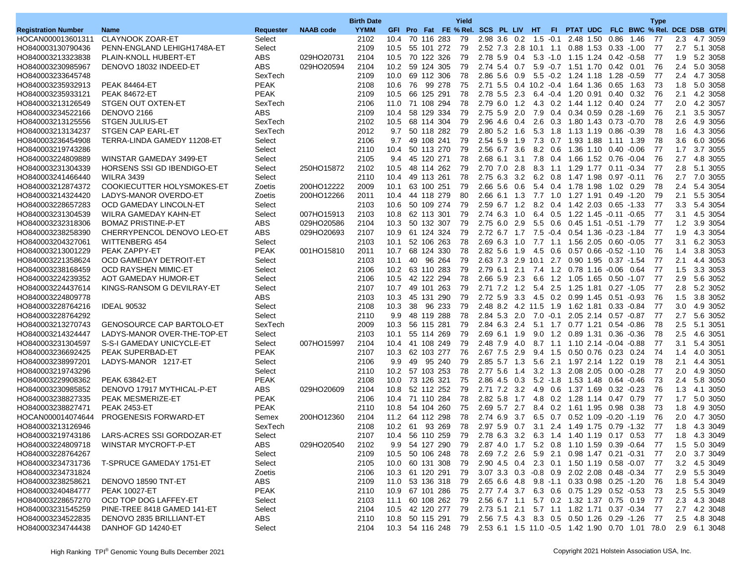| <b>NAAB</b> code<br><b>YYMM</b><br>GFI Pro Fat FE % Rel. SCS PL LIV HT<br>FI PTAT UDC FLC BWC % Rel. DCE DSB GTPI<br><b>Registration Number</b><br>Requester<br><b>Name</b><br>HOCAN000013601311<br><b>CLAYNOOK ZOAR-ET</b><br>2102<br>10.4<br>70 116 283<br>79<br>2.98 3.6 0.2<br>1.5 -0.1 2.48 1.50 0.86<br>1.46<br>77<br>2.3<br>4.7 3059<br>Select<br>5.1 3058<br>PENN-ENGLAND LEHIGH1748A-ET<br>Select<br>2109<br>10.5<br>55 101 272<br>79<br>2.52 7.3 2.8 10.1 1.1 0.88 1.53 0.33 -1.00<br>77<br>2.7<br>HO840003130790436<br>ABS<br>029HO20731<br>79<br>2.78 5.9 0.4<br>5.2 3058<br>HO840003213323838<br>PLAIN-KNOLL HUBERT-ET<br>2104<br>10.5 70 122 326<br>5.3 -1.0 1.15 1.24 0.42 -0.58<br>77<br>1.9<br><b>ABS</b><br>HO840003230985967<br>DENOVO 18032 INDEED-ET<br>029HO20594<br>2104<br>10.2<br>59 124 305<br>79<br>2.74 5.4<br>0.7<br>5.9 -0.7 1.51 1.70<br>76<br>2.4<br>5.0 3058<br>$0.42$ 0.01<br>HO840003233645748<br>SexTech<br>2109<br>10.0<br>69 112 306<br>78<br>2.86 5.6 0.9<br>5.5 -0.2 1.24 1.18<br>77<br>2.4<br>4.7 3058<br>1.28 -0.59<br><b>PEAK</b><br>HO840003235932913<br>2108<br>10.6<br>76<br>99 278<br>75<br>2.71 5.5 0.4 10.2 -0.4 1.64 1.36 0.65 1.63<br>73<br>1.8<br>5.0 3058<br><b>PEAK 84464-ET</b><br><b>PEAK</b><br>2.1<br>HO840003235933121<br>2109<br>66<br>125 291<br>78<br>2.78 5.5<br>2.3<br>6.4 -0.4 1.20 0.91<br>76<br>4.2 3058<br><b>PEAK 84672-ET</b><br>10.5<br>$0.40$ 0.32<br>2.0<br>HO840003213126549<br>STGEN OUT OXTEN-ET<br>SexTech<br>2106<br>11.0 71 108 294<br>78<br>2.79 6.0 1.2<br>4.3 0.2 1.44 1.12 0.40 0.24<br>77<br>4.2 3057<br>HO840003234522166<br><b>ABS</b><br>2109<br>58 129 334<br>79<br>2.75 5.9 2.0<br>7.9 0.4 0.34 0.59 0.28 -1.69<br>2.1<br>3.5 3057<br>DENOVO 2166<br>10.4<br>76<br>2.6<br>4.9 3056<br>HO840003213125556<br><b>STGEN JULIUS-ET</b><br>SexTech<br>2102<br>10.5<br>68 114 304<br>79<br>2.96 4.6 0.4<br>2.6 0.3 1.80 1.43 0.73 0.70<br>78<br>HO840003213134237<br>STGEN CAP EARL-ET<br>SexTech<br>2012<br>9.7<br>50 118 282<br>79<br>2.80 5.2 1.6<br>5.3 1.8 1.13 1.19 0.86 -0.39<br>78<br>1.6<br>4.3 3056<br>Select<br>49 108 241<br>79<br>3.6<br>6.0 3056<br>HO840003236454908<br>TERRA-LINDA GAMEDY 11208-ET<br>2106<br>9.7<br>2.54 5.9 1.9<br>7.3 0.7 1.93 1.88<br>1.11 1.39<br>78<br>HO840003219743286<br>Select<br>2110<br>10.4<br>50 113 270<br>79<br>2.56 6.7 3.6<br>8.2 0.6 1.36 1.10 0.40 0.06<br>77<br>1.7<br>3.7 3055<br>HO840003224809889<br>WINSTAR GAMEDAY 3499-ET<br>2105<br>45 120 271<br>78<br>2.68 6.1 3.1 7.8 0.4 1.66 1.52 0.76 0.04<br>76<br>2.7<br>4.8 3055<br>Select<br>9.4<br>8.3 1.1 1.29 1.77<br>2.8<br>5.1 3055<br>HO840003231304339<br>HORSENS SSI GD IBENDIGO-ET<br>250HO15872<br>2102<br>10.5<br>48 114 262<br>79<br>2.70 7.0 2.8<br>77<br>Select<br>$0.11 - 0.34$<br>7.0 3055<br>HO840003241466440<br>2110<br>49 113 261<br>78<br>2.75 6.3 3.2<br>6.2 0.8 1.47 1.98 0.97 -0.11<br>76<br>2.7<br><b>WILRA 3439</b><br>Select<br>10.4<br>COOKIECUTTER HOLYSMOKES-ET<br>200HO12222<br>2009<br>79<br>$2.66$ 5.6 0.6<br>5.4 0.4 1.78 1.98 1.02 0.29<br>78<br>2.4<br>5.4 3054<br>HO840003212874372<br>Zoetis<br>10.1 63 100 251<br>HO840003214324420<br>LADYS-MANOR OVERDO-ET<br>200HO12266<br>2011<br>44 118 279<br>80<br>2.66 6.1 1.3<br>7.7 1.0 1.27 1.91<br>79<br>2.1<br>5.5 3054<br>Zoetis<br>10.4<br>$0.49 - 1.20$<br>3.3<br>HO840003228657283<br>OCD GAMEDAY LINCOLN-ET<br>2103<br>10.6<br>50 109 274<br>79<br>2.59 6.7 1.2<br>8.2 0.4 1.42 2.03 0.65 -1.33<br>77<br>5.4 3054<br>Select<br>HO840003231304539<br>WILRA GAMEDAY KAHN-ET<br>007HO15913<br>2103<br>10.8<br>62 113 301<br>79<br>2.74 6.3 1.0<br>6.4 0.5 1.22 1.45 -0.11 -0.65<br>77<br>3.1<br>4.5 3054<br>Select<br>HO840003232318306<br><b>BOMAZ PRISTINE-P-ET</b><br>ABS<br>029HO20586<br>2104<br>50 132 307<br>79<br>5.5 0.6 0.45 1.51 -0.51 -1.79<br>77<br>1.2<br>3.9 3054<br>10.3<br>2.75 6.0 2.9<br><b>ABS</b><br>HO840003238258390<br>CHERRYPENCOL DENOVO LEO-ET<br>029HO20693<br>2107<br>10.9<br>61 124 324<br>79<br>2.72 6.7 1.7 7.5 -0.4 0.54 1.36 -0.23 -1.84<br>77<br>1.9<br>4.3 3054<br>HO840003204327061<br><b>WITTENBERG 454</b><br>2103<br>10.1<br>52 106 263<br>78<br>2.69 6.3 1.0<br>7.7 1.1 1.56 2.05 0.60 0.05<br>77<br>3.1<br>6.2 3053<br>Select<br><b>PEAK</b><br>HO840003213001229<br>PEAK ZAPPY-ET<br>001HO15810<br>2011<br>10.7<br>68 124 330<br>78<br>2.82 5.6 1.9<br>4.5 0.6 0.57 0.66 -0.52 -1.10<br>76<br>1.4<br>3.8 3053<br>HO840003221358624<br>96 264<br>79<br>2.63 7.3 2.9 10.1 2.7 0.90 1.95 0.37 -1.54<br>2.1<br>4.4 3053<br>OCD GAMEDAY DETROIT-ET<br>Select<br>2103<br>10.1<br>40<br>-77<br>HO840003238168459<br>OCD RAYSHEN MIMIC-ET<br>2106<br>10.2<br>63 110 283<br>79<br>2.79 6.1 2.1<br>7.4 1.2 0.78 1.16 -0.06 0.64<br>77<br>1.5<br>3.3 3053<br>Select<br>2.66 5.9 2.3<br>1.2 1.05 1.65<br>HO840003224239352<br>AOT GAMEDAY HUMOR-ET<br>Select<br>2106<br>10.5<br>42 122 294<br>78<br>6.6<br>77<br>2.9<br>5.6 3052<br>0.50 -1.07<br>49 101 263<br>79<br>2.71 7.2 1.2<br>77<br>2.8<br>5.2 3052<br>HO840003224437614<br>KINGS-RANSOM G DEVILRAY-ET<br>Select<br>2107<br>10.7<br>5.4 2.5 1.25 1.81 0.27 -1.05<br><b>ABS</b><br>HO840003224809778<br>2103<br>10.3<br>45 131 290<br>79<br>2.72 5.9<br>3.3<br>4.5 0.2 0.99 1.45 0.51 -0.93<br>76<br>1.5<br>3.8 3052<br>4.9 3052<br>HO840003228764216<br><b>IDEAL 90532</b><br>Select<br>2108<br>10.3<br>38<br>96 233<br>79<br>2.48 8.2 4.2 11.5 1.9 1.62 1.81 0.33 -0.84<br>77<br>3.0<br>78<br>Select<br>2110<br>9.9<br>48 119 288<br>2.84 5.3 2.0<br>7.0 -0.1 2.05 2.14 0.57 -0.87<br>77<br>2.7<br>5.6 3052<br>HO840003228764292<br>HO840003213270743<br><b>GENOSOURCE CAP BARTOLO-ET</b><br>SexTech<br>2009<br>56 115 281<br>79<br>2.84 6.3 2.4<br>5.1 1.7 0.77 1.21<br>78<br>2.5<br>5.1 3051<br>10.3<br>$0.54 - 0.86$<br>2.5<br>HO840003214324447<br>LADYS-MANOR OVER-THE-TOP-ET<br>2103<br>10.1<br>55 114 269<br>79<br>2.69 6.1 1.9<br>9.0 1.2 0.89 1.31 0.36 -0.36<br>78<br>4.6 3051<br>Select<br>HO840003231304597<br>S-S-I GAMEDAY UNICYCLE-ET<br>Select<br>007HO15997<br>2104<br>10.4<br>41 108 249<br>79<br>2.48 7.9 4.0<br>8.7 1.1 1.10 2.14 -0.04 -0.88<br>77<br>3.1<br>5.4 3051<br><b>PEAK</b><br>HO840003236692425<br>PEAK SUPERBAD-ET<br>2107<br>10.3<br>62 103 277<br>76<br>2.67 7.5<br>2.9<br>9.4 1.5 0.50 0.76 0.23 0.24<br>74<br>4.0 3051<br>1.4<br>HO840003238997201<br>LADYS-MANOR 1217-ET<br>2106<br>9.9<br>49<br>95 240<br>79<br>2.85 5.7 1.3<br>5.6 2.1 1.97 2.14 1.22 0.19<br>78<br>2.1<br>4.4 3051<br>Select<br>2110<br>10.2 57 103 253<br>78<br>2.77 5.6 1.4<br>3.2 1.3 2.08 2.05 0.00 -0.28<br>77<br>2.0<br>4.9 3050<br>HO840003219743296<br>Select<br><b>PEAK</b><br>HO840003229908362<br><b>PEAK 63842-ET</b><br>2108<br>10.0<br>73 126 321<br>75<br>2.86 4.5 0.3<br>5.2 -1.8 1.53 1.48<br>73<br>2.4<br>5.8 3050<br>0.64 -0.46<br>HO840003230985852<br>DENOVO 17917 MYTHICAL-P-ET<br>ABS<br>029HO20609<br>2104<br>10.8<br>52 112 252<br>79<br>2.71 7.2 3.2<br>4.9 0.6 1.37 1.69 0.32 -0.23<br>76<br>1.3<br>4.1 3050<br><b>PEAK</b><br>HO840003238827335<br>PEAK MESMERIZE-ET<br>2106<br>71 110 284<br>78<br>2.82 5.8<br>1.7<br>4.8 0.2 1.28 1.14<br>77<br>1.7<br>5.0 3050<br>10.4<br>0.47 0.79<br>HO840003238827471<br><b>PEAK</b><br>2110<br>10.8<br>54 104 260<br>75<br>2.69 5.7 2.7<br>8.4 0.2 1.61 1.95 0.98 0.38<br>73<br>1.8<br>4.9 3050<br><b>PEAK 2453-ET</b><br><b>PROGENESIS FORWARD-ET</b><br>200HO12360<br>2104<br>78<br>2.74 6.9 3.7 6.5 0.7 0.52 1.09 0.20 -1.19<br>76<br>2.0<br>HOCAN000014074644<br>Semex<br>11.2 64 112 298<br>4.7 3050<br>HO840003213126946<br>SexTech<br>2108<br>10.2<br>61 93 269<br>78<br>2.97 5.9 0.7 3.1 2.4 1.49 1.75 0.79 -1.32<br>-77<br>1.8<br>4.3 3049<br>LARS-ACRES SSI GORDOZAR-ET<br>HO840003219743186<br>2107<br>Select<br>10.4<br>56 110 259 79<br>2.78 6.3 3.2 6.3 1.4 1.40 1.19 0.17 0.53 77<br>1.8 4.3 3049<br>HO840003224809718<br>WINSTAR MYCROFT-P-ET<br>ABS<br>029HO20540<br>2102<br>9.9 54 127 290 79 2.87 4.0 1.7 5.2 0.8 1.10 1.59 0.39 -0.64 77<br>1.5 5.0 3049<br>HO840003228764267<br>Select<br>2109<br>2.69 7.2 2.6 5.9 2.1 0.98 1.47 0.21 -0.31<br>2.0 3.7 3049<br>10.5 50 106 248 78<br>- 77<br>HO840003234731736<br>T-SPRUCE GAMEDAY 1751-ET<br>Select<br>2105<br>10.0 60 131 308 79 2.90 4.5 0.4 2.3 0.1 1.50 1.19 0.58 -0.07 77<br>3.2 4.5 3049<br>HO840003234731824<br>Zoetis<br>2106<br>10.3 61 120 291 79 3.07 3.3 0.3 -0.8 0.9 2.02 2.08 0.48 -0.34<br>2.9 5.5 3049<br>- 77<br>ABS<br>HO840003238258621<br>DENOVO 18590 TNT-ET<br>2.65 6.6 4.8 9.8 -1.1 0.33 0.98 0.25 -1.20<br>1.8 5.4 3049<br>2109<br>11.0 53 136 318 79<br>-76<br>HO840003240484777<br><b>PEAK 10027-ET</b><br><b>PEAK</b><br>2110<br>10.9 67 101 286 75 2.77 7.4 3.7 6.3 0.6 0.75 1.29 0.52 -0.53<br>2.5 5.5 3049<br>- 73<br>HO840003228657270<br>OCD TOP DOG LAFFEY-ET<br>Select<br>2103<br>11.1 60 108 262 79 2.56 6.7 1.1 5.7 0.2 1.32 1.37 0.75 0.19<br>2.3 4.3 3048<br>-77<br>HO840003231545259<br>10.5 42 120 277 79 2.73 5.1 2.1 5.7 1.1 1.82 1.71 0.37 -0.34 77<br>PINE-TREE 8418 GAMED 141-ET<br>Select<br>2104<br>2.7 4.2 3048<br>HO840003234522835<br>DENOVO 2835 BRILLIANT-ET<br>ABS<br>10.8 50 115 291 79 2.56 7.5 4.3 8.3 0.5 0.50 1.26 0.29 -1.26 77<br>2.5 4.8 3048<br>2110<br>HO840003234744438<br>DANHOF GD 14240-ET<br>Select<br>2104<br>10.3 54 116 248 79 2.53 6.1 1.5 11.0 -0.5 1.42 1.90 0.70 1.01 78.0 2.9 6.1 3048 |  |  | <b>Birth Date</b> |  |  | Yield |  |  |  |  | <b>Type</b> |  |
|-------------------------------------------------------------------------------------------------------------------------------------------------------------------------------------------------------------------------------------------------------------------------------------------------------------------------------------------------------------------------------------------------------------------------------------------------------------------------------------------------------------------------------------------------------------------------------------------------------------------------------------------------------------------------------------------------------------------------------------------------------------------------------------------------------------------------------------------------------------------------------------------------------------------------------------------------------------------------------------------------------------------------------------------------------------------------------------------------------------------------------------------------------------------------------------------------------------------------------------------------------------------------------------------------------------------------------------------------------------------------------------------------------------------------------------------------------------------------------------------------------------------------------------------------------------------------------------------------------------------------------------------------------------------------------------------------------------------------------------------------------------------------------------------------------------------------------------------------------------------------------------------------------------------------------------------------------------------------------------------------------------------------------------------------------------------------------------------------------------------------------------------------------------------------------------------------------------------------------------------------------------------------------------------------------------------------------------------------------------------------------------------------------------------------------------------------------------------------------------------------------------------------------------------------------------------------------------------------------------------------------------------------------------------------------------------------------------------------------------------------------------------------------------------------------------------------------------------------------------------------------------------------------------------------------------------------------------------------------------------------------------------------------------------------------------------------------------------------------------------------------------------------------------------------------------------------------------------------------------------------------------------------------------------------------------------------------------------------------------------------------------------------------------------------------------------------------------------------------------------------------------------------------------------------------------------------------------------------------------------------------------------------------------------------------------------------------------------------------------------------------------------------------------------------------------------------------------------------------------------------------------------------------------------------------------------------------------------------------------------------------------------------------------------------------------------------------------------------------------------------------------------------------------------------------------------------------------------------------------------------------------------------------------------------------------------------------------------------------------------------------------------------------------------------------------------------------------------------------------------------------------------------------------------------------------------------------------------------------------------------------------------------------------------------------------------------------------------------------------------------------------------------------------------------------------------------------------------------------------------------------------------------------------------------------------------------------------------------------------------------------------------------------------------------------------------------------------------------------------------------------------------------------------------------------------------------------------------------------------------------------------------------------------------------------------------------------------------------------------------------------------------------------------------------------------------------------------------------------------------------------------------------------------------------------------------------------------------------------------------------------------------------------------------------------------------------------------------------------------------------------------------------------------------------------------------------------------------------------------------------------------------------------------------------------------------------------------------------------------------------------------------------------------------------------------------------------------------------------------------------------------------------------------------------------------------------------------------------------------------------------------------------------------------------------------------------------------------------------------------------------------------------------------------------------------------------------------------------------------------------------------------------------------------------------------------------------------------------------------------------------------------------------------------------------------------------------------------------------------------------------------------------------------------------------------------------------------------------------------------------------------------------------------------------------------------------------------------------------------------------------------------------------------------------------------------------------------------------------------------------------------------------------------------------------------------------------------------------------------------------------------------------------------------------------------------------------------------------------------------------------------------------------------------------------------------------------------------------------------------------------------------------------------------------------------------------------------------------------------------------------------------------------------------------------------------------------------------------------------------------------------------------------------------------------------------------------------------------------------------------------------------------------------------------------------------------------------------------------------------------------------------------------------------------------------------------------------------------------------------------------------------------------------------------------------------------------------------------------------------------------------------------------------------------------------------------------------------------------------------------------------------------------------------------------------------------------------------------------------------------------------------------------------------------------------------------------------------------------------------------------------------------------------------------------------------------------------------------------------------------------------------------------------------------------------------------------------------------------------------------------------------------------------------------------------------------------------------------------------------------------------------------------------------------------------------------------------------------------------------------------------------------------------------------------------------------------------------------------------------------------------------------------------------------------------------------------------------------------------------------------------------|--|--|-------------------|--|--|-------|--|--|--|--|-------------|--|
|                                                                                                                                                                                                                                                                                                                                                                                                                                                                                                                                                                                                                                                                                                                                                                                                                                                                                                                                                                                                                                                                                                                                                                                                                                                                                                                                                                                                                                                                                                                                                                                                                                                                                                                                                                                                                                                                                                                                                                                                                                                                                                                                                                                                                                                                                                                                                                                                                                                                                                                                                                                                                                                                                                                                                                                                                                                                                                                                                                                                                                                                                                                                                                                                                                                                                                                                                                                                                                                                                                                                                                                                                                                                                                                                                                                                                                                                                                                                                                                                                                                                                                                                                                                                                                                                                                                                                                                                                                                                                                                                                                                                                                                                                                                                                                                                                                                                                                                                                                                                                                                                                                                                                                                                                                                                                                                                                                                                                                                                                                                                                                                                                                                                                                                                                                                                                                                                                                                                                                                                                                                                                                                                                                                                                                                                                                                                                                                                                                                                                                                                                                                                                                                                                                                                                                                                                                                                                                                                                                                                                                                                                                                                                                                                                                                                                                                                                                                                                                                                                                                                                                                                                                                                                                                                                                                                                                                                                                                                                                                                                                                                                                                                                                                                                                                                                                                                                                                                                                                                                                                                                                                                                                                                                                                                                                                                                                                                                                                                                                                                                                                                                                                                                                                                                                                                                                                                                                                           |  |  |                   |  |  |       |  |  |  |  |             |  |
|                                                                                                                                                                                                                                                                                                                                                                                                                                                                                                                                                                                                                                                                                                                                                                                                                                                                                                                                                                                                                                                                                                                                                                                                                                                                                                                                                                                                                                                                                                                                                                                                                                                                                                                                                                                                                                                                                                                                                                                                                                                                                                                                                                                                                                                                                                                                                                                                                                                                                                                                                                                                                                                                                                                                                                                                                                                                                                                                                                                                                                                                                                                                                                                                                                                                                                                                                                                                                                                                                                                                                                                                                                                                                                                                                                                                                                                                                                                                                                                                                                                                                                                                                                                                                                                                                                                                                                                                                                                                                                                                                                                                                                                                                                                                                                                                                                                                                                                                                                                                                                                                                                                                                                                                                                                                                                                                                                                                                                                                                                                                                                                                                                                                                                                                                                                                                                                                                                                                                                                                                                                                                                                                                                                                                                                                                                                                                                                                                                                                                                                                                                                                                                                                                                                                                                                                                                                                                                                                                                                                                                                                                                                                                                                                                                                                                                                                                                                                                                                                                                                                                                                                                                                                                                                                                                                                                                                                                                                                                                                                                                                                                                                                                                                                                                                                                                                                                                                                                                                                                                                                                                                                                                                                                                                                                                                                                                                                                                                                                                                                                                                                                                                                                                                                                                                                                                                                                                                           |  |  |                   |  |  |       |  |  |  |  |             |  |
|                                                                                                                                                                                                                                                                                                                                                                                                                                                                                                                                                                                                                                                                                                                                                                                                                                                                                                                                                                                                                                                                                                                                                                                                                                                                                                                                                                                                                                                                                                                                                                                                                                                                                                                                                                                                                                                                                                                                                                                                                                                                                                                                                                                                                                                                                                                                                                                                                                                                                                                                                                                                                                                                                                                                                                                                                                                                                                                                                                                                                                                                                                                                                                                                                                                                                                                                                                                                                                                                                                                                                                                                                                                                                                                                                                                                                                                                                                                                                                                                                                                                                                                                                                                                                                                                                                                                                                                                                                                                                                                                                                                                                                                                                                                                                                                                                                                                                                                                                                                                                                                                                                                                                                                                                                                                                                                                                                                                                                                                                                                                                                                                                                                                                                                                                                                                                                                                                                                                                                                                                                                                                                                                                                                                                                                                                                                                                                                                                                                                                                                                                                                                                                                                                                                                                                                                                                                                                                                                                                                                                                                                                                                                                                                                                                                                                                                                                                                                                                                                                                                                                                                                                                                                                                                                                                                                                                                                                                                                                                                                                                                                                                                                                                                                                                                                                                                                                                                                                                                                                                                                                                                                                                                                                                                                                                                                                                                                                                                                                                                                                                                                                                                                                                                                                                                                                                                                                                                           |  |  |                   |  |  |       |  |  |  |  |             |  |
|                                                                                                                                                                                                                                                                                                                                                                                                                                                                                                                                                                                                                                                                                                                                                                                                                                                                                                                                                                                                                                                                                                                                                                                                                                                                                                                                                                                                                                                                                                                                                                                                                                                                                                                                                                                                                                                                                                                                                                                                                                                                                                                                                                                                                                                                                                                                                                                                                                                                                                                                                                                                                                                                                                                                                                                                                                                                                                                                                                                                                                                                                                                                                                                                                                                                                                                                                                                                                                                                                                                                                                                                                                                                                                                                                                                                                                                                                                                                                                                                                                                                                                                                                                                                                                                                                                                                                                                                                                                                                                                                                                                                                                                                                                                                                                                                                                                                                                                                                                                                                                                                                                                                                                                                                                                                                                                                                                                                                                                                                                                                                                                                                                                                                                                                                                                                                                                                                                                                                                                                                                                                                                                                                                                                                                                                                                                                                                                                                                                                                                                                                                                                                                                                                                                                                                                                                                                                                                                                                                                                                                                                                                                                                                                                                                                                                                                                                                                                                                                                                                                                                                                                                                                                                                                                                                                                                                                                                                                                                                                                                                                                                                                                                                                                                                                                                                                                                                                                                                                                                                                                                                                                                                                                                                                                                                                                                                                                                                                                                                                                                                                                                                                                                                                                                                                                                                                                                                                           |  |  |                   |  |  |       |  |  |  |  |             |  |
|                                                                                                                                                                                                                                                                                                                                                                                                                                                                                                                                                                                                                                                                                                                                                                                                                                                                                                                                                                                                                                                                                                                                                                                                                                                                                                                                                                                                                                                                                                                                                                                                                                                                                                                                                                                                                                                                                                                                                                                                                                                                                                                                                                                                                                                                                                                                                                                                                                                                                                                                                                                                                                                                                                                                                                                                                                                                                                                                                                                                                                                                                                                                                                                                                                                                                                                                                                                                                                                                                                                                                                                                                                                                                                                                                                                                                                                                                                                                                                                                                                                                                                                                                                                                                                                                                                                                                                                                                                                                                                                                                                                                                                                                                                                                                                                                                                                                                                                                                                                                                                                                                                                                                                                                                                                                                                                                                                                                                                                                                                                                                                                                                                                                                                                                                                                                                                                                                                                                                                                                                                                                                                                                                                                                                                                                                                                                                                                                                                                                                                                                                                                                                                                                                                                                                                                                                                                                                                                                                                                                                                                                                                                                                                                                                                                                                                                                                                                                                                                                                                                                                                                                                                                                                                                                                                                                                                                                                                                                                                                                                                                                                                                                                                                                                                                                                                                                                                                                                                                                                                                                                                                                                                                                                                                                                                                                                                                                                                                                                                                                                                                                                                                                                                                                                                                                                                                                                                                           |  |  |                   |  |  |       |  |  |  |  |             |  |
|                                                                                                                                                                                                                                                                                                                                                                                                                                                                                                                                                                                                                                                                                                                                                                                                                                                                                                                                                                                                                                                                                                                                                                                                                                                                                                                                                                                                                                                                                                                                                                                                                                                                                                                                                                                                                                                                                                                                                                                                                                                                                                                                                                                                                                                                                                                                                                                                                                                                                                                                                                                                                                                                                                                                                                                                                                                                                                                                                                                                                                                                                                                                                                                                                                                                                                                                                                                                                                                                                                                                                                                                                                                                                                                                                                                                                                                                                                                                                                                                                                                                                                                                                                                                                                                                                                                                                                                                                                                                                                                                                                                                                                                                                                                                                                                                                                                                                                                                                                                                                                                                                                                                                                                                                                                                                                                                                                                                                                                                                                                                                                                                                                                                                                                                                                                                                                                                                                                                                                                                                                                                                                                                                                                                                                                                                                                                                                                                                                                                                                                                                                                                                                                                                                                                                                                                                                                                                                                                                                                                                                                                                                                                                                                                                                                                                                                                                                                                                                                                                                                                                                                                                                                                                                                                                                                                                                                                                                                                                                                                                                                                                                                                                                                                                                                                                                                                                                                                                                                                                                                                                                                                                                                                                                                                                                                                                                                                                                                                                                                                                                                                                                                                                                                                                                                                                                                                                                                           |  |  |                   |  |  |       |  |  |  |  |             |  |
|                                                                                                                                                                                                                                                                                                                                                                                                                                                                                                                                                                                                                                                                                                                                                                                                                                                                                                                                                                                                                                                                                                                                                                                                                                                                                                                                                                                                                                                                                                                                                                                                                                                                                                                                                                                                                                                                                                                                                                                                                                                                                                                                                                                                                                                                                                                                                                                                                                                                                                                                                                                                                                                                                                                                                                                                                                                                                                                                                                                                                                                                                                                                                                                                                                                                                                                                                                                                                                                                                                                                                                                                                                                                                                                                                                                                                                                                                                                                                                                                                                                                                                                                                                                                                                                                                                                                                                                                                                                                                                                                                                                                                                                                                                                                                                                                                                                                                                                                                                                                                                                                                                                                                                                                                                                                                                                                                                                                                                                                                                                                                                                                                                                                                                                                                                                                                                                                                                                                                                                                                                                                                                                                                                                                                                                                                                                                                                                                                                                                                                                                                                                                                                                                                                                                                                                                                                                                                                                                                                                                                                                                                                                                                                                                                                                                                                                                                                                                                                                                                                                                                                                                                                                                                                                                                                                                                                                                                                                                                                                                                                                                                                                                                                                                                                                                                                                                                                                                                                                                                                                                                                                                                                                                                                                                                                                                                                                                                                                                                                                                                                                                                                                                                                                                                                                                                                                                                                                           |  |  |                   |  |  |       |  |  |  |  |             |  |
|                                                                                                                                                                                                                                                                                                                                                                                                                                                                                                                                                                                                                                                                                                                                                                                                                                                                                                                                                                                                                                                                                                                                                                                                                                                                                                                                                                                                                                                                                                                                                                                                                                                                                                                                                                                                                                                                                                                                                                                                                                                                                                                                                                                                                                                                                                                                                                                                                                                                                                                                                                                                                                                                                                                                                                                                                                                                                                                                                                                                                                                                                                                                                                                                                                                                                                                                                                                                                                                                                                                                                                                                                                                                                                                                                                                                                                                                                                                                                                                                                                                                                                                                                                                                                                                                                                                                                                                                                                                                                                                                                                                                                                                                                                                                                                                                                                                                                                                                                                                                                                                                                                                                                                                                                                                                                                                                                                                                                                                                                                                                                                                                                                                                                                                                                                                                                                                                                                                                                                                                                                                                                                                                                                                                                                                                                                                                                                                                                                                                                                                                                                                                                                                                                                                                                                                                                                                                                                                                                                                                                                                                                                                                                                                                                                                                                                                                                                                                                                                                                                                                                                                                                                                                                                                                                                                                                                                                                                                                                                                                                                                                                                                                                                                                                                                                                                                                                                                                                                                                                                                                                                                                                                                                                                                                                                                                                                                                                                                                                                                                                                                                                                                                                                                                                                                                                                                                                                                           |  |  |                   |  |  |       |  |  |  |  |             |  |
|                                                                                                                                                                                                                                                                                                                                                                                                                                                                                                                                                                                                                                                                                                                                                                                                                                                                                                                                                                                                                                                                                                                                                                                                                                                                                                                                                                                                                                                                                                                                                                                                                                                                                                                                                                                                                                                                                                                                                                                                                                                                                                                                                                                                                                                                                                                                                                                                                                                                                                                                                                                                                                                                                                                                                                                                                                                                                                                                                                                                                                                                                                                                                                                                                                                                                                                                                                                                                                                                                                                                                                                                                                                                                                                                                                                                                                                                                                                                                                                                                                                                                                                                                                                                                                                                                                                                                                                                                                                                                                                                                                                                                                                                                                                                                                                                                                                                                                                                                                                                                                                                                                                                                                                                                                                                                                                                                                                                                                                                                                                                                                                                                                                                                                                                                                                                                                                                                                                                                                                                                                                                                                                                                                                                                                                                                                                                                                                                                                                                                                                                                                                                                                                                                                                                                                                                                                                                                                                                                                                                                                                                                                                                                                                                                                                                                                                                                                                                                                                                                                                                                                                                                                                                                                                                                                                                                                                                                                                                                                                                                                                                                                                                                                                                                                                                                                                                                                                                                                                                                                                                                                                                                                                                                                                                                                                                                                                                                                                                                                                                                                                                                                                                                                                                                                                                                                                                                                                           |  |  |                   |  |  |       |  |  |  |  |             |  |
|                                                                                                                                                                                                                                                                                                                                                                                                                                                                                                                                                                                                                                                                                                                                                                                                                                                                                                                                                                                                                                                                                                                                                                                                                                                                                                                                                                                                                                                                                                                                                                                                                                                                                                                                                                                                                                                                                                                                                                                                                                                                                                                                                                                                                                                                                                                                                                                                                                                                                                                                                                                                                                                                                                                                                                                                                                                                                                                                                                                                                                                                                                                                                                                                                                                                                                                                                                                                                                                                                                                                                                                                                                                                                                                                                                                                                                                                                                                                                                                                                                                                                                                                                                                                                                                                                                                                                                                                                                                                                                                                                                                                                                                                                                                                                                                                                                                                                                                                                                                                                                                                                                                                                                                                                                                                                                                                                                                                                                                                                                                                                                                                                                                                                                                                                                                                                                                                                                                                                                                                                                                                                                                                                                                                                                                                                                                                                                                                                                                                                                                                                                                                                                                                                                                                                                                                                                                                                                                                                                                                                                                                                                                                                                                                                                                                                                                                                                                                                                                                                                                                                                                                                                                                                                                                                                                                                                                                                                                                                                                                                                                                                                                                                                                                                                                                                                                                                                                                                                                                                                                                                                                                                                                                                                                                                                                                                                                                                                                                                                                                                                                                                                                                                                                                                                                                                                                                                                                           |  |  |                   |  |  |       |  |  |  |  |             |  |
|                                                                                                                                                                                                                                                                                                                                                                                                                                                                                                                                                                                                                                                                                                                                                                                                                                                                                                                                                                                                                                                                                                                                                                                                                                                                                                                                                                                                                                                                                                                                                                                                                                                                                                                                                                                                                                                                                                                                                                                                                                                                                                                                                                                                                                                                                                                                                                                                                                                                                                                                                                                                                                                                                                                                                                                                                                                                                                                                                                                                                                                                                                                                                                                                                                                                                                                                                                                                                                                                                                                                                                                                                                                                                                                                                                                                                                                                                                                                                                                                                                                                                                                                                                                                                                                                                                                                                                                                                                                                                                                                                                                                                                                                                                                                                                                                                                                                                                                                                                                                                                                                                                                                                                                                                                                                                                                                                                                                                                                                                                                                                                                                                                                                                                                                                                                                                                                                                                                                                                                                                                                                                                                                                                                                                                                                                                                                                                                                                                                                                                                                                                                                                                                                                                                                                                                                                                                                                                                                                                                                                                                                                                                                                                                                                                                                                                                                                                                                                                                                                                                                                                                                                                                                                                                                                                                                                                                                                                                                                                                                                                                                                                                                                                                                                                                                                                                                                                                                                                                                                                                                                                                                                                                                                                                                                                                                                                                                                                                                                                                                                                                                                                                                                                                                                                                                                                                                                                                           |  |  |                   |  |  |       |  |  |  |  |             |  |
|                                                                                                                                                                                                                                                                                                                                                                                                                                                                                                                                                                                                                                                                                                                                                                                                                                                                                                                                                                                                                                                                                                                                                                                                                                                                                                                                                                                                                                                                                                                                                                                                                                                                                                                                                                                                                                                                                                                                                                                                                                                                                                                                                                                                                                                                                                                                                                                                                                                                                                                                                                                                                                                                                                                                                                                                                                                                                                                                                                                                                                                                                                                                                                                                                                                                                                                                                                                                                                                                                                                                                                                                                                                                                                                                                                                                                                                                                                                                                                                                                                                                                                                                                                                                                                                                                                                                                                                                                                                                                                                                                                                                                                                                                                                                                                                                                                                                                                                                                                                                                                                                                                                                                                                                                                                                                                                                                                                                                                                                                                                                                                                                                                                                                                                                                                                                                                                                                                                                                                                                                                                                                                                                                                                                                                                                                                                                                                                                                                                                                                                                                                                                                                                                                                                                                                                                                                                                                                                                                                                                                                                                                                                                                                                                                                                                                                                                                                                                                                                                                                                                                                                                                                                                                                                                                                                                                                                                                                                                                                                                                                                                                                                                                                                                                                                                                                                                                                                                                                                                                                                                                                                                                                                                                                                                                                                                                                                                                                                                                                                                                                                                                                                                                                                                                                                                                                                                                                                           |  |  |                   |  |  |       |  |  |  |  |             |  |
|                                                                                                                                                                                                                                                                                                                                                                                                                                                                                                                                                                                                                                                                                                                                                                                                                                                                                                                                                                                                                                                                                                                                                                                                                                                                                                                                                                                                                                                                                                                                                                                                                                                                                                                                                                                                                                                                                                                                                                                                                                                                                                                                                                                                                                                                                                                                                                                                                                                                                                                                                                                                                                                                                                                                                                                                                                                                                                                                                                                                                                                                                                                                                                                                                                                                                                                                                                                                                                                                                                                                                                                                                                                                                                                                                                                                                                                                                                                                                                                                                                                                                                                                                                                                                                                                                                                                                                                                                                                                                                                                                                                                                                                                                                                                                                                                                                                                                                                                                                                                                                                                                                                                                                                                                                                                                                                                                                                                                                                                                                                                                                                                                                                                                                                                                                                                                                                                                                                                                                                                                                                                                                                                                                                                                                                                                                                                                                                                                                                                                                                                                                                                                                                                                                                                                                                                                                                                                                                                                                                                                                                                                                                                                                                                                                                                                                                                                                                                                                                                                                                                                                                                                                                                                                                                                                                                                                                                                                                                                                                                                                                                                                                                                                                                                                                                                                                                                                                                                                                                                                                                                                                                                                                                                                                                                                                                                                                                                                                                                                                                                                                                                                                                                                                                                                                                                                                                                                                           |  |  |                   |  |  |       |  |  |  |  |             |  |
|                                                                                                                                                                                                                                                                                                                                                                                                                                                                                                                                                                                                                                                                                                                                                                                                                                                                                                                                                                                                                                                                                                                                                                                                                                                                                                                                                                                                                                                                                                                                                                                                                                                                                                                                                                                                                                                                                                                                                                                                                                                                                                                                                                                                                                                                                                                                                                                                                                                                                                                                                                                                                                                                                                                                                                                                                                                                                                                                                                                                                                                                                                                                                                                                                                                                                                                                                                                                                                                                                                                                                                                                                                                                                                                                                                                                                                                                                                                                                                                                                                                                                                                                                                                                                                                                                                                                                                                                                                                                                                                                                                                                                                                                                                                                                                                                                                                                                                                                                                                                                                                                                                                                                                                                                                                                                                                                                                                                                                                                                                                                                                                                                                                                                                                                                                                                                                                                                                                                                                                                                                                                                                                                                                                                                                                                                                                                                                                                                                                                                                                                                                                                                                                                                                                                                                                                                                                                                                                                                                                                                                                                                                                                                                                                                                                                                                                                                                                                                                                                                                                                                                                                                                                                                                                                                                                                                                                                                                                                                                                                                                                                                                                                                                                                                                                                                                                                                                                                                                                                                                                                                                                                                                                                                                                                                                                                                                                                                                                                                                                                                                                                                                                                                                                                                                                                                                                                                                                           |  |  |                   |  |  |       |  |  |  |  |             |  |
|                                                                                                                                                                                                                                                                                                                                                                                                                                                                                                                                                                                                                                                                                                                                                                                                                                                                                                                                                                                                                                                                                                                                                                                                                                                                                                                                                                                                                                                                                                                                                                                                                                                                                                                                                                                                                                                                                                                                                                                                                                                                                                                                                                                                                                                                                                                                                                                                                                                                                                                                                                                                                                                                                                                                                                                                                                                                                                                                                                                                                                                                                                                                                                                                                                                                                                                                                                                                                                                                                                                                                                                                                                                                                                                                                                                                                                                                                                                                                                                                                                                                                                                                                                                                                                                                                                                                                                                                                                                                                                                                                                                                                                                                                                                                                                                                                                                                                                                                                                                                                                                                                                                                                                                                                                                                                                                                                                                                                                                                                                                                                                                                                                                                                                                                                                                                                                                                                                                                                                                                                                                                                                                                                                                                                                                                                                                                                                                                                                                                                                                                                                                                                                                                                                                                                                                                                                                                                                                                                                                                                                                                                                                                                                                                                                                                                                                                                                                                                                                                                                                                                                                                                                                                                                                                                                                                                                                                                                                                                                                                                                                                                                                                                                                                                                                                                                                                                                                                                                                                                                                                                                                                                                                                                                                                                                                                                                                                                                                                                                                                                                                                                                                                                                                                                                                                                                                                                                                           |  |  |                   |  |  |       |  |  |  |  |             |  |
|                                                                                                                                                                                                                                                                                                                                                                                                                                                                                                                                                                                                                                                                                                                                                                                                                                                                                                                                                                                                                                                                                                                                                                                                                                                                                                                                                                                                                                                                                                                                                                                                                                                                                                                                                                                                                                                                                                                                                                                                                                                                                                                                                                                                                                                                                                                                                                                                                                                                                                                                                                                                                                                                                                                                                                                                                                                                                                                                                                                                                                                                                                                                                                                                                                                                                                                                                                                                                                                                                                                                                                                                                                                                                                                                                                                                                                                                                                                                                                                                                                                                                                                                                                                                                                                                                                                                                                                                                                                                                                                                                                                                                                                                                                                                                                                                                                                                                                                                                                                                                                                                                                                                                                                                                                                                                                                                                                                                                                                                                                                                                                                                                                                                                                                                                                                                                                                                                                                                                                                                                                                                                                                                                                                                                                                                                                                                                                                                                                                                                                                                                                                                                                                                                                                                                                                                                                                                                                                                                                                                                                                                                                                                                                                                                                                                                                                                                                                                                                                                                                                                                                                                                                                                                                                                                                                                                                                                                                                                                                                                                                                                                                                                                                                                                                                                                                                                                                                                                                                                                                                                                                                                                                                                                                                                                                                                                                                                                                                                                                                                                                                                                                                                                                                                                                                                                                                                                                                           |  |  |                   |  |  |       |  |  |  |  |             |  |
|                                                                                                                                                                                                                                                                                                                                                                                                                                                                                                                                                                                                                                                                                                                                                                                                                                                                                                                                                                                                                                                                                                                                                                                                                                                                                                                                                                                                                                                                                                                                                                                                                                                                                                                                                                                                                                                                                                                                                                                                                                                                                                                                                                                                                                                                                                                                                                                                                                                                                                                                                                                                                                                                                                                                                                                                                                                                                                                                                                                                                                                                                                                                                                                                                                                                                                                                                                                                                                                                                                                                                                                                                                                                                                                                                                                                                                                                                                                                                                                                                                                                                                                                                                                                                                                                                                                                                                                                                                                                                                                                                                                                                                                                                                                                                                                                                                                                                                                                                                                                                                                                                                                                                                                                                                                                                                                                                                                                                                                                                                                                                                                                                                                                                                                                                                                                                                                                                                                                                                                                                                                                                                                                                                                                                                                                                                                                                                                                                                                                                                                                                                                                                                                                                                                                                                                                                                                                                                                                                                                                                                                                                                                                                                                                                                                                                                                                                                                                                                                                                                                                                                                                                                                                                                                                                                                                                                                                                                                                                                                                                                                                                                                                                                                                                                                                                                                                                                                                                                                                                                                                                                                                                                                                                                                                                                                                                                                                                                                                                                                                                                                                                                                                                                                                                                                                                                                                                                                           |  |  |                   |  |  |       |  |  |  |  |             |  |
|                                                                                                                                                                                                                                                                                                                                                                                                                                                                                                                                                                                                                                                                                                                                                                                                                                                                                                                                                                                                                                                                                                                                                                                                                                                                                                                                                                                                                                                                                                                                                                                                                                                                                                                                                                                                                                                                                                                                                                                                                                                                                                                                                                                                                                                                                                                                                                                                                                                                                                                                                                                                                                                                                                                                                                                                                                                                                                                                                                                                                                                                                                                                                                                                                                                                                                                                                                                                                                                                                                                                                                                                                                                                                                                                                                                                                                                                                                                                                                                                                                                                                                                                                                                                                                                                                                                                                                                                                                                                                                                                                                                                                                                                                                                                                                                                                                                                                                                                                                                                                                                                                                                                                                                                                                                                                                                                                                                                                                                                                                                                                                                                                                                                                                                                                                                                                                                                                                                                                                                                                                                                                                                                                                                                                                                                                                                                                                                                                                                                                                                                                                                                                                                                                                                                                                                                                                                                                                                                                                                                                                                                                                                                                                                                                                                                                                                                                                                                                                                                                                                                                                                                                                                                                                                                                                                                                                                                                                                                                                                                                                                                                                                                                                                                                                                                                                                                                                                                                                                                                                                                                                                                                                                                                                                                                                                                                                                                                                                                                                                                                                                                                                                                                                                                                                                                                                                                                                                           |  |  |                   |  |  |       |  |  |  |  |             |  |
|                                                                                                                                                                                                                                                                                                                                                                                                                                                                                                                                                                                                                                                                                                                                                                                                                                                                                                                                                                                                                                                                                                                                                                                                                                                                                                                                                                                                                                                                                                                                                                                                                                                                                                                                                                                                                                                                                                                                                                                                                                                                                                                                                                                                                                                                                                                                                                                                                                                                                                                                                                                                                                                                                                                                                                                                                                                                                                                                                                                                                                                                                                                                                                                                                                                                                                                                                                                                                                                                                                                                                                                                                                                                                                                                                                                                                                                                                                                                                                                                                                                                                                                                                                                                                                                                                                                                                                                                                                                                                                                                                                                                                                                                                                                                                                                                                                                                                                                                                                                                                                                                                                                                                                                                                                                                                                                                                                                                                                                                                                                                                                                                                                                                                                                                                                                                                                                                                                                                                                                                                                                                                                                                                                                                                                                                                                                                                                                                                                                                                                                                                                                                                                                                                                                                                                                                                                                                                                                                                                                                                                                                                                                                                                                                                                                                                                                                                                                                                                                                                                                                                                                                                                                                                                                                                                                                                                                                                                                                                                                                                                                                                                                                                                                                                                                                                                                                                                                                                                                                                                                                                                                                                                                                                                                                                                                                                                                                                                                                                                                                                                                                                                                                                                                                                                                                                                                                                                                           |  |  |                   |  |  |       |  |  |  |  |             |  |
|                                                                                                                                                                                                                                                                                                                                                                                                                                                                                                                                                                                                                                                                                                                                                                                                                                                                                                                                                                                                                                                                                                                                                                                                                                                                                                                                                                                                                                                                                                                                                                                                                                                                                                                                                                                                                                                                                                                                                                                                                                                                                                                                                                                                                                                                                                                                                                                                                                                                                                                                                                                                                                                                                                                                                                                                                                                                                                                                                                                                                                                                                                                                                                                                                                                                                                                                                                                                                                                                                                                                                                                                                                                                                                                                                                                                                                                                                                                                                                                                                                                                                                                                                                                                                                                                                                                                                                                                                                                                                                                                                                                                                                                                                                                                                                                                                                                                                                                                                                                                                                                                                                                                                                                                                                                                                                                                                                                                                                                                                                                                                                                                                                                                                                                                                                                                                                                                                                                                                                                                                                                                                                                                                                                                                                                                                                                                                                                                                                                                                                                                                                                                                                                                                                                                                                                                                                                                                                                                                                                                                                                                                                                                                                                                                                                                                                                                                                                                                                                                                                                                                                                                                                                                                                                                                                                                                                                                                                                                                                                                                                                                                                                                                                                                                                                                                                                                                                                                                                                                                                                                                                                                                                                                                                                                                                                                                                                                                                                                                                                                                                                                                                                                                                                                                                                                                                                                                                                           |  |  |                   |  |  |       |  |  |  |  |             |  |
|                                                                                                                                                                                                                                                                                                                                                                                                                                                                                                                                                                                                                                                                                                                                                                                                                                                                                                                                                                                                                                                                                                                                                                                                                                                                                                                                                                                                                                                                                                                                                                                                                                                                                                                                                                                                                                                                                                                                                                                                                                                                                                                                                                                                                                                                                                                                                                                                                                                                                                                                                                                                                                                                                                                                                                                                                                                                                                                                                                                                                                                                                                                                                                                                                                                                                                                                                                                                                                                                                                                                                                                                                                                                                                                                                                                                                                                                                                                                                                                                                                                                                                                                                                                                                                                                                                                                                                                                                                                                                                                                                                                                                                                                                                                                                                                                                                                                                                                                                                                                                                                                                                                                                                                                                                                                                                                                                                                                                                                                                                                                                                                                                                                                                                                                                                                                                                                                                                                                                                                                                                                                                                                                                                                                                                                                                                                                                                                                                                                                                                                                                                                                                                                                                                                                                                                                                                                                                                                                                                                                                                                                                                                                                                                                                                                                                                                                                                                                                                                                                                                                                                                                                                                                                                                                                                                                                                                                                                                                                                                                                                                                                                                                                                                                                                                                                                                                                                                                                                                                                                                                                                                                                                                                                                                                                                                                                                                                                                                                                                                                                                                                                                                                                                                                                                                                                                                                                                                           |  |  |                   |  |  |       |  |  |  |  |             |  |
|                                                                                                                                                                                                                                                                                                                                                                                                                                                                                                                                                                                                                                                                                                                                                                                                                                                                                                                                                                                                                                                                                                                                                                                                                                                                                                                                                                                                                                                                                                                                                                                                                                                                                                                                                                                                                                                                                                                                                                                                                                                                                                                                                                                                                                                                                                                                                                                                                                                                                                                                                                                                                                                                                                                                                                                                                                                                                                                                                                                                                                                                                                                                                                                                                                                                                                                                                                                                                                                                                                                                                                                                                                                                                                                                                                                                                                                                                                                                                                                                                                                                                                                                                                                                                                                                                                                                                                                                                                                                                                                                                                                                                                                                                                                                                                                                                                                                                                                                                                                                                                                                                                                                                                                                                                                                                                                                                                                                                                                                                                                                                                                                                                                                                                                                                                                                                                                                                                                                                                                                                                                                                                                                                                                                                                                                                                                                                                                                                                                                                                                                                                                                                                                                                                                                                                                                                                                                                                                                                                                                                                                                                                                                                                                                                                                                                                                                                                                                                                                                                                                                                                                                                                                                                                                                                                                                                                                                                                                                                                                                                                                                                                                                                                                                                                                                                                                                                                                                                                                                                                                                                                                                                                                                                                                                                                                                                                                                                                                                                                                                                                                                                                                                                                                                                                                                                                                                                                                           |  |  |                   |  |  |       |  |  |  |  |             |  |
|                                                                                                                                                                                                                                                                                                                                                                                                                                                                                                                                                                                                                                                                                                                                                                                                                                                                                                                                                                                                                                                                                                                                                                                                                                                                                                                                                                                                                                                                                                                                                                                                                                                                                                                                                                                                                                                                                                                                                                                                                                                                                                                                                                                                                                                                                                                                                                                                                                                                                                                                                                                                                                                                                                                                                                                                                                                                                                                                                                                                                                                                                                                                                                                                                                                                                                                                                                                                                                                                                                                                                                                                                                                                                                                                                                                                                                                                                                                                                                                                                                                                                                                                                                                                                                                                                                                                                                                                                                                                                                                                                                                                                                                                                                                                                                                                                                                                                                                                                                                                                                                                                                                                                                                                                                                                                                                                                                                                                                                                                                                                                                                                                                                                                                                                                                                                                                                                                                                                                                                                                                                                                                                                                                                                                                                                                                                                                                                                                                                                                                                                                                                                                                                                                                                                                                                                                                                                                                                                                                                                                                                                                                                                                                                                                                                                                                                                                                                                                                                                                                                                                                                                                                                                                                                                                                                                                                                                                                                                                                                                                                                                                                                                                                                                                                                                                                                                                                                                                                                                                                                                                                                                                                                                                                                                                                                                                                                                                                                                                                                                                                                                                                                                                                                                                                                                                                                                                                                           |  |  |                   |  |  |       |  |  |  |  |             |  |
|                                                                                                                                                                                                                                                                                                                                                                                                                                                                                                                                                                                                                                                                                                                                                                                                                                                                                                                                                                                                                                                                                                                                                                                                                                                                                                                                                                                                                                                                                                                                                                                                                                                                                                                                                                                                                                                                                                                                                                                                                                                                                                                                                                                                                                                                                                                                                                                                                                                                                                                                                                                                                                                                                                                                                                                                                                                                                                                                                                                                                                                                                                                                                                                                                                                                                                                                                                                                                                                                                                                                                                                                                                                                                                                                                                                                                                                                                                                                                                                                                                                                                                                                                                                                                                                                                                                                                                                                                                                                                                                                                                                                                                                                                                                                                                                                                                                                                                                                                                                                                                                                                                                                                                                                                                                                                                                                                                                                                                                                                                                                                                                                                                                                                                                                                                                                                                                                                                                                                                                                                                                                                                                                                                                                                                                                                                                                                                                                                                                                                                                                                                                                                                                                                                                                                                                                                                                                                                                                                                                                                                                                                                                                                                                                                                                                                                                                                                                                                                                                                                                                                                                                                                                                                                                                                                                                                                                                                                                                                                                                                                                                                                                                                                                                                                                                                                                                                                                                                                                                                                                                                                                                                                                                                                                                                                                                                                                                                                                                                                                                                                                                                                                                                                                                                                                                                                                                                                                           |  |  |                   |  |  |       |  |  |  |  |             |  |
|                                                                                                                                                                                                                                                                                                                                                                                                                                                                                                                                                                                                                                                                                                                                                                                                                                                                                                                                                                                                                                                                                                                                                                                                                                                                                                                                                                                                                                                                                                                                                                                                                                                                                                                                                                                                                                                                                                                                                                                                                                                                                                                                                                                                                                                                                                                                                                                                                                                                                                                                                                                                                                                                                                                                                                                                                                                                                                                                                                                                                                                                                                                                                                                                                                                                                                                                                                                                                                                                                                                                                                                                                                                                                                                                                                                                                                                                                                                                                                                                                                                                                                                                                                                                                                                                                                                                                                                                                                                                                                                                                                                                                                                                                                                                                                                                                                                                                                                                                                                                                                                                                                                                                                                                                                                                                                                                                                                                                                                                                                                                                                                                                                                                                                                                                                                                                                                                                                                                                                                                                                                                                                                                                                                                                                                                                                                                                                                                                                                                                                                                                                                                                                                                                                                                                                                                                                                                                                                                                                                                                                                                                                                                                                                                                                                                                                                                                                                                                                                                                                                                                                                                                                                                                                                                                                                                                                                                                                                                                                                                                                                                                                                                                                                                                                                                                                                                                                                                                                                                                                                                                                                                                                                                                                                                                                                                                                                                                                                                                                                                                                                                                                                                                                                                                                                                                                                                                                                           |  |  |                   |  |  |       |  |  |  |  |             |  |
|                                                                                                                                                                                                                                                                                                                                                                                                                                                                                                                                                                                                                                                                                                                                                                                                                                                                                                                                                                                                                                                                                                                                                                                                                                                                                                                                                                                                                                                                                                                                                                                                                                                                                                                                                                                                                                                                                                                                                                                                                                                                                                                                                                                                                                                                                                                                                                                                                                                                                                                                                                                                                                                                                                                                                                                                                                                                                                                                                                                                                                                                                                                                                                                                                                                                                                                                                                                                                                                                                                                                                                                                                                                                                                                                                                                                                                                                                                                                                                                                                                                                                                                                                                                                                                                                                                                                                                                                                                                                                                                                                                                                                                                                                                                                                                                                                                                                                                                                                                                                                                                                                                                                                                                                                                                                                                                                                                                                                                                                                                                                                                                                                                                                                                                                                                                                                                                                                                                                                                                                                                                                                                                                                                                                                                                                                                                                                                                                                                                                                                                                                                                                                                                                                                                                                                                                                                                                                                                                                                                                                                                                                                                                                                                                                                                                                                                                                                                                                                                                                                                                                                                                                                                                                                                                                                                                                                                                                                                                                                                                                                                                                                                                                                                                                                                                                                                                                                                                                                                                                                                                                                                                                                                                                                                                                                                                                                                                                                                                                                                                                                                                                                                                                                                                                                                                                                                                                                                           |  |  |                   |  |  |       |  |  |  |  |             |  |
|                                                                                                                                                                                                                                                                                                                                                                                                                                                                                                                                                                                                                                                                                                                                                                                                                                                                                                                                                                                                                                                                                                                                                                                                                                                                                                                                                                                                                                                                                                                                                                                                                                                                                                                                                                                                                                                                                                                                                                                                                                                                                                                                                                                                                                                                                                                                                                                                                                                                                                                                                                                                                                                                                                                                                                                                                                                                                                                                                                                                                                                                                                                                                                                                                                                                                                                                                                                                                                                                                                                                                                                                                                                                                                                                                                                                                                                                                                                                                                                                                                                                                                                                                                                                                                                                                                                                                                                                                                                                                                                                                                                                                                                                                                                                                                                                                                                                                                                                                                                                                                                                                                                                                                                                                                                                                                                                                                                                                                                                                                                                                                                                                                                                                                                                                                                                                                                                                                                                                                                                                                                                                                                                                                                                                                                                                                                                                                                                                                                                                                                                                                                                                                                                                                                                                                                                                                                                                                                                                                                                                                                                                                                                                                                                                                                                                                                                                                                                                                                                                                                                                                                                                                                                                                                                                                                                                                                                                                                                                                                                                                                                                                                                                                                                                                                                                                                                                                                                                                                                                                                                                                                                                                                                                                                                                                                                                                                                                                                                                                                                                                                                                                                                                                                                                                                                                                                                                                                           |  |  |                   |  |  |       |  |  |  |  |             |  |
|                                                                                                                                                                                                                                                                                                                                                                                                                                                                                                                                                                                                                                                                                                                                                                                                                                                                                                                                                                                                                                                                                                                                                                                                                                                                                                                                                                                                                                                                                                                                                                                                                                                                                                                                                                                                                                                                                                                                                                                                                                                                                                                                                                                                                                                                                                                                                                                                                                                                                                                                                                                                                                                                                                                                                                                                                                                                                                                                                                                                                                                                                                                                                                                                                                                                                                                                                                                                                                                                                                                                                                                                                                                                                                                                                                                                                                                                                                                                                                                                                                                                                                                                                                                                                                                                                                                                                                                                                                                                                                                                                                                                                                                                                                                                                                                                                                                                                                                                                                                                                                                                                                                                                                                                                                                                                                                                                                                                                                                                                                                                                                                                                                                                                                                                                                                                                                                                                                                                                                                                                                                                                                                                                                                                                                                                                                                                                                                                                                                                                                                                                                                                                                                                                                                                                                                                                                                                                                                                                                                                                                                                                                                                                                                                                                                                                                                                                                                                                                                                                                                                                                                                                                                                                                                                                                                                                                                                                                                                                                                                                                                                                                                                                                                                                                                                                                                                                                                                                                                                                                                                                                                                                                                                                                                                                                                                                                                                                                                                                                                                                                                                                                                                                                                                                                                                                                                                                                                           |  |  |                   |  |  |       |  |  |  |  |             |  |
|                                                                                                                                                                                                                                                                                                                                                                                                                                                                                                                                                                                                                                                                                                                                                                                                                                                                                                                                                                                                                                                                                                                                                                                                                                                                                                                                                                                                                                                                                                                                                                                                                                                                                                                                                                                                                                                                                                                                                                                                                                                                                                                                                                                                                                                                                                                                                                                                                                                                                                                                                                                                                                                                                                                                                                                                                                                                                                                                                                                                                                                                                                                                                                                                                                                                                                                                                                                                                                                                                                                                                                                                                                                                                                                                                                                                                                                                                                                                                                                                                                                                                                                                                                                                                                                                                                                                                                                                                                                                                                                                                                                                                                                                                                                                                                                                                                                                                                                                                                                                                                                                                                                                                                                                                                                                                                                                                                                                                                                                                                                                                                                                                                                                                                                                                                                                                                                                                                                                                                                                                                                                                                                                                                                                                                                                                                                                                                                                                                                                                                                                                                                                                                                                                                                                                                                                                                                                                                                                                                                                                                                                                                                                                                                                                                                                                                                                                                                                                                                                                                                                                                                                                                                                                                                                                                                                                                                                                                                                                                                                                                                                                                                                                                                                                                                                                                                                                                                                                                                                                                                                                                                                                                                                                                                                                                                                                                                                                                                                                                                                                                                                                                                                                                                                                                                                                                                                                                                           |  |  |                   |  |  |       |  |  |  |  |             |  |
|                                                                                                                                                                                                                                                                                                                                                                                                                                                                                                                                                                                                                                                                                                                                                                                                                                                                                                                                                                                                                                                                                                                                                                                                                                                                                                                                                                                                                                                                                                                                                                                                                                                                                                                                                                                                                                                                                                                                                                                                                                                                                                                                                                                                                                                                                                                                                                                                                                                                                                                                                                                                                                                                                                                                                                                                                                                                                                                                                                                                                                                                                                                                                                                                                                                                                                                                                                                                                                                                                                                                                                                                                                                                                                                                                                                                                                                                                                                                                                                                                                                                                                                                                                                                                                                                                                                                                                                                                                                                                                                                                                                                                                                                                                                                                                                                                                                                                                                                                                                                                                                                                                                                                                                                                                                                                                                                                                                                                                                                                                                                                                                                                                                                                                                                                                                                                                                                                                                                                                                                                                                                                                                                                                                                                                                                                                                                                                                                                                                                                                                                                                                                                                                                                                                                                                                                                                                                                                                                                                                                                                                                                                                                                                                                                                                                                                                                                                                                                                                                                                                                                                                                                                                                                                                                                                                                                                                                                                                                                                                                                                                                                                                                                                                                                                                                                                                                                                                                                                                                                                                                                                                                                                                                                                                                                                                                                                                                                                                                                                                                                                                                                                                                                                                                                                                                                                                                                                                           |  |  |                   |  |  |       |  |  |  |  |             |  |
|                                                                                                                                                                                                                                                                                                                                                                                                                                                                                                                                                                                                                                                                                                                                                                                                                                                                                                                                                                                                                                                                                                                                                                                                                                                                                                                                                                                                                                                                                                                                                                                                                                                                                                                                                                                                                                                                                                                                                                                                                                                                                                                                                                                                                                                                                                                                                                                                                                                                                                                                                                                                                                                                                                                                                                                                                                                                                                                                                                                                                                                                                                                                                                                                                                                                                                                                                                                                                                                                                                                                                                                                                                                                                                                                                                                                                                                                                                                                                                                                                                                                                                                                                                                                                                                                                                                                                                                                                                                                                                                                                                                                                                                                                                                                                                                                                                                                                                                                                                                                                                                                                                                                                                                                                                                                                                                                                                                                                                                                                                                                                                                                                                                                                                                                                                                                                                                                                                                                                                                                                                                                                                                                                                                                                                                                                                                                                                                                                                                                                                                                                                                                                                                                                                                                                                                                                                                                                                                                                                                                                                                                                                                                                                                                                                                                                                                                                                                                                                                                                                                                                                                                                                                                                                                                                                                                                                                                                                                                                                                                                                                                                                                                                                                                                                                                                                                                                                                                                                                                                                                                                                                                                                                                                                                                                                                                                                                                                                                                                                                                                                                                                                                                                                                                                                                                                                                                                                                           |  |  |                   |  |  |       |  |  |  |  |             |  |
|                                                                                                                                                                                                                                                                                                                                                                                                                                                                                                                                                                                                                                                                                                                                                                                                                                                                                                                                                                                                                                                                                                                                                                                                                                                                                                                                                                                                                                                                                                                                                                                                                                                                                                                                                                                                                                                                                                                                                                                                                                                                                                                                                                                                                                                                                                                                                                                                                                                                                                                                                                                                                                                                                                                                                                                                                                                                                                                                                                                                                                                                                                                                                                                                                                                                                                                                                                                                                                                                                                                                                                                                                                                                                                                                                                                                                                                                                                                                                                                                                                                                                                                                                                                                                                                                                                                                                                                                                                                                                                                                                                                                                                                                                                                                                                                                                                                                                                                                                                                                                                                                                                                                                                                                                                                                                                                                                                                                                                                                                                                                                                                                                                                                                                                                                                                                                                                                                                                                                                                                                                                                                                                                                                                                                                                                                                                                                                                                                                                                                                                                                                                                                                                                                                                                                                                                                                                                                                                                                                                                                                                                                                                                                                                                                                                                                                                                                                                                                                                                                                                                                                                                                                                                                                                                                                                                                                                                                                                                                                                                                                                                                                                                                                                                                                                                                                                                                                                                                                                                                                                                                                                                                                                                                                                                                                                                                                                                                                                                                                                                                                                                                                                                                                                                                                                                                                                                                                                           |  |  |                   |  |  |       |  |  |  |  |             |  |
|                                                                                                                                                                                                                                                                                                                                                                                                                                                                                                                                                                                                                                                                                                                                                                                                                                                                                                                                                                                                                                                                                                                                                                                                                                                                                                                                                                                                                                                                                                                                                                                                                                                                                                                                                                                                                                                                                                                                                                                                                                                                                                                                                                                                                                                                                                                                                                                                                                                                                                                                                                                                                                                                                                                                                                                                                                                                                                                                                                                                                                                                                                                                                                                                                                                                                                                                                                                                                                                                                                                                                                                                                                                                                                                                                                                                                                                                                                                                                                                                                                                                                                                                                                                                                                                                                                                                                                                                                                                                                                                                                                                                                                                                                                                                                                                                                                                                                                                                                                                                                                                                                                                                                                                                                                                                                                                                                                                                                                                                                                                                                                                                                                                                                                                                                                                                                                                                                                                                                                                                                                                                                                                                                                                                                                                                                                                                                                                                                                                                                                                                                                                                                                                                                                                                                                                                                                                                                                                                                                                                                                                                                                                                                                                                                                                                                                                                                                                                                                                                                                                                                                                                                                                                                                                                                                                                                                                                                                                                                                                                                                                                                                                                                                                                                                                                                                                                                                                                                                                                                                                                                                                                                                                                                                                                                                                                                                                                                                                                                                                                                                                                                                                                                                                                                                                                                                                                                                                           |  |  |                   |  |  |       |  |  |  |  |             |  |
|                                                                                                                                                                                                                                                                                                                                                                                                                                                                                                                                                                                                                                                                                                                                                                                                                                                                                                                                                                                                                                                                                                                                                                                                                                                                                                                                                                                                                                                                                                                                                                                                                                                                                                                                                                                                                                                                                                                                                                                                                                                                                                                                                                                                                                                                                                                                                                                                                                                                                                                                                                                                                                                                                                                                                                                                                                                                                                                                                                                                                                                                                                                                                                                                                                                                                                                                                                                                                                                                                                                                                                                                                                                                                                                                                                                                                                                                                                                                                                                                                                                                                                                                                                                                                                                                                                                                                                                                                                                                                                                                                                                                                                                                                                                                                                                                                                                                                                                                                                                                                                                                                                                                                                                                                                                                                                                                                                                                                                                                                                                                                                                                                                                                                                                                                                                                                                                                                                                                                                                                                                                                                                                                                                                                                                                                                                                                                                                                                                                                                                                                                                                                                                                                                                                                                                                                                                                                                                                                                                                                                                                                                                                                                                                                                                                                                                                                                                                                                                                                                                                                                                                                                                                                                                                                                                                                                                                                                                                                                                                                                                                                                                                                                                                                                                                                                                                                                                                                                                                                                                                                                                                                                                                                                                                                                                                                                                                                                                                                                                                                                                                                                                                                                                                                                                                                                                                                                                                           |  |  |                   |  |  |       |  |  |  |  |             |  |
|                                                                                                                                                                                                                                                                                                                                                                                                                                                                                                                                                                                                                                                                                                                                                                                                                                                                                                                                                                                                                                                                                                                                                                                                                                                                                                                                                                                                                                                                                                                                                                                                                                                                                                                                                                                                                                                                                                                                                                                                                                                                                                                                                                                                                                                                                                                                                                                                                                                                                                                                                                                                                                                                                                                                                                                                                                                                                                                                                                                                                                                                                                                                                                                                                                                                                                                                                                                                                                                                                                                                                                                                                                                                                                                                                                                                                                                                                                                                                                                                                                                                                                                                                                                                                                                                                                                                                                                                                                                                                                                                                                                                                                                                                                                                                                                                                                                                                                                                                                                                                                                                                                                                                                                                                                                                                                                                                                                                                                                                                                                                                                                                                                                                                                                                                                                                                                                                                                                                                                                                                                                                                                                                                                                                                                                                                                                                                                                                                                                                                                                                                                                                                                                                                                                                                                                                                                                                                                                                                                                                                                                                                                                                                                                                                                                                                                                                                                                                                                                                                                                                                                                                                                                                                                                                                                                                                                                                                                                                                                                                                                                                                                                                                                                                                                                                                                                                                                                                                                                                                                                                                                                                                                                                                                                                                                                                                                                                                                                                                                                                                                                                                                                                                                                                                                                                                                                                                                                           |  |  |                   |  |  |       |  |  |  |  |             |  |
|                                                                                                                                                                                                                                                                                                                                                                                                                                                                                                                                                                                                                                                                                                                                                                                                                                                                                                                                                                                                                                                                                                                                                                                                                                                                                                                                                                                                                                                                                                                                                                                                                                                                                                                                                                                                                                                                                                                                                                                                                                                                                                                                                                                                                                                                                                                                                                                                                                                                                                                                                                                                                                                                                                                                                                                                                                                                                                                                                                                                                                                                                                                                                                                                                                                                                                                                                                                                                                                                                                                                                                                                                                                                                                                                                                                                                                                                                                                                                                                                                                                                                                                                                                                                                                                                                                                                                                                                                                                                                                                                                                                                                                                                                                                                                                                                                                                                                                                                                                                                                                                                                                                                                                                                                                                                                                                                                                                                                                                                                                                                                                                                                                                                                                                                                                                                                                                                                                                                                                                                                                                                                                                                                                                                                                                                                                                                                                                                                                                                                                                                                                                                                                                                                                                                                                                                                                                                                                                                                                                                                                                                                                                                                                                                                                                                                                                                                                                                                                                                                                                                                                                                                                                                                                                                                                                                                                                                                                                                                                                                                                                                                                                                                                                                                                                                                                                                                                                                                                                                                                                                                                                                                                                                                                                                                                                                                                                                                                                                                                                                                                                                                                                                                                                                                                                                                                                                                                                           |  |  |                   |  |  |       |  |  |  |  |             |  |
|                                                                                                                                                                                                                                                                                                                                                                                                                                                                                                                                                                                                                                                                                                                                                                                                                                                                                                                                                                                                                                                                                                                                                                                                                                                                                                                                                                                                                                                                                                                                                                                                                                                                                                                                                                                                                                                                                                                                                                                                                                                                                                                                                                                                                                                                                                                                                                                                                                                                                                                                                                                                                                                                                                                                                                                                                                                                                                                                                                                                                                                                                                                                                                                                                                                                                                                                                                                                                                                                                                                                                                                                                                                                                                                                                                                                                                                                                                                                                                                                                                                                                                                                                                                                                                                                                                                                                                                                                                                                                                                                                                                                                                                                                                                                                                                                                                                                                                                                                                                                                                                                                                                                                                                                                                                                                                                                                                                                                                                                                                                                                                                                                                                                                                                                                                                                                                                                                                                                                                                                                                                                                                                                                                                                                                                                                                                                                                                                                                                                                                                                                                                                                                                                                                                                                                                                                                                                                                                                                                                                                                                                                                                                                                                                                                                                                                                                                                                                                                                                                                                                                                                                                                                                                                                                                                                                                                                                                                                                                                                                                                                                                                                                                                                                                                                                                                                                                                                                                                                                                                                                                                                                                                                                                                                                                                                                                                                                                                                                                                                                                                                                                                                                                                                                                                                                                                                                                                                           |  |  |                   |  |  |       |  |  |  |  |             |  |
|                                                                                                                                                                                                                                                                                                                                                                                                                                                                                                                                                                                                                                                                                                                                                                                                                                                                                                                                                                                                                                                                                                                                                                                                                                                                                                                                                                                                                                                                                                                                                                                                                                                                                                                                                                                                                                                                                                                                                                                                                                                                                                                                                                                                                                                                                                                                                                                                                                                                                                                                                                                                                                                                                                                                                                                                                                                                                                                                                                                                                                                                                                                                                                                                                                                                                                                                                                                                                                                                                                                                                                                                                                                                                                                                                                                                                                                                                                                                                                                                                                                                                                                                                                                                                                                                                                                                                                                                                                                                                                                                                                                                                                                                                                                                                                                                                                                                                                                                                                                                                                                                                                                                                                                                                                                                                                                                                                                                                                                                                                                                                                                                                                                                                                                                                                                                                                                                                                                                                                                                                                                                                                                                                                                                                                                                                                                                                                                                                                                                                                                                                                                                                                                                                                                                                                                                                                                                                                                                                                                                                                                                                                                                                                                                                                                                                                                                                                                                                                                                                                                                                                                                                                                                                                                                                                                                                                                                                                                                                                                                                                                                                                                                                                                                                                                                                                                                                                                                                                                                                                                                                                                                                                                                                                                                                                                                                                                                                                                                                                                                                                                                                                                                                                                                                                                                                                                                                                                           |  |  |                   |  |  |       |  |  |  |  |             |  |
|                                                                                                                                                                                                                                                                                                                                                                                                                                                                                                                                                                                                                                                                                                                                                                                                                                                                                                                                                                                                                                                                                                                                                                                                                                                                                                                                                                                                                                                                                                                                                                                                                                                                                                                                                                                                                                                                                                                                                                                                                                                                                                                                                                                                                                                                                                                                                                                                                                                                                                                                                                                                                                                                                                                                                                                                                                                                                                                                                                                                                                                                                                                                                                                                                                                                                                                                                                                                                                                                                                                                                                                                                                                                                                                                                                                                                                                                                                                                                                                                                                                                                                                                                                                                                                                                                                                                                                                                                                                                                                                                                                                                                                                                                                                                                                                                                                                                                                                                                                                                                                                                                                                                                                                                                                                                                                                                                                                                                                                                                                                                                                                                                                                                                                                                                                                                                                                                                                                                                                                                                                                                                                                                                                                                                                                                                                                                                                                                                                                                                                                                                                                                                                                                                                                                                                                                                                                                                                                                                                                                                                                                                                                                                                                                                                                                                                                                                                                                                                                                                                                                                                                                                                                                                                                                                                                                                                                                                                                                                                                                                                                                                                                                                                                                                                                                                                                                                                                                                                                                                                                                                                                                                                                                                                                                                                                                                                                                                                                                                                                                                                                                                                                                                                                                                                                                                                                                                                                           |  |  |                   |  |  |       |  |  |  |  |             |  |
|                                                                                                                                                                                                                                                                                                                                                                                                                                                                                                                                                                                                                                                                                                                                                                                                                                                                                                                                                                                                                                                                                                                                                                                                                                                                                                                                                                                                                                                                                                                                                                                                                                                                                                                                                                                                                                                                                                                                                                                                                                                                                                                                                                                                                                                                                                                                                                                                                                                                                                                                                                                                                                                                                                                                                                                                                                                                                                                                                                                                                                                                                                                                                                                                                                                                                                                                                                                                                                                                                                                                                                                                                                                                                                                                                                                                                                                                                                                                                                                                                                                                                                                                                                                                                                                                                                                                                                                                                                                                                                                                                                                                                                                                                                                                                                                                                                                                                                                                                                                                                                                                                                                                                                                                                                                                                                                                                                                                                                                                                                                                                                                                                                                                                                                                                                                                                                                                                                                                                                                                                                                                                                                                                                                                                                                                                                                                                                                                                                                                                                                                                                                                                                                                                                                                                                                                                                                                                                                                                                                                                                                                                                                                                                                                                                                                                                                                                                                                                                                                                                                                                                                                                                                                                                                                                                                                                                                                                                                                                                                                                                                                                                                                                                                                                                                                                                                                                                                                                                                                                                                                                                                                                                                                                                                                                                                                                                                                                                                                                                                                                                                                                                                                                                                                                                                                                                                                                                                           |  |  |                   |  |  |       |  |  |  |  |             |  |
|                                                                                                                                                                                                                                                                                                                                                                                                                                                                                                                                                                                                                                                                                                                                                                                                                                                                                                                                                                                                                                                                                                                                                                                                                                                                                                                                                                                                                                                                                                                                                                                                                                                                                                                                                                                                                                                                                                                                                                                                                                                                                                                                                                                                                                                                                                                                                                                                                                                                                                                                                                                                                                                                                                                                                                                                                                                                                                                                                                                                                                                                                                                                                                                                                                                                                                                                                                                                                                                                                                                                                                                                                                                                                                                                                                                                                                                                                                                                                                                                                                                                                                                                                                                                                                                                                                                                                                                                                                                                                                                                                                                                                                                                                                                                                                                                                                                                                                                                                                                                                                                                                                                                                                                                                                                                                                                                                                                                                                                                                                                                                                                                                                                                                                                                                                                                                                                                                                                                                                                                                                                                                                                                                                                                                                                                                                                                                                                                                                                                                                                                                                                                                                                                                                                                                                                                                                                                                                                                                                                                                                                                                                                                                                                                                                                                                                                                                                                                                                                                                                                                                                                                                                                                                                                                                                                                                                                                                                                                                                                                                                                                                                                                                                                                                                                                                                                                                                                                                                                                                                                                                                                                                                                                                                                                                                                                                                                                                                                                                                                                                                                                                                                                                                                                                                                                                                                                                                                           |  |  |                   |  |  |       |  |  |  |  |             |  |
|                                                                                                                                                                                                                                                                                                                                                                                                                                                                                                                                                                                                                                                                                                                                                                                                                                                                                                                                                                                                                                                                                                                                                                                                                                                                                                                                                                                                                                                                                                                                                                                                                                                                                                                                                                                                                                                                                                                                                                                                                                                                                                                                                                                                                                                                                                                                                                                                                                                                                                                                                                                                                                                                                                                                                                                                                                                                                                                                                                                                                                                                                                                                                                                                                                                                                                                                                                                                                                                                                                                                                                                                                                                                                                                                                                                                                                                                                                                                                                                                                                                                                                                                                                                                                                                                                                                                                                                                                                                                                                                                                                                                                                                                                                                                                                                                                                                                                                                                                                                                                                                                                                                                                                                                                                                                                                                                                                                                                                                                                                                                                                                                                                                                                                                                                                                                                                                                                                                                                                                                                                                                                                                                                                                                                                                                                                                                                                                                                                                                                                                                                                                                                                                                                                                                                                                                                                                                                                                                                                                                                                                                                                                                                                                                                                                                                                                                                                                                                                                                                                                                                                                                                                                                                                                                                                                                                                                                                                                                                                                                                                                                                                                                                                                                                                                                                                                                                                                                                                                                                                                                                                                                                                                                                                                                                                                                                                                                                                                                                                                                                                                                                                                                                                                                                                                                                                                                                                                           |  |  |                   |  |  |       |  |  |  |  |             |  |
|                                                                                                                                                                                                                                                                                                                                                                                                                                                                                                                                                                                                                                                                                                                                                                                                                                                                                                                                                                                                                                                                                                                                                                                                                                                                                                                                                                                                                                                                                                                                                                                                                                                                                                                                                                                                                                                                                                                                                                                                                                                                                                                                                                                                                                                                                                                                                                                                                                                                                                                                                                                                                                                                                                                                                                                                                                                                                                                                                                                                                                                                                                                                                                                                                                                                                                                                                                                                                                                                                                                                                                                                                                                                                                                                                                                                                                                                                                                                                                                                                                                                                                                                                                                                                                                                                                                                                                                                                                                                                                                                                                                                                                                                                                                                                                                                                                                                                                                                                                                                                                                                                                                                                                                                                                                                                                                                                                                                                                                                                                                                                                                                                                                                                                                                                                                                                                                                                                                                                                                                                                                                                                                                                                                                                                                                                                                                                                                                                                                                                                                                                                                                                                                                                                                                                                                                                                                                                                                                                                                                                                                                                                                                                                                                                                                                                                                                                                                                                                                                                                                                                                                                                                                                                                                                                                                                                                                                                                                                                                                                                                                                                                                                                                                                                                                                                                                                                                                                                                                                                                                                                                                                                                                                                                                                                                                                                                                                                                                                                                                                                                                                                                                                                                                                                                                                                                                                                                                           |  |  |                   |  |  |       |  |  |  |  |             |  |
|                                                                                                                                                                                                                                                                                                                                                                                                                                                                                                                                                                                                                                                                                                                                                                                                                                                                                                                                                                                                                                                                                                                                                                                                                                                                                                                                                                                                                                                                                                                                                                                                                                                                                                                                                                                                                                                                                                                                                                                                                                                                                                                                                                                                                                                                                                                                                                                                                                                                                                                                                                                                                                                                                                                                                                                                                                                                                                                                                                                                                                                                                                                                                                                                                                                                                                                                                                                                                                                                                                                                                                                                                                                                                                                                                                                                                                                                                                                                                                                                                                                                                                                                                                                                                                                                                                                                                                                                                                                                                                                                                                                                                                                                                                                                                                                                                                                                                                                                                                                                                                                                                                                                                                                                                                                                                                                                                                                                                                                                                                                                                                                                                                                                                                                                                                                                                                                                                                                                                                                                                                                                                                                                                                                                                                                                                                                                                                                                                                                                                                                                                                                                                                                                                                                                                                                                                                                                                                                                                                                                                                                                                                                                                                                                                                                                                                                                                                                                                                                                                                                                                                                                                                                                                                                                                                                                                                                                                                                                                                                                                                                                                                                                                                                                                                                                                                                                                                                                                                                                                                                                                                                                                                                                                                                                                                                                                                                                                                                                                                                                                                                                                                                                                                                                                                                                                                                                                                                           |  |  |                   |  |  |       |  |  |  |  |             |  |
|                                                                                                                                                                                                                                                                                                                                                                                                                                                                                                                                                                                                                                                                                                                                                                                                                                                                                                                                                                                                                                                                                                                                                                                                                                                                                                                                                                                                                                                                                                                                                                                                                                                                                                                                                                                                                                                                                                                                                                                                                                                                                                                                                                                                                                                                                                                                                                                                                                                                                                                                                                                                                                                                                                                                                                                                                                                                                                                                                                                                                                                                                                                                                                                                                                                                                                                                                                                                                                                                                                                                                                                                                                                                                                                                                                                                                                                                                                                                                                                                                                                                                                                                                                                                                                                                                                                                                                                                                                                                                                                                                                                                                                                                                                                                                                                                                                                                                                                                                                                                                                                                                                                                                                                                                                                                                                                                                                                                                                                                                                                                                                                                                                                                                                                                                                                                                                                                                                                                                                                                                                                                                                                                                                                                                                                                                                                                                                                                                                                                                                                                                                                                                                                                                                                                                                                                                                                                                                                                                                                                                                                                                                                                                                                                                                                                                                                                                                                                                                                                                                                                                                                                                                                                                                                                                                                                                                                                                                                                                                                                                                                                                                                                                                                                                                                                                                                                                                                                                                                                                                                                                                                                                                                                                                                                                                                                                                                                                                                                                                                                                                                                                                                                                                                                                                                                                                                                                                                           |  |  |                   |  |  |       |  |  |  |  |             |  |
|                                                                                                                                                                                                                                                                                                                                                                                                                                                                                                                                                                                                                                                                                                                                                                                                                                                                                                                                                                                                                                                                                                                                                                                                                                                                                                                                                                                                                                                                                                                                                                                                                                                                                                                                                                                                                                                                                                                                                                                                                                                                                                                                                                                                                                                                                                                                                                                                                                                                                                                                                                                                                                                                                                                                                                                                                                                                                                                                                                                                                                                                                                                                                                                                                                                                                                                                                                                                                                                                                                                                                                                                                                                                                                                                                                                                                                                                                                                                                                                                                                                                                                                                                                                                                                                                                                                                                                                                                                                                                                                                                                                                                                                                                                                                                                                                                                                                                                                                                                                                                                                                                                                                                                                                                                                                                                                                                                                                                                                                                                                                                                                                                                                                                                                                                                                                                                                                                                                                                                                                                                                                                                                                                                                                                                                                                                                                                                                                                                                                                                                                                                                                                                                                                                                                                                                                                                                                                                                                                                                                                                                                                                                                                                                                                                                                                                                                                                                                                                                                                                                                                                                                                                                                                                                                                                                                                                                                                                                                                                                                                                                                                                                                                                                                                                                                                                                                                                                                                                                                                                                                                                                                                                                                                                                                                                                                                                                                                                                                                                                                                                                                                                                                                                                                                                                                                                                                                                                           |  |  |                   |  |  |       |  |  |  |  |             |  |
|                                                                                                                                                                                                                                                                                                                                                                                                                                                                                                                                                                                                                                                                                                                                                                                                                                                                                                                                                                                                                                                                                                                                                                                                                                                                                                                                                                                                                                                                                                                                                                                                                                                                                                                                                                                                                                                                                                                                                                                                                                                                                                                                                                                                                                                                                                                                                                                                                                                                                                                                                                                                                                                                                                                                                                                                                                                                                                                                                                                                                                                                                                                                                                                                                                                                                                                                                                                                                                                                                                                                                                                                                                                                                                                                                                                                                                                                                                                                                                                                                                                                                                                                                                                                                                                                                                                                                                                                                                                                                                                                                                                                                                                                                                                                                                                                                                                                                                                                                                                                                                                                                                                                                                                                                                                                                                                                                                                                                                                                                                                                                                                                                                                                                                                                                                                                                                                                                                                                                                                                                                                                                                                                                                                                                                                                                                                                                                                                                                                                                                                                                                                                                                                                                                                                                                                                                                                                                                                                                                                                                                                                                                                                                                                                                                                                                                                                                                                                                                                                                                                                                                                                                                                                                                                                                                                                                                                                                                                                                                                                                                                                                                                                                                                                                                                                                                                                                                                                                                                                                                                                                                                                                                                                                                                                                                                                                                                                                                                                                                                                                                                                                                                                                                                                                                                                                                                                                                                           |  |  |                   |  |  |       |  |  |  |  |             |  |
|                                                                                                                                                                                                                                                                                                                                                                                                                                                                                                                                                                                                                                                                                                                                                                                                                                                                                                                                                                                                                                                                                                                                                                                                                                                                                                                                                                                                                                                                                                                                                                                                                                                                                                                                                                                                                                                                                                                                                                                                                                                                                                                                                                                                                                                                                                                                                                                                                                                                                                                                                                                                                                                                                                                                                                                                                                                                                                                                                                                                                                                                                                                                                                                                                                                                                                                                                                                                                                                                                                                                                                                                                                                                                                                                                                                                                                                                                                                                                                                                                                                                                                                                                                                                                                                                                                                                                                                                                                                                                                                                                                                                                                                                                                                                                                                                                                                                                                                                                                                                                                                                                                                                                                                                                                                                                                                                                                                                                                                                                                                                                                                                                                                                                                                                                                                                                                                                                                                                                                                                                                                                                                                                                                                                                                                                                                                                                                                                                                                                                                                                                                                                                                                                                                                                                                                                                                                                                                                                                                                                                                                                                                                                                                                                                                                                                                                                                                                                                                                                                                                                                                                                                                                                                                                                                                                                                                                                                                                                                                                                                                                                                                                                                                                                                                                                                                                                                                                                                                                                                                                                                                                                                                                                                                                                                                                                                                                                                                                                                                                                                                                                                                                                                                                                                                                                                                                                                                                           |  |  |                   |  |  |       |  |  |  |  |             |  |
|                                                                                                                                                                                                                                                                                                                                                                                                                                                                                                                                                                                                                                                                                                                                                                                                                                                                                                                                                                                                                                                                                                                                                                                                                                                                                                                                                                                                                                                                                                                                                                                                                                                                                                                                                                                                                                                                                                                                                                                                                                                                                                                                                                                                                                                                                                                                                                                                                                                                                                                                                                                                                                                                                                                                                                                                                                                                                                                                                                                                                                                                                                                                                                                                                                                                                                                                                                                                                                                                                                                                                                                                                                                                                                                                                                                                                                                                                                                                                                                                                                                                                                                                                                                                                                                                                                                                                                                                                                                                                                                                                                                                                                                                                                                                                                                                                                                                                                                                                                                                                                                                                                                                                                                                                                                                                                                                                                                                                                                                                                                                                                                                                                                                                                                                                                                                                                                                                                                                                                                                                                                                                                                                                                                                                                                                                                                                                                                                                                                                                                                                                                                                                                                                                                                                                                                                                                                                                                                                                                                                                                                                                                                                                                                                                                                                                                                                                                                                                                                                                                                                                                                                                                                                                                                                                                                                                                                                                                                                                                                                                                                                                                                                                                                                                                                                                                                                                                                                                                                                                                                                                                                                                                                                                                                                                                                                                                                                                                                                                                                                                                                                                                                                                                                                                                                                                                                                                                                           |  |  |                   |  |  |       |  |  |  |  |             |  |
|                                                                                                                                                                                                                                                                                                                                                                                                                                                                                                                                                                                                                                                                                                                                                                                                                                                                                                                                                                                                                                                                                                                                                                                                                                                                                                                                                                                                                                                                                                                                                                                                                                                                                                                                                                                                                                                                                                                                                                                                                                                                                                                                                                                                                                                                                                                                                                                                                                                                                                                                                                                                                                                                                                                                                                                                                                                                                                                                                                                                                                                                                                                                                                                                                                                                                                                                                                                                                                                                                                                                                                                                                                                                                                                                                                                                                                                                                                                                                                                                                                                                                                                                                                                                                                                                                                                                                                                                                                                                                                                                                                                                                                                                                                                                                                                                                                                                                                                                                                                                                                                                                                                                                                                                                                                                                                                                                                                                                                                                                                                                                                                                                                                                                                                                                                                                                                                                                                                                                                                                                                                                                                                                                                                                                                                                                                                                                                                                                                                                                                                                                                                                                                                                                                                                                                                                                                                                                                                                                                                                                                                                                                                                                                                                                                                                                                                                                                                                                                                                                                                                                                                                                                                                                                                                                                                                                                                                                                                                                                                                                                                                                                                                                                                                                                                                                                                                                                                                                                                                                                                                                                                                                                                                                                                                                                                                                                                                                                                                                                                                                                                                                                                                                                                                                                                                                                                                                                                           |  |  |                   |  |  |       |  |  |  |  |             |  |
|                                                                                                                                                                                                                                                                                                                                                                                                                                                                                                                                                                                                                                                                                                                                                                                                                                                                                                                                                                                                                                                                                                                                                                                                                                                                                                                                                                                                                                                                                                                                                                                                                                                                                                                                                                                                                                                                                                                                                                                                                                                                                                                                                                                                                                                                                                                                                                                                                                                                                                                                                                                                                                                                                                                                                                                                                                                                                                                                                                                                                                                                                                                                                                                                                                                                                                                                                                                                                                                                                                                                                                                                                                                                                                                                                                                                                                                                                                                                                                                                                                                                                                                                                                                                                                                                                                                                                                                                                                                                                                                                                                                                                                                                                                                                                                                                                                                                                                                                                                                                                                                                                                                                                                                                                                                                                                                                                                                                                                                                                                                                                                                                                                                                                                                                                                                                                                                                                                                                                                                                                                                                                                                                                                                                                                                                                                                                                                                                                                                                                                                                                                                                                                                                                                                                                                                                                                                                                                                                                                                                                                                                                                                                                                                                                                                                                                                                                                                                                                                                                                                                                                                                                                                                                                                                                                                                                                                                                                                                                                                                                                                                                                                                                                                                                                                                                                                                                                                                                                                                                                                                                                                                                                                                                                                                                                                                                                                                                                                                                                                                                                                                                                                                                                                                                                                                                                                                                                                           |  |  |                   |  |  |       |  |  |  |  |             |  |
|                                                                                                                                                                                                                                                                                                                                                                                                                                                                                                                                                                                                                                                                                                                                                                                                                                                                                                                                                                                                                                                                                                                                                                                                                                                                                                                                                                                                                                                                                                                                                                                                                                                                                                                                                                                                                                                                                                                                                                                                                                                                                                                                                                                                                                                                                                                                                                                                                                                                                                                                                                                                                                                                                                                                                                                                                                                                                                                                                                                                                                                                                                                                                                                                                                                                                                                                                                                                                                                                                                                                                                                                                                                                                                                                                                                                                                                                                                                                                                                                                                                                                                                                                                                                                                                                                                                                                                                                                                                                                                                                                                                                                                                                                                                                                                                                                                                                                                                                                                                                                                                                                                                                                                                                                                                                                                                                                                                                                                                                                                                                                                                                                                                                                                                                                                                                                                                                                                                                                                                                                                                                                                                                                                                                                                                                                                                                                                                                                                                                                                                                                                                                                                                                                                                                                                                                                                                                                                                                                                                                                                                                                                                                                                                                                                                                                                                                                                                                                                                                                                                                                                                                                                                                                                                                                                                                                                                                                                                                                                                                                                                                                                                                                                                                                                                                                                                                                                                                                                                                                                                                                                                                                                                                                                                                                                                                                                                                                                                                                                                                                                                                                                                                                                                                                                                                                                                                                                                           |  |  |                   |  |  |       |  |  |  |  |             |  |
|                                                                                                                                                                                                                                                                                                                                                                                                                                                                                                                                                                                                                                                                                                                                                                                                                                                                                                                                                                                                                                                                                                                                                                                                                                                                                                                                                                                                                                                                                                                                                                                                                                                                                                                                                                                                                                                                                                                                                                                                                                                                                                                                                                                                                                                                                                                                                                                                                                                                                                                                                                                                                                                                                                                                                                                                                                                                                                                                                                                                                                                                                                                                                                                                                                                                                                                                                                                                                                                                                                                                                                                                                                                                                                                                                                                                                                                                                                                                                                                                                                                                                                                                                                                                                                                                                                                                                                                                                                                                                                                                                                                                                                                                                                                                                                                                                                                                                                                                                                                                                                                                                                                                                                                                                                                                                                                                                                                                                                                                                                                                                                                                                                                                                                                                                                                                                                                                                                                                                                                                                                                                                                                                                                                                                                                                                                                                                                                                                                                                                                                                                                                                                                                                                                                                                                                                                                                                                                                                                                                                                                                                                                                                                                                                                                                                                                                                                                                                                                                                                                                                                                                                                                                                                                                                                                                                                                                                                                                                                                                                                                                                                                                                                                                                                                                                                                                                                                                                                                                                                                                                                                                                                                                                                                                                                                                                                                                                                                                                                                                                                                                                                                                                                                                                                                                                                                                                                                                           |  |  |                   |  |  |       |  |  |  |  |             |  |
|                                                                                                                                                                                                                                                                                                                                                                                                                                                                                                                                                                                                                                                                                                                                                                                                                                                                                                                                                                                                                                                                                                                                                                                                                                                                                                                                                                                                                                                                                                                                                                                                                                                                                                                                                                                                                                                                                                                                                                                                                                                                                                                                                                                                                                                                                                                                                                                                                                                                                                                                                                                                                                                                                                                                                                                                                                                                                                                                                                                                                                                                                                                                                                                                                                                                                                                                                                                                                                                                                                                                                                                                                                                                                                                                                                                                                                                                                                                                                                                                                                                                                                                                                                                                                                                                                                                                                                                                                                                                                                                                                                                                                                                                                                                                                                                                                                                                                                                                                                                                                                                                                                                                                                                                                                                                                                                                                                                                                                                                                                                                                                                                                                                                                                                                                                                                                                                                                                                                                                                                                                                                                                                                                                                                                                                                                                                                                                                                                                                                                                                                                                                                                                                                                                                                                                                                                                                                                                                                                                                                                                                                                                                                                                                                                                                                                                                                                                                                                                                                                                                                                                                                                                                                                                                                                                                                                                                                                                                                                                                                                                                                                                                                                                                                                                                                                                                                                                                                                                                                                                                                                                                                                                                                                                                                                                                                                                                                                                                                                                                                                                                                                                                                                                                                                                                                                                                                                                                           |  |  |                   |  |  |       |  |  |  |  |             |  |
|                                                                                                                                                                                                                                                                                                                                                                                                                                                                                                                                                                                                                                                                                                                                                                                                                                                                                                                                                                                                                                                                                                                                                                                                                                                                                                                                                                                                                                                                                                                                                                                                                                                                                                                                                                                                                                                                                                                                                                                                                                                                                                                                                                                                                                                                                                                                                                                                                                                                                                                                                                                                                                                                                                                                                                                                                                                                                                                                                                                                                                                                                                                                                                                                                                                                                                                                                                                                                                                                                                                                                                                                                                                                                                                                                                                                                                                                                                                                                                                                                                                                                                                                                                                                                                                                                                                                                                                                                                                                                                                                                                                                                                                                                                                                                                                                                                                                                                                                                                                                                                                                                                                                                                                                                                                                                                                                                                                                                                                                                                                                                                                                                                                                                                                                                                                                                                                                                                                                                                                                                                                                                                                                                                                                                                                                                                                                                                                                                                                                                                                                                                                                                                                                                                                                                                                                                                                                                                                                                                                                                                                                                                                                                                                                                                                                                                                                                                                                                                                                                                                                                                                                                                                                                                                                                                                                                                                                                                                                                                                                                                                                                                                                                                                                                                                                                                                                                                                                                                                                                                                                                                                                                                                                                                                                                                                                                                                                                                                                                                                                                                                                                                                                                                                                                                                                                                                                                                                           |  |  |                   |  |  |       |  |  |  |  |             |  |
|                                                                                                                                                                                                                                                                                                                                                                                                                                                                                                                                                                                                                                                                                                                                                                                                                                                                                                                                                                                                                                                                                                                                                                                                                                                                                                                                                                                                                                                                                                                                                                                                                                                                                                                                                                                                                                                                                                                                                                                                                                                                                                                                                                                                                                                                                                                                                                                                                                                                                                                                                                                                                                                                                                                                                                                                                                                                                                                                                                                                                                                                                                                                                                                                                                                                                                                                                                                                                                                                                                                                                                                                                                                                                                                                                                                                                                                                                                                                                                                                                                                                                                                                                                                                                                                                                                                                                                                                                                                                                                                                                                                                                                                                                                                                                                                                                                                                                                                                                                                                                                                                                                                                                                                                                                                                                                                                                                                                                                                                                                                                                                                                                                                                                                                                                                                                                                                                                                                                                                                                                                                                                                                                                                                                                                                                                                                                                                                                                                                                                                                                                                                                                                                                                                                                                                                                                                                                                                                                                                                                                                                                                                                                                                                                                                                                                                                                                                                                                                                                                                                                                                                                                                                                                                                                                                                                                                                                                                                                                                                                                                                                                                                                                                                                                                                                                                                                                                                                                                                                                                                                                                                                                                                                                                                                                                                                                                                                                                                                                                                                                                                                                                                                                                                                                                                                                                                                                                                           |  |  |                   |  |  |       |  |  |  |  |             |  |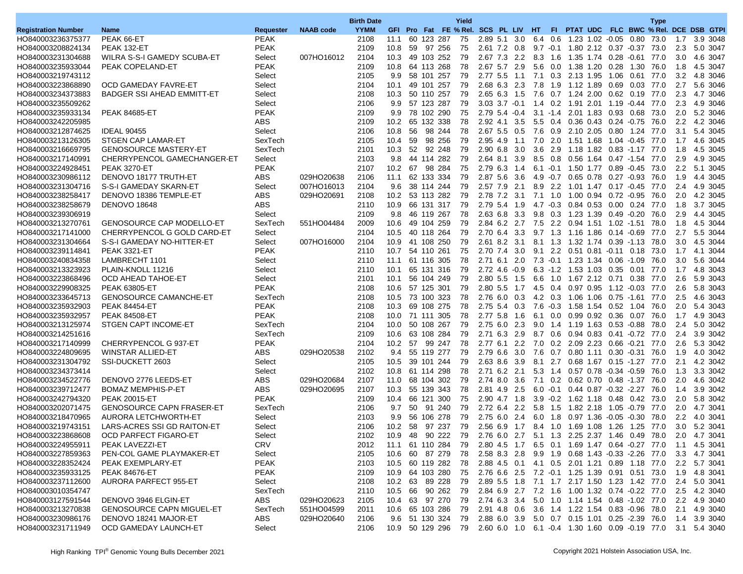|                                        |                                                    |                       |                  | <b>Birth Date</b> |                 |     |                 |                | Yield |          |                                                                                 |     |         |                                     |                       | <b>Type</b>                             |               |              |                      |
|----------------------------------------|----------------------------------------------------|-----------------------|------------------|-------------------|-----------------|-----|-----------------|----------------|-------|----------|---------------------------------------------------------------------------------|-----|---------|-------------------------------------|-----------------------|-----------------------------------------|---------------|--------------|----------------------|
| <b>Registration Number</b>             | <b>Name</b>                                        | Requester             | <b>NAAB</b> code | <b>YYMM</b>       |                 |     |                 |                |       |          | GFI Pro Fat FE % Rel. SCS PL LIV HT                                             |     |         |                                     |                       | FI PTAT UDC FLC BWC % Rel. DCE DSB GTPI |               |              |                      |
| HO840003236375377                      | PEAK 66-ET                                         | <b>PEAK</b>           |                  | 2108              | 11.1            |     | 60 123 287      |                | 75    |          | 2.89 5.1 3.0                                                                    |     |         | 6.4 0.6 1.23 1.02 -0.05 0.80        |                       | 73.0                                    | 1.7           |              | 3.9 3048             |
| HO840003208824134                      | PEAK 132-ET                                        | <b>PEAK</b>           |                  | 2109              | 10.8            |     | 59 97 256       |                | 75    |          | 2.61 7.2 0.8                                                                    |     |         | 9.7 -0.1 1.80 2.12 0.37 -0.37 73.0  |                       |                                         | 2.3           |              | 5.0 3047             |
| HO840003231304688                      | WILRA S-S-I GAMEDY SCUBA-ET                        | Select                | 007HO16012       | 2104              |                 |     | 10.3 49 103 252 |                | 79    |          | 2.67 7.3 2.2                                                                    |     |         | 8.3 1.6 1.35 1.74 0.28 -0.61 77.0   |                       |                                         | 3.0           |              | 4.6 3047             |
| HO840003235933044                      | PEAK COPELAND-ET                                   | <b>PEAK</b>           |                  | 2109              | 10.8            |     | 64 113 268      |                | 78    |          | 2.67 5.7 2.9                                                                    | 5.6 |         | 0.0 1.38 1.20 0.28 1.30             |                       | 76.0                                    | 1.8           |              | 4.5 3047             |
| HO840003219743112                      |                                                    | Select                |                  | 2105              | 9.9             |     | 58 101 257      |                | 79    |          | 2.77 5.5 1.1                                                                    | 7.1 |         | 0.3 2.13 1.95 1.06 0.61 77.0        |                       |                                         | 3.2           |              | 4.8 3046             |
| HO840003223868890                      | OCD GAMEDAY FAVRE-ET                               | Select                |                  | 2104              | 10.1            |     | 49 101 257      |                | 79    |          | 2.68 6.3 2.3                                                                    | 7.8 |         | 1.9 1.12 1.89 0.69 0.03 77.0        |                       |                                         | 2.7           |              | 5.6 3046             |
| HO840003234373883                      | <b>BADGER SSI AHEAD EMMITT-ET</b>                  | Select                |                  | 2108              | 10.3            |     | 50 110 257      |                | 79    |          | 2.65 6.3 1.5                                                                    | 7.6 |         | 0.7 1.24 2.00 0.62 0.19             |                       | 77.0                                    | 2.3           |              | 4.7 3046             |
| HO840003235509262                      |                                                    | Select                |                  | 2106              | 9.9             |     | 57 123 287      |                | 79    |          | 3.03 3.7 -0.1 1.4 0.2 1.91 2.01 1.19 -0.44 77.0                                 |     |         |                                     |                       |                                         | 2.3           |              | 4.9 3046             |
| HO840003235933134                      | <b>PEAK 84685-ET</b>                               | <b>PEAK</b>           |                  | 2109              | 9.9             |     | 78 102 290      |                | 75    |          | $2.79$ 5.4 $-0.4$                                                               |     |         | 3.1 -1.4 2.01 1.83 0.93 0.68        |                       | 73.0                                    | 2.0           |              | 5.2 3046             |
| HO840003242205985                      |                                                    | <b>ABS</b>            |                  | 2109              | 10.2            |     | 65 132 338      |                | 78    |          | 2.92 4.1 3.5                                                                    |     |         | 5.5 0.4 0.36 0.43 0.24 0.75         |                       | 76.0                                    | 2.2           |              | 4.2 3046             |
| HO840003212874625                      | <b>IDEAL 90455</b>                                 | Select                |                  | 2106              | 10.8            | 56  |                 | 98 244         | 78    |          | $2.67$ 5.5 0.5                                                                  | 7.6 |         | 0.9 2.10 2.05 0.80 1.24 77.0        |                       |                                         | 3.1           |              | 5.4 3045             |
| HO840003213126305                      | <b>STGEN CAP LAMAR-ET</b>                          | SexTech               |                  | 2105              | 10.4            | 59  |                 | 98 256         | 79    | 2.95 4.9 | $-1.1$                                                                          | 7.0 |         | 2.0 1.51 1.68 1.04 -0.45            |                       | 77.0                                    | 1.7           |              | 4.6 3045             |
| HO840003216669795                      | <b>GENOSOURCE MASTERY-ET</b>                       | SexTech               |                  | 2101              | 10.3            | 52  |                 | 92 248         | 79    |          | 2.90 6.8 3.0                                                                    | 3.6 |         | 2.9 1.18 1.82 0.83 -1.17 77.0       |                       |                                         | 1.8           |              | 4.5 3045             |
|                                        |                                                    |                       |                  | 2103              |                 |     | 9.8 44 114 282  |                | 79    |          | 2.64 8.1 3.9                                                                    |     |         | 8.5 0.8 0.56 1.64 0.47 -1.54 77.0   |                       |                                         | 2.9           |              |                      |
| HO840003217140991<br>HO840003224928451 | CHERRYPENCOL GAMECHANGER-ET<br><b>PEAK 3270-ET</b> | Select<br><b>PEAK</b> |                  | 2107              | 10.2            | 67  |                 | 98 284         | 75    |          | 2.79 6.3 1.4                                                                    |     |         | 6.1 -0.1 1.50 1.77 0.89 -0.45       |                       | 73.0                                    | 2.2           |              | 4.9 3045<br>5.1 3045 |
| HO840003230986112                      | DENOVO 18177 TRUTH-ET                              | ABS                   | 029HO20638       | 2106              | 11.1            |     | 62 133 334      |                | 79    |          | 2.87 5.6 3.6                                                                    |     |         | 4.9 -0.7 0.65 0.78 0.27 -0.93 76.0  |                       |                                         | 1.9           |              | 4.4 3045             |
|                                        |                                                    |                       |                  | 2104              | 9.6             |     | 38 114 244      |                | 79    | 2.57 7.9 |                                                                                 |     |         |                                     |                       |                                         |               |              | 4.9 3045             |
| HO840003231304716                      | S-S-I GAMEDAY SKARN-ET                             | Select                | 007HO16013       |                   |                 |     |                 |                |       |          | 2.1                                                                             |     |         | 8.9 2.2 1.01 1.47 0.17 -0.45        |                       | 77.0                                    | 2.4           |              |                      |
| HO840003238258417                      | DENOVO 18386 TEMPLE-ET                             | ABS                   | 029HO20691       | 2108              | 10.2            |     | 53 113 282      |                | 79    |          | 2.78 7.2 3.1                                                                    |     |         | 7.1 1.0 1.00 0.94 0.72 -0.95        |                       | 76.0                                    | 2.0           |              | 4.2 3045             |
| HO840003238258679                      | <b>DENOVO 18648</b>                                | <b>ABS</b>            |                  | 2110              | 10.9            |     | 66 131 317      |                | 79    |          | 2.79 5.4 1.9                                                                    |     |         | 4.7 -0.3 0.84 0.53 0.00 0.24 77.0   |                       |                                         | 1.8           |              | 3.7 3045             |
| HO840003239306919                      |                                                    | Select                |                  | 2109              | 9.8             |     | 46 119 267      |                | 78    |          | 2.63 6.8 3.3                                                                    |     |         | 9.8 0.3 1.23 1.39 0.49 0.20         |                       | 76.0                                    | 2.9           |              | 4.4 3045<br>4.5 3044 |
| HO840003213270761                      | <b>GENOSOURCE CAP MODELLO-ET</b>                   | SexTech               | 551HO04484       | 2009              | 10.6            |     | 49 104 259      |                | 79    |          | 2.84 6.2 2.7                                                                    | 7.5 |         | 2.2 0.94 1.51 1.02 -1.51            |                       | 78.0                                    | 1.8           |              |                      |
| HO840003217141000                      | CHERRYPENCOL G GOLD CARD-ET                        | Select                |                  | 2104              |                 |     | 10.5 40 118 264 |                | 79    |          | 2.70 6.4 3.3                                                                    |     |         | 9.7 1.3 1.16 1.86 0.14 -0.69 77.0   |                       |                                         | 2.7           |              | 5.5 3044             |
| HO840003231304664                      | S-S-I GAMEDAY NO-HITTER-ET                         | Select                | 007HO16000       | 2104              | 10.9            |     | 41 108 250      |                | 79    |          | 2.61 8.2 3.1                                                                    |     |         | 8.1 1.3 1.32 1.74 0.39 -1.13        |                       | 78.0                                    | 3.0           |              | 4.5 3044             |
| HO840003239114841                      | <b>PEAK 3321-ET</b>                                | PEAK                  |                  | 2110              | 10.7            |     | 54 110 261      |                | 75    |          | 2.70 7.4 3.0                                                                    |     |         | 9.1 2.2 0.51 0.81 -0.11 0.18        |                       | 73.0                                    | 1.7           |              | 4.1 3044             |
| HO840003240834358                      | LAMBRECHT 1101                                     | Select                |                  | 2110              | 11.1 61 116 305 |     |                 |                | 78    |          | 2.71 6.1 2.0                                                                    |     |         | 7.3 -0.1 1.23 1.34 0.06 -1.09 76.0  |                       |                                         | 3.0           |              | 5.6 3044             |
| HO840003213323923                      | PLAIN-KNOLL 11216                                  | Select                |                  | 2110              | 10.1            |     | 65 131 316      |                | 79    |          | $2.72$ 4.6 $-0.9$                                                               |     |         | 6.3 -1.2 1.53 1.03 0.35 0.01        |                       | 77.0                                    | 1.7           |              | 4.8 3043             |
| HO840003223868496                      | OCD AHEAD TAHOE-ET                                 | Select                |                  | 2101              | 10.1            |     | 56 104 249      |                | 79    |          | 2.80 5.5 1.5                                                                    | 6.6 |         | 1.0 1.67 2.12 0.71 0.38             |                       | 77.0                                    | 2.6           |              | 5.9 3043             |
| HO840003229908325                      | <b>PEAK 63805-ET</b>                               | <b>PEAK</b>           |                  | 2108              |                 |     | 10.6 57 125 301 |                | 79    |          | $2.80$ 5.5 1.7                                                                  |     |         | 4.5 0.4 0.97 0.95 1.12 -0.03 77.0   |                       |                                         | 2.6           |              | 5.8 3043             |
| HO840003233645713                      | <b>GENOSOURCE CAMANCHE-ET</b>                      | SexTech               |                  | 2108              | 10.5            |     | 73 100 323      |                | 78    | 2.76 6.0 | 0.3                                                                             |     |         | 4.2 0.3 1.06 1.06 0.75 -1.61 77.0   |                       |                                         | 2.5           |              | 4.6 3043             |
| HO840003235932903                      | <b>PEAK 84454-ET</b>                               | <b>PEAK</b>           |                  | 2108              | 10.3            |     | 69 108 275      |                | 78    |          | $2.75$ 5.4 0.3                                                                  |     |         | 7.6 -0.3 1.58 1.54 0.52 1.04        |                       | 76.0                                    | 2.0           |              | 5.4 3043             |
| HO840003235932957                      | <b>PEAK 84508-ET</b>                               | <b>PEAK</b>           |                  | 2108              |                 |     | 10.0 71 111 305 |                | 78    |          | 2.77 5.8 1.6                                                                    |     |         | 6.1 0.0 0.99 0.92 0.36 0.07 76.0    |                       |                                         | 1.7           |              | 4.9 3043             |
| HO840003213125974                      | STGEN CAPT INCOME-ET                               | SexTech               |                  | 2104              | 10.0            |     | 50 108 267      |                | 79    |          | 2.75 6.0 2.3                                                                    |     |         | 9.0 1.4 1.19 1.63 0.53 0.88         |                       | 78.0                                    | 2.4           |              | 5.0 3042             |
| HO840003214251616                      |                                                    | SexTech               |                  | 2109              |                 |     | 10.6 63 108 284 |                | 79    |          | 2.71 6.3 2.9                                                                    |     |         | 8.7 0.6 0.94 0.83 0.41 -0.72 77.0   |                       |                                         | 2.4           |              | 3.9 3042             |
| HO840003217140999                      | CHERRYPENCOL G 937-ET                              | <b>PEAK</b>           |                  | 2104              | 10.2            | -57 |                 | 99 247         | 78    |          | 2.776.12.2                                                                      | 7.0 |         | 0.2 2.09 2.23 0.66 -0.21            |                       | 77.0                                    | 2.6           |              | 5.3 3042             |
| HO840003224809695                      | WINSTAR ALLIED-ET                                  | ABS                   | 029HO20538       | 2102              | 9.4             |     | 55 119 277      |                | 79    |          | 2.79 6.6 3.0                                                                    | 7.6 |         | 0.7 0.80 1.11 0.30 -0.31 76.0       |                       |                                         | 1.9           |              | 4.0 3042             |
| HO840003231304792                      | SSI-DUCKETT 2603                                   | Select                |                  | 2105              | 10.5            |     | 39 101 244      |                | 79    |          | 2.63 8.6 3.9                                                                    |     |         | 8.1 2.7 0.68 1.67 0.15 -1.27 77.0   |                       |                                         | 2.1           |              | 4.2 3042             |
| HO840003234373414                      |                                                    | Select                |                  | 2102              | 10.8            |     | 61 114 298      |                | 78    |          | 2.71 6.2 2.1                                                                    |     | 5.3 1.4 |                                     | 0.57 0.78 -0.34 -0.59 | 76.0                                    | 1.3           |              | 3.3 3042             |
| HO840003234522776                      | DENOVO 2776 LEEDS-ET                               | ABS                   | 029HO20684       | 2107              | 11.0            |     | 68 104 302      |                | 79    |          | 2.74 8.0 3.6                                                                    |     |         | 7.1 0.2 0.62 0.70 0.48 -1.37        |                       | 76.0                                    | 2.0           |              | 4.6 3042             |
| HO840003239712477                      | <b>BOMAZ MEMPHIS-P-ET</b>                          | <b>ABS</b>            | 029HO20695       | 2107              | 10.3            |     | 55 139 343      |                | 78    |          | 2.81 4.9 2.5                                                                    |     |         | 6.0 -0.1 0.44 0.87 -0.32 -2.27 76.0 |                       |                                         | 1.4           |              | 3.9 3042             |
| HO840003242794320                      | <b>PEAK 20015-ET</b>                               | <b>PEAK</b>           |                  | 2109              | 10.4            |     | 66 121 300      |                | 75    |          | 2.90 4.7 1.8                                                                    |     |         | 3.9 -0.2 1.62 1.18 0.48 0.42        |                       | 73.0                                    | 2.0           |              | 5.8 3042             |
| HO840003202071475                      | <b>GENOSOURCE CAPN FRASER-ET</b>                   | SexTech               |                  | 2106              | 9.7             | 50  | 91 240          |                | 79    |          | 2.72 6.4 2.2                                                                    | 5.8 |         | 1.5 1.82 2.18 1.05 -0.79            |                       | 77.0                                    | 2.0           |              | 4.7 3041             |
| HO840003218470965                      | AURORA LETCHWORTH-ET                               | Select                |                  | 2103              | 9.9             |     | 56 106 278      |                | 79    |          | 2.75 6.0 2.4                                                                    |     |         | 6.0 1.8 0.97 1.36 -0.05 -0.30 78.0  |                       |                                         | 2.2           |              | 4.0 3041             |
| HO840003219743151                      | LARS-ACRES SSI GD RAITON-ET                        | Select                |                  | 2106              | 10.2            | -58 |                 | 97 237         | 79    |          | 2.56 6.9 1.7 8.4 1.0 1.69 1.08 1.26 1.25 77.0                                   |     |         |                                     |                       |                                         | 3.0           |              | 5.2 3041             |
| HO840003223868608                      | OCD PARFECT FIGARO-ET                              | Select                |                  | 2102              | 10.9            |     |                 | 48 90 222 79   |       |          | 2.76 6.0 2.7 5.1 1.3 2.25 2.37 1.46 0.49 78.0                                   |     |         |                                     |                       |                                         | 2.0           |              | 4.7 3041             |
| HO840003224955911                      | PEAK LAVEZZI-ET                                    | <b>CRV</b>            |                  | 2012              | 11.1 61 110 284 |     |                 |                | 79    |          | 2.80 4.5 1.7 6.5 0.1 1.69 1.47 0.64 -0.27 77.0                                  |     |         |                                     |                       |                                         | 1.1           |              | 4.5 3041             |
| HO840003227859363                      | PEN-COL GAME PLAYMAKER-ET                          | Select                |                  | 2105              | 10.6            | 60  |                 | 87 279         | -78   |          | 2.58 8.3 2.8                                                                    |     |         | 9.9 1.9 0.68 1.43 0.33 2.26 77.0    |                       |                                         | 3.3           |              | 4.7 3041             |
| HO840003228352424                      | PEAK EXEMPLARY-ET                                  | <b>PEAK</b>           |                  | 2103              |                 |     | 10.5 60 119 282 |                | 78    |          | 2.88 4.5 0.1 4.1 0.5 2.01 1.21 0.89 1.18 77.0                                   |     |         |                                     |                       |                                         |               | 2.2 5.7 3041 |                      |
| HO840003235933125                      | <b>PEAK 84676-ET</b>                               | <b>PEAK</b>           |                  | 2109              | 10.9 64 103 280 |     |                 |                | 75    |          | 2.76 6.6 2.5 7.2 -0.1 1.25 1.39 0.91 0.51 73.0                                  |     |         |                                     |                       |                                         | 1.9           |              | 4.8 3041             |
| HO840003237112600                      | AURORA PARFECT 955-ET                              | Select                |                  | 2108              | 10.2            |     | 63 89 228       |                | 79    |          | 2.89 5.5 1.8                                                                    |     |         | 7.1 1.7 2.17 1.50 1.23 1.42 77.0    |                       |                                         | 2.4           |              | 5.0 3041             |
| HO840003010354747                      |                                                    | SexTech               |                  | 2110              |                 |     | 10.5 66 90 262  |                | 79    |          | 2.84 6.9 2.7 7.2 1.6 1.00 1.32 0.74 -0.22 77.0                                  |     |         |                                     |                       |                                         |               |              | 2.5 4.2 3040         |
| HO840003127591544                      | DENOVO 3946 ELGIN-ET                               | ABS                   | 029HO20623       | 2105              |                 |     | 10.4 63 97 270  |                | 79    |          | 2.74 6.3 3.4 5.0 1.0 1.14 1.54 0.48 -1.02 77.0                                  |     |         |                                     |                       |                                         | $2.2^{\circ}$ |              | 4.9 3040             |
| HO840003213270838                      | <b>GENOSOURCE CAPN MIGUEL-ET</b>                   | SexTech               | 551HO04599       | 2011              |                 |     | 10.6 65 103 286 |                | 79    |          | 2.91 4.8 0.6 3.6 1.4 1.22 1.54 0.83 0.96 78.0                                   |     |         |                                     |                       |                                         |               |              | 2.1 4.9 3040         |
| HO840003230986176                      | DENOVO 18241 MAJOR-ET                              | ABS                   | 029HO20640       | 2106              |                 |     |                 | 9.6 51 130 324 | 79    |          | 2.88 6.0 3.9 5.0 0.7 0.15 1.01 0.25 -2.39 76.0 1.4 3.9 3040                     |     |         |                                     |                       |                                         |               |              |                      |
| HO840003231711949                      | OCD GAMEDAY LAUNCH-ET                              | Select                |                  | 2106              |                 |     |                 |                |       |          | 10.9 50 129 296 79 2.60 6.0 1.0 6.1 -0.4 1.30 1.60 0.09 -0.19 77.0 3.1 5.4 3040 |     |         |                                     |                       |                                         |               |              |                      |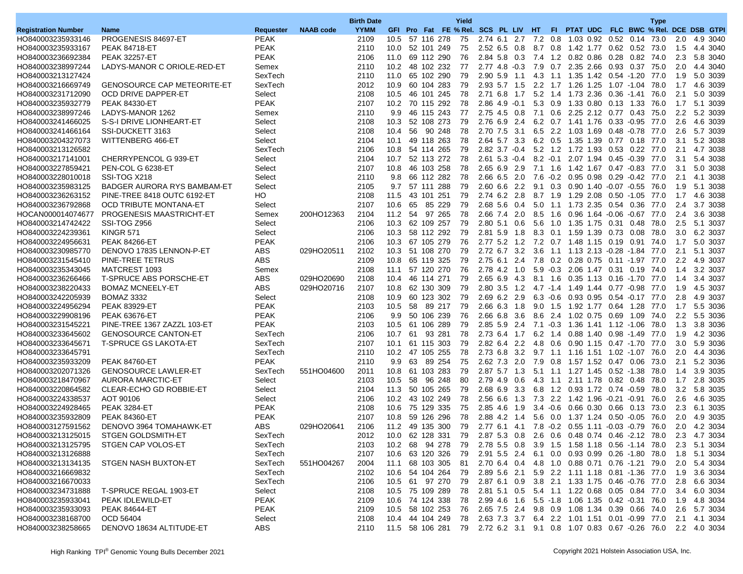|                            |                                    |             |                  | <b>Birth Date</b> |                   |     |                    |        | Yield |                                                                                |     |     |                                    |  | <b>Type</b> |               |                                         |  |
|----------------------------|------------------------------------|-------------|------------------|-------------------|-------------------|-----|--------------------|--------|-------|--------------------------------------------------------------------------------|-----|-----|------------------------------------|--|-------------|---------------|-----------------------------------------|--|
| <b>Registration Number</b> | <b>Name</b>                        | Requester   | <b>NAAB</b> code | <b>YYMM</b>       |                   |     |                    |        |       | GFI Pro Fat FE % Rel. SCS PL LIV HT                                            |     |     |                                    |  |             |               | FI PTAT UDC FLC BWC % Rel. DCE DSB GTPI |  |
| HO840003235933146          | PROGENESIS 84697-ET                | <b>PEAK</b> |                  | 2109              |                   |     | 10.5 57 116 278    |        | 75    | 2.74 6.1 2.7                                                                   |     |     | 7.2 0.8 1.03 0.92 0.52 0.14        |  | 73.0        | 2.0           | 4.9 3040                                |  |
| HO840003235933167          | <b>PEAK 84718-ET</b>               | <b>PEAK</b> |                  | 2110              | 10.0              |     | 52 101 249         |        | 75    | 2.52 6.5 0.8                                                                   |     |     | 8.7 0.8 1.42 1.77 0.62 0.52 73.0   |  |             | 1.5           | 4.4 3040                                |  |
| HO840003236692384          | <b>PEAK 32257-ET</b>               | PEAK        |                  | 2106              | 11.0              |     | 69 112 290         |        | 76    | 2.84 5.8 0.3 7.4 1.2 0.82 0.86 0.28 0.82 74.0                                  |     |     |                                    |  |             | 2.3           | 5.8 3040                                |  |
| HO840003238997244          | LADYS-MANOR C ORIOLE-RED-ET        | Semex       |                  | 2110              | 10.2 <sub>1</sub> |     | 48 102 232         |        | 77    | $2.77$ 4.8 $-0.3$                                                              |     | 7.9 | 0.7 2.35 2.66 0.93 0.37            |  | 75.0        | 2.0           | 4.4 3040                                |  |
| HO840003213127424          |                                    | SexTech     |                  | 2110              | 11.0              |     | 65 102 290         |        | 79    | 2.90 5.9 1.1                                                                   |     |     | 4.3 1.1 1.35 1.42 0.54 -1.20 77.0  |  |             | 1.9           | 5.0 3039                                |  |
| HO840003216669749          | <b>GENOSOURCE CAP METEORITE-ET</b> | SexTech     |                  | 2012              | 10.9              |     | 60 104 283         |        | 79    | 2.93 5.7 1.5                                                                   |     |     | 2.2 1.7 1.26 1.25 1.07 -1.04 78.0  |  |             | 1.7           | 4.6 3039                                |  |
| HO840003231712090          | OCD DRIVE DAPPER-ET                | Select      |                  | 2108              | 10.5              |     | 46 101 245         |        | 78    | 2.71 6.8 1.7                                                                   |     |     | 5.2 1.4 1.73 2.36 0.36 -1.41 76.0  |  |             | 2.1           | 5.0 3039                                |  |
| HO840003235932779          | <b>PEAK 84330-ET</b>               | <b>PEAK</b> |                  | 2107              |                   |     | 10.2 70 115 292    |        | 78    | $2.86$ 4.9 $-0.1$                                                              |     |     | 5.3 0.9 1.33 0.80 0.13 1.33 76.0   |  |             | 1.7           | 5.1 3039                                |  |
| HO840003238997246          | LADYS-MANOR 1262                   | Semex       |                  | 2110              | 9.9               |     | 46 115 243         |        | 77    | 2.75 4.5 0.8                                                                   |     |     | 7.1 0.6 2.25 2.12 0.77 0.43 75.0   |  |             | 2.2           | 5.2 3039                                |  |
| HO840003241466025          | S-S-I DRIVE LIONHEART-ET           | Select      |                  | 2108              | 10.3              |     | 52 108 273         |        | 79    | 2.76 6.9 2.4                                                                   |     |     | 6.2 0.7 1.41 1.76 0.33 0.95        |  | 77.0        | 2.6           | 4.6 3039                                |  |
| HO840003241466164          | SSI-DUCKETT 3163                   | Select      |                  | 2108              | 10.4              |     | 56 90 248          |        | 78    | 2.70 7.5 3.1                                                                   |     |     | 6.5 2.2 1.03 1.69 0.48 -0.78 77.0  |  |             | 2.6           | 5.7 3039                                |  |
| HO840003204327073          | WITTENBERG 466-ET                  | Select      |                  | 2104              | 10.1              |     | 49 118 263         |        | 78    | 2.64 5.7 3.3                                                                   |     |     | 6.2 0.5 1.35 1.39 0.77 0.18        |  | 77.0        | 3.1           | 5.2 3038                                |  |
|                            |                                    | SexTech     |                  | 2106              | 10.8              |     | 54 114 265         |        | 79    | $2.82$ $3.7 -0.4$                                                              |     |     | 5.2 1.2 1.72 1.93 0.53 0.22 77.0   |  |             | 2.1           | 4.7 3038                                |  |
| HO840003213126582          |                                    |             |                  |                   |                   |     |                    |        |       |                                                                                |     |     |                                    |  |             |               |                                         |  |
| HO840003217141001          | CHERRYPENCOL G 939-ET              | Select      |                  | 2104              | 10.7              |     | 52 113 272         |        | 78    | $2.61$ 5.3 $-0.4$                                                              |     |     | 8.2 -0.1 2.07 1.94 0.45 -0.39 77.0 |  |             | 3.1           | 5.4 3038                                |  |
| HO840003227859421          | PEN-COL G 6238-ET                  | Select      |                  | 2107              | 10.8              |     | 46 103 258         |        | 78    | 2.65 6.9 2.9                                                                   |     |     | 7.1 1.6 1.42 1.67 0.47 0.83        |  | 77.0        | 3.1           | 5.0 3038                                |  |
| HO840003228010018          | SSI-TOG X218                       | Select      |                  | 2110              | 9.8               |     | 66 112 282         |        | 78    | 2.66 6.5 2.0                                                                   |     |     | 7.6 -0.2 0.95 0.98 0.29 -0.42 77.0 |  |             | 2.1           | 4.1 3038                                |  |
| HO840003235983125          | BADGER AURORA RYS BAMBAM-ET        | Select      |                  | 2105              | 9.7               |     | 57 111 288         |        | 79    | 2.60 6.6 2.2                                                                   |     |     | 9.1 0.3 0.90 1.40 0.07 0.55 76.0   |  |             | 1.9           | 5.1 3038                                |  |
| HO840003236263152          | <b>PINE-TREE 8418 OUTC 6192-ET</b> | HO          |                  | 2108              | 11.5              |     | 43 101 251         |        | 79    | 2.74 6.2 2.8                                                                   |     |     | 8.7 1.9 1.29 2.08 0.50 -1.05       |  | 77.0        | 1.7           | 4.6 3038                                |  |
| HO840003236792868          | <b>OCD TRIBUTE MONTANA-ET</b>      | Select      |                  | 2107              | 10.6              | 65  |                    | 85 229 | 79    | 2.68 5.6 0.4                                                                   |     |     | 5.0 1.1 1.73 2.35 0.54 0.36        |  | 77.0        | 2.4           | 3.7 3038                                |  |
| HOCAN000014074677          | <b>PROGENESIS MAASTRICHT-ET</b>    | Semex       | 200HO12363       | 2104              | 11.2              | -54 |                    | 97 265 | 78    | 2.66 7.4 2.0                                                                   |     | 8.5 | 1.6 0.96 1.64 -0.06 -0.67 77.0     |  |             | 2.4           | 3.6 3038                                |  |
| HO840003214742422          | SSI-TOG Z956                       | Select      |                  | 2106              | 10.3              |     | 62 109 257         |        | 79    | 2.80 5.1 0.6                                                                   |     | 5.6 | 1.0 1.35 1.75 0.31 0.48            |  | 78.0        | 2.5           | 5.1 3037                                |  |
| HO840003224239361          | <b>KINGR 571</b>                   | Select      |                  | 2106              | 10.3              |     | 58 112 292         |        | 79    | 2.81 5.9 1.8                                                                   |     |     | 8.3 0.1 1.59 1.39 0.73 0.08 78.0   |  |             | 3.0           | 6.2 3037                                |  |
| HO840003224956631          | <b>PEAK 84266-ET</b>               | <b>PEAK</b> |                  | 2106              | 10.3              |     | 67 105 279         |        | 76    | 2.77 5.2 1.2                                                                   |     |     | 7.2 0.7 1.48 1.15 0.19 0.91 74.0   |  |             | 1.7           | 5.0 3037                                |  |
| HO840003230985770          | DENOVO 17835 LENNON-P-ET           | ABS         | 029HO20511       | 2102              | 10.3              |     | 51 108 270         |        | 79    | 2.72 6.7 3.2                                                                   |     | 3.6 | 1.1 1.13 2.13 -0.28 -1.84 77.0     |  |             | 2.1           | 5.1 3037                                |  |
| HO840003231545410          | PINE-TREE TETRUS                   | ABS         |                  | 2109              | 10.8              |     | 65 119 325         |        | 79    | 2.75 6.1 2.4                                                                   |     |     | 7.8 0.2 0.28 0.75 0.11 -1.97 77.0  |  |             | $2.2^{\circ}$ | 4.9 3037                                |  |
| HO840003235343045          | MATCREST 1093                      | Semex       |                  | 2108              | 11.1              |     | 57 120 270         |        | 76    | 2.78 4.2 1.0                                                                   |     |     | 5.9 -0.3 2.06 1.47 0.31 0.19 74.0  |  |             | 1.4           | 3.2 3037                                |  |
| HO840003236266466          | <b>T-SPRUCE ABS PORSCHE-ET</b>     | ABS         | 029HO20690       | 2108              | 10.4              |     | 46 114 271         |        | 79    | 2.65 6.9 4.3                                                                   |     |     | 8.1 1.6 0.35 1.13 0.16 -1.70 77.0  |  |             | 1.4           | 3.4 3037                                |  |
| HO840003238220433          | <b>BOMAZ MCNEELY-ET</b>            | ABS         | 029HO20716       | 2107              | 10.8              |     | 62 130 309         |        | 79    | $2.80$ $3.5$ $1.2$                                                             |     |     | 4.7 -1.4 1.49 1.44 0.77 -0.98 77.0 |  |             | 1.9           | 4.5 3037                                |  |
| HO840003242205939          | <b>BOMAZ 3332</b>                  | Select      |                  | 2108              | 10.9              |     | 60 123 302         |        | 79    | 2.69 6.2 2.9                                                                   |     |     | 6.3 -0.6 0.93 0.95 0.54 -0.17      |  | 77.0        | 2.8           | 4.9 3037                                |  |
| HO840003224956294          | <b>PEAK 83929-ET</b>               | <b>PEAK</b> |                  | 2103              | 10.5              |     | 58 89 217          |        | 79    | 2.66 6.3 1.8                                                                   |     |     | 9.0 1.5 1.92 1.77 0.64 1.28 77.0   |  |             | 1.7           | 5.5 3036                                |  |
| HO840003229908196          | <b>PEAK 63676-ET</b>               | <b>PEAK</b> |                  | 2106              | 9.9               |     | 50 106 239         |        | 76    | 2.66 6.8 3.6                                                                   |     |     | 8.6 2.4 1.02 0.75 0.69 1.09 74.0   |  |             | $2.2^{\circ}$ | 5.5 3036                                |  |
| HO840003231545221          | PINE-TREE 1367 ZAZZL 103-ET        | <b>PEAK</b> |                  | 2103              | 10.5              |     | 61 106 289         |        | 79    | 2.85 5.9 2.4                                                                   |     |     | 7.1 -0.3 1.36 1.41 1.12 -1.06 78.0 |  |             | 1.3           | 3.8 3036                                |  |
| HO840003233645602          | <b>GENOSOURCE CANTON-ET</b>        | SexTech     |                  | 2106              | 10.7              | 61  |                    | 93 281 | 78    | 2.73 6.4 1.7                                                                   |     |     | 6.2 1.4 0.88 1.40 0.98 1.49 77.0   |  |             | 1.9           | 4.2 3036                                |  |
| HO840003233645671          | <b>T-SPRUCE GS LAKOTA-ET</b>       | SexTech     |                  | 2107              | 10.1              |     | 61 115 303         |        | 79    | 2.82 6.4 2.2                                                                   |     | 4.8 | 0.6 0.90 1.15 0.47 -1.70 77.0      |  |             | 3.0           | 5.9 3036                                |  |
| HO840003233645791          |                                    | SexTech     |                  | 2110              |                   |     | 10.2 47 105 255    |        | 78    | 2.73 6.8                                                                       | 3.2 |     | 9.7 1.1 1.16 1.51 1.02 1.07        |  | 76.0        | 2.0           | 4.4 3036                                |  |
| HO840003235933209          | <b>PEAK 84760-ET</b>               | <b>PEAK</b> |                  | 2110              | 9.9               | 63  |                    | 89 254 | 75    | 2.62 7.3 2.0 7.9 0.8 1.57 1.52 0.47 0.06 73.0                                  |     |     |                                    |  |             | 2.1           | 5.2 3036                                |  |
| HO840003202071326          | <b>GENOSOURCE LAWLER-ET</b>        | SexTech     | 551HO04600       | 2011              | 10.8              |     | 61 103 283         |        | 79    | 2.87 5.7 1.3                                                                   |     |     | 5.1 1.1 1.27 1.45 0.52 -1.38       |  | 78.0        | 1.4           | 3.9 3035                                |  |
| HO840003218470967          | <b>AURORA MARCTIC-ET</b>           | Select      |                  | 2103              | 10.5              | 58  |                    | 96 248 | 80    | 2.79 4.9 0.6                                                                   |     |     | 4.3 1.1 2.11 1.78 0.82 0.48        |  | 78.0        | 1.7           | 2.8 3035                                |  |
| HO840003220864582          | CLEAR-ECHO GD ROBBIE-ET            | Select      |                  | 2104              | 11.3              |     | 50 105 265         |        | 79    | 2.68 6.9 3.3                                                                   |     | 6.8 | 1.2 0.93 1.72 0.74 -0.59 78.0      |  |             | 3.2           | 5.8 3035                                |  |
| HO840003224338537          | AOT 90106                          | Select      |                  | 2106              | 10.2              |     | 43 102 249         |        | 78    | 2.5666.6                                                                       | 1.3 | 7.3 | 2.2 1.42 1.96 -0.21 -0.91          |  | 76.0        | 2.6           | 4.6 3035                                |  |
| HO840003224928465          | <b>PEAK 3284-ET</b>                | <b>PEAK</b> |                  | 2108              | 10.6              |     | 75 129 335         |        | 75    | 2.85 4.6 1.9                                                                   |     |     | 3.4 -0.6 0.66 0.30 0.66 0.13 73.0  |  |             | 2.3           | 6.1 3035                                |  |
| HO840003235932809          | <b>PEAK 84360-ET</b>               | <b>PEAK</b> |                  | 2107              | 10.8              |     | 59 126 296         |        | 78    | 2.88 4.2 1.4                                                                   |     |     | 5.6 0.0 1.37 1.24 0.50 -0.05 76.0  |  |             | 2.0           | 4.9 3035                                |  |
| HO840003127591562          | DENOVO 3964 TOMAHAWK-ET            | ABS         | 029HO20641       | 2106              | 11.2              |     | 49 135 300         |        | 79    | 2.77 6.1 4.1 7.8 -0.2 0.55 1.11 -0.03 -0.79 76.0                               |     |     |                                    |  |             | 2.0           | 4.2 3034                                |  |
| HO840003213125015          | <b>STGEN GOLDSMITH-ET</b>          | SexTech     |                  | 2012              |                   |     | 10.0 62 128 331 79 |        |       | 2.87 5.3 0.8 2.6 0.6 0.48 0.74 0.46 -2.12 78.0 2.3 4.7 3034                    |     |     |                                    |  |             |               |                                         |  |
| HO840003213125795          | STGEN CAP VOLOS-ET                 | SexTech     |                  | 2103              |                   |     |                    |        |       | 10.2 68 94 278 79 2.78 5.5 0.8 3.9 1.5 1.58 1.18 0.56 1.14 78.0 2.3 5.1 3034   |     |     |                                    |  |             |               |                                         |  |
| HO840003213126888          |                                    | SexTech     |                  | 2107              |                   |     | 10.6 63 120 326    |        | 79    | 2.91 5.5 2.4 6.1 0.0 0.93 0.99 0.26 -1.80 78.0                                 |     |     |                                    |  |             | 1.8           | 5.1 3034                                |  |
| HO840003213134135          | STGEN NASH BUXTON-ET               | SexTech     | 551HO04267       | 2004              |                   |     | 11.1 68 103 305 81 |        |       | 2.70 6.4 0.4 4.8 1.0 0.88 0.71 0.76 -1.21 79.0 2.0 5.4 3034                    |     |     |                                    |  |             |               |                                         |  |
| HO840003216669832          |                                    | SexTech     |                  | 2102              |                   |     | 10.6 54 104 264    |        | 79    | 2.89 5.6 2.1 5.9 2.2 1.11 1.18 0.81 -1.36 77.0 1.9 3.6 3034                    |     |     |                                    |  |             |               |                                         |  |
| HO840003216670033          |                                    | SexTech     |                  | 2106              |                   |     | 10.5 61 97 270     |        | 79    | 2.87 6.1 0.9 3.8 2.1 1.33 1.75 0.46 0.76 77.0                                  |     |     |                                    |  |             |               | 2.8 6.6 3034                            |  |
| HO840003234731888          | T-SPRUCE REGAL 1903-ET             | Select      |                  | 2108              |                   |     | 10.5 75 109 289    |        | 78    | 2.81 5.1 0.5 5.4 1.1 1.22 0.68 0.05 0.84 77.0 3.4 6.0 3034                     |     |     |                                    |  |             |               |                                         |  |
|                            |                                    |             |                  |                   |                   |     |                    |        |       |                                                                                |     |     |                                    |  |             |               |                                         |  |
| HO840003235933041          | PEAK IDLEWILD-ET                   | <b>PEAK</b> |                  | 2109              |                   |     | 10.6 74 124 338    |        | 78    | 2.99 4.6 1.6 5.5 -1.8 1.06 1.35 0.42 -0.31 76.0                                |     |     |                                    |  |             |               | 1.9 4.8 3034                            |  |
| HO840003235933093          | <b>PEAK 84644-ET</b>               | <b>PEAK</b> |                  | 2109              |                   |     |                    |        |       | 10.5 58 102 253 76 2.65 7.5 2.4 9.8 0.9 1.08 1.34 0.39 0.66 74.0 2.6 5.7 3034  |     |     |                                    |  |             |               |                                         |  |
| HO840003238168700          | OCD 56404                          | Select      |                  | 2108              |                   |     | 10.4 44 104 249    |        | -78   | 2.63 7.3 3.7 6.4 2.2 1.01 1.51 0.01 0.99 77.0 2.1 4.1 3034                     |     |     |                                    |  |             |               |                                         |  |
| HO840003238258665          | DENOVO 18634 ALTITUDE-ET           | ABS         |                  | 2110              |                   |     |                    |        |       | 11.5 58 106 281 79 2.72 6.2 3.1 9.1 0.8 1.07 0.83 0.67 -0.26 76.0 2.2 4.0 3034 |     |     |                                    |  |             |               |                                         |  |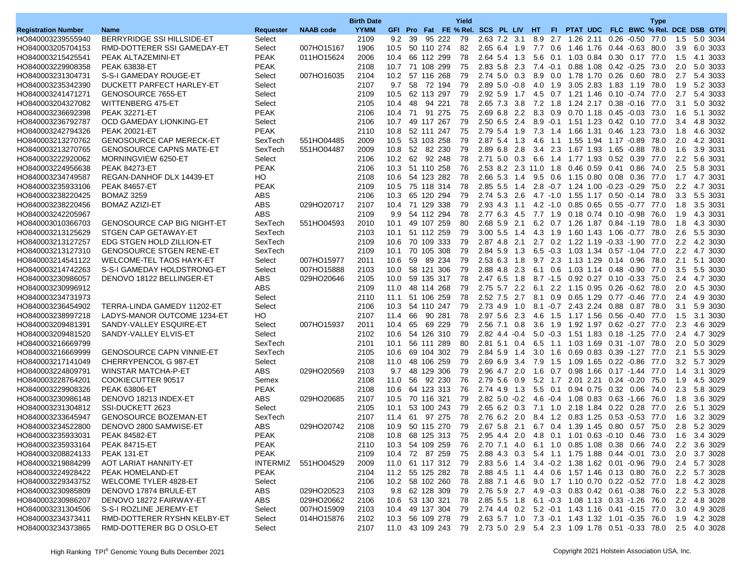|                                        |                                    |                      |                  | <b>Birth Date</b> |                    |          |                          |        | Yield    |                                                 |              |     |                    |                                                                   |      | <b>Type</b> |            |                                                                                |
|----------------------------------------|------------------------------------|----------------------|------------------|-------------------|--------------------|----------|--------------------------|--------|----------|-------------------------------------------------|--------------|-----|--------------------|-------------------------------------------------------------------|------|-------------|------------|--------------------------------------------------------------------------------|
| <b>Registration Number</b>             | <b>Name</b>                        | Requester            | <b>NAAB code</b> | <b>YYMM</b>       |                    |          |                          |        |          | GFI Pro Fat FE % Rel. SCS PL LIV HT             |              |     |                    |                                                                   |      |             |            | FI PTAT UDC FLC BWC % Rel. DCE DSB GTPI                                        |
| HO840003239555940                      | BERRYRIDGE SSI HILLSIDE-ET         | Select               |                  | 2109              | 9.2                | -39      |                          | 95 222 | 79       | 2.63 7.2 3.1                                    |              | 8.9 |                    | 2.7 1.26 2.11 0.26 -0.50 77.0                                     |      |             | 1.5        | 5.0 3034                                                                       |
| HO840003205704153                      | RMD-DOTTERER SSI GAMEDAY-ET        | Select               | 007HO15167       | 1906              | 10.5 50 110 274    |          |                          |        | 82       | 2.65 6.4 1.9                                    |              |     |                    | 7.7 0.6 1.46 1.76 0.44 0.63 80.0                                  |      |             | 3.9        | 6.0 3033                                                                       |
| HO840003215425541                      | PEAK ALTAZEMINI-ET                 | <b>PEAK</b>          | 011HO15624       | 2006              | 10.4               |          | 66 112 299               |        | 78       | 2.64 5.4 1.3                                    |              |     |                    | 5.6 0.1 1.03 0.84 0.30 0.17 77.0                                  |      |             | 1.5        | 4.1 3033                                                                       |
| HO840003229908358                      | <b>PEAK 63838-ET</b>               | <b>PEAK</b>          |                  | 2108              | 10.7 71 108 299    |          |                          |        | 75       | 2.83 5.8 2.3                                    |              |     |                    | 7.4 -0.1 0.88 1.08 0.42 -0.25 73.0                                |      |             | 2.0        | 5.0 3033                                                                       |
| HO840003231304731                      | S-S-I GAMEDAY ROUGE-ET             | Select               | 007HO16035       | 2104              | 10.2 57 116 268    |          |                          |        | 79       | 2.74 5.0 0.3                                    |              |     |                    | 8.9 0.0 1.78 1.70 0.26 0.60 78.0                                  |      |             | 2.7        | 5.4 3033                                                                       |
| HO840003235342390                      | DUCKETT PARFECT HARLEY-ET          | Select               |                  | 2107              | 9.7                | 58       | 72 194                   |        | 79       | $2.89$ 5.0 $-0.8$                               |              | 4.0 |                    | 1.9 3.05 2.83 1.83 1.19                                           |      | 78.0        | 1.9        | 5.2 3033                                                                       |
| HO840003241471271                      | GENOSOURCE 7655-ET                 | Select               |                  | 2109              | 10.5               |          | 62 113 297               |        | 79       |                                                 | 2.92 5.9 1.7 |     |                    | 4.5 0.7 1.21 1.46 0.10 0.74                                       |      | 77.0        | 2.7        | 5.4 3033                                                                       |
| HO840003204327082                      | WITTENBERG 475-ET                  | Select               |                  | 2105              | 10.4               | 48       | 94 221                   |        | 78       | 2.65 7.3 3.8                                    |              |     |                    | 7.2 1.8 1.24 2.17 0.38 -0.16 77.0                                 |      |             | 3.1        | 5.0 3032                                                                       |
| HO840003236692398                      | <b>PEAK 32271-ET</b>               | <b>PEAK</b>          |                  | 2106              | 10.4               | 71       |                          | 91 275 | 75       | 2.69 6.8 2.2                                    |              |     |                    | 8.3 0.9 0.70 1.18 0.45 0.03                                       |      | 73.0        | 1.6        | 5.1 3032                                                                       |
| HO840003236792787                      | OCD GAMEDAY LIONKING-ET            | Select               |                  | 2106              | 10.7               |          | 49 117 267               |        | 79       | 2.50 6.5 2.4                                    |              |     |                    | 8.9 -0.1 1.51 1.23 0.42 0.10                                      |      | 77.0        | 3.4        | 4.8 3032                                                                       |
| HO840003242794326                      | <b>PEAK 20021-ET</b>               | <b>PEAK</b>          |                  | 2110              | 10.8               |          | 52 111 247               |        | 75       | 2.79 5.4 1.9                                    |              | 7.3 |                    | 1.4 1.66 1.31 0.46 1.23 73.0                                      |      |             | 1.8        | 4.6 3032                                                                       |
| HO840003213270762                      | <b>GENOSOURCE CAP MERECK-ET</b>    | SexTech              | 551HO04485       | 2009              | 10.5               |          | 53 103 258               |        | 79       | 2.87 5.4 1.3                                    |              | 4.6 |                    | 1.1 1.55 1.94 1.17 -0.89                                          |      | 78.0        | 2.0        | 4.2 3031                                                                       |
| HO840003213270765                      | <b>GENOSOURCE CAPNS MATE-ET</b>    | SexTech              | 551HO04487       | 2009              | 10.8               |          | 52 82 230                |        | 79       | 2.89 6.8 2.8                                    |              |     |                    | 3.4 2.3 1.67 1.93 1.65 -0.88                                      |      | 78.0        | 1.6        | 3.9 3031                                                                       |
| HO840003222920062                      | MORNINGVIEW 6250-ET                | Select               |                  | 2106              | 10.2               |          | 62 92 248                |        | 78       | $2.71$ 5.0 0.3                                  |              |     |                    | 6.6 1.4 1.77 1.93 0.52 0.39 77.0                                  |      |             | 2.2        | 5.6 3031                                                                       |
| HO840003224956638                      | <b>PEAK 84273-ET</b>               | <b>PEAK</b>          |                  | 2106              | 10.3               |          | 51 110 258               |        | 76       | 2.53 8.2 2.3 11.0                               |              |     | 1.8 0.46 0.59 0.41 |                                                                   | 0.86 | 74.0        | 2.5        | 5.8 3031                                                                       |
| HO840003234749587                      | REGAN-DANHOF DLX 14439-ET          | HO                   |                  | 2108              | 10.6               |          | 54 123 282               |        | 78       | 2.66 5.3 1.4                                    |              |     |                    | 9.5 0.6 1.15 0.80 0.08 0.36                                       |      | 77.0        | 1.7        | 4.7 3031                                                                       |
| HO840003235933106                      | <b>PEAK 84657-ET</b>               | <b>PEAK</b>          |                  | 2109              | 10.5               |          | 75 118 314               |        | 78       | 2.85 5.5 1.4                                    |              |     |                    | 2.8 -0.7 1.24 1.00 -0.23 -0.29                                    |      | 75.0        | 2.2        | 4.7 3031                                                                       |
| HO840003238220425                      | <b>BOMAZ 3259</b>                  | ABS                  |                  | 2106              | 10.3               |          | 65 120 294               |        | 79       | 2.74 5.3 2.6                                    |              |     |                    | 4.7 -1.0 1.55 1.17 0.50 -0.14                                     |      | 78.0        | 3.3        | 5.5 3031                                                                       |
| HO840003238220456                      | <b>BOMAZ AZIZI-ET</b>              | <b>ABS</b>           | 029HO20717       | 2107              | 10.4 71 129 338    |          |                          |        | 79       | 2.93 4.3 1.1                                    |              |     |                    | 4.2 -1.0 0.85 0.65 0.55 -0.77 77.0                                |      |             | 1.8        | 3.5 3031                                                                       |
| HO840003242205967                      |                                    | <b>ABS</b>           |                  | 2109              | 9.9                |          | 54 112 294               |        | 78       | 2.77 6.3 4.5                                    |              |     |                    | 7.7 1.9 0.18 0.74 0.10 0.98                                       |      | 76.0        | 1.9        | 4.3 3031                                                                       |
| HO840003010366703                      | <b>GENOSOURCE CAP BIG NIGHT-ET</b> | SexTech              | 551HO04593       | 2010              | 10.1               |          | 49 107 259               |        | 80       | 2.68 5.9                                        | 2.1          |     |                    | 6.2 0.7 1.26 1.87 0.84 -1.19                                      |      | 78.0        | 1.8        | 4.3 3030                                                                       |
| HO840003213125629                      | STGEN CAP GETAWAY-ET               | SexTech              |                  | 2103              | 10.1               |          | 51 112 259               |        | 79       | $3.00$ 5.5 1.4                                  |              |     |                    | 4.3 1.9 1.60 1.43 1.06 -0.77 78.0                                 |      |             | 2.6        | 5.5 3030                                                                       |
| HO840003213127257                      | EDG STGEN HOLD ZILLION-ET          | SexTech              |                  | 2109              | 10.6               |          | 70 109 333               |        | 79       | 2.87 4.8 2.1                                    |              |     |                    | 2.7 0.2 1.22 1.19 -0.33 -1.90                                     |      | 77.0        | 2.2        | 4.2 3030                                                                       |
| HO840003213127310                      | <b>GENOSOURCE STGEN RENE-ET</b>    | SexTech              |                  | 2109              | 10.1               |          | 70 105 308               |        | 79       | 2.84 5.9 1.3                                    |              |     |                    | 6.5 -0.3 1.03 1.34 0.57 -1.04                                     |      | 77.0        | 2.2        | 4.7 3030                                                                       |
|                                        | <b>WELCOME-TEL TAOS HAYK-ET</b>    |                      | 007HO15977       | 2011              |                    |          |                          |        | 79       | 2.53 6.3 1.8                                    |              |     |                    | 9.7 2.3 1.13 1.29 0.14 0.96 78.0                                  |      |             |            | 5.1 3030                                                                       |
| HO840003214541122                      | S-S-I GAMEDAY HOLDSTRONG-ET        | Select               | 007HO15888       |                   | 10.6               | 59       |                          | 89 234 |          |                                                 |              |     |                    |                                                                   |      |             | 2.1        | 5.5 3030                                                                       |
| HO840003214742263                      |                                    | Select               |                  | 2103<br>2105      | 10.0<br>10.0       |          | 58 121 306<br>59 135 317 |        | 79<br>78 | 2.88 4.8 2.3<br>2.47 6.5 1.8                    |              | 6.1 |                    | 0.6 1.03 1.14 0.48 0.90<br>8.7 -1.5 0.92 0.27 0.10 -0.33 75.0     |      | 77.0        | 3.5        | 4.7 3030                                                                       |
| HO840003230986057                      | DENOVO 18122 BELLINGER-ET          | ABS<br><b>ABS</b>    | 029HO20646       |                   |                    |          |                          |        | 79       |                                                 |              |     |                    | 6.1 2.2 1.15 0.95 0.26 -0.62 78.0                                 |      |             | 2.4        | 4.5 3030                                                                       |
| HO840003230996912<br>HO840003234731973 |                                    | Select               |                  | 2109<br>2110      | 11.0<br>11.1       |          | 48 114 268<br>51 106 259 |        | 78       | $2.75$ 5.7 2.2<br>2.52 7.5                      | 2.7          |     |                    | 0.9 0.65 1.29 0.77 -0.46                                          |      | 77.0        | 2.0<br>2.4 | 4.9 3030                                                                       |
|                                        |                                    |                      |                  |                   |                    |          |                          |        |          |                                                 |              | 8.1 |                    |                                                                   |      |             |            |                                                                                |
| HO840003236454902<br>HO840003238997218 | TERRA-LINDA GAMEDY 11202-ET        | Select               |                  | 2106<br>2107      | 10.3               |          | 54 110 247               | 90 281 | 79<br>78 | 2.73 4.9 1.0                                    |              |     |                    | 8.1 -0.7 2.43 2.24 0.88 0.87 78.0                                 |      |             | 3.1        | 5.9 3030<br>3.1 3030                                                           |
|                                        | LADYS-MANOR OUTCOME 1234-ET        | HO                   |                  |                   | 11.4<br>10.4       | 66<br>65 |                          |        |          | 2.97 5.6 2.3                                    |              | 4.6 |                    | 1.5 1.17 1.56 0.56 0.40 77.0                                      |      |             | 1.5        | 4.6 3029                                                                       |
| HO840003209481391                      | SANDY-VALLEY ESQUIRE-ET            | Select               | 007HO15937       | 2011              | 10.6               |          | 54 126 310               | 69 229 | 79<br>79 |                                                 | 2.56 7.1 0.8 | 3.6 |                    | 1.9 1.92 1.97 0.62 -0.27                                          |      | 77.0        | 2.3        | 4.7 3029                                                                       |
| HO840003209481520                      | SANDY-VALLEY ELVIS-ET              | Select               |                  | 2102              |                    |          |                          |        |          | $2.82$ 4.4 $-0.4$                               |              |     |                    | 5.0 -0.3 1.51 1.83 0.18 -1.25 77.0                                |      |             | 2.4        |                                                                                |
| HO840003216669799                      | <b>GENOSOURCE CAPN VINNIE-ET</b>   | SexTech              |                  | 2101              | 10.1               |          | 56 111 289               |        | 80       | 2.81 5.1 0.4                                    |              | 6.5 |                    | 1.1 1.03 1.69 0.31 -1.07                                          |      | 78.0        | 2.0        | 5.0 3029                                                                       |
| HO840003216669999                      |                                    | SexTech              |                  | 2105              | 10.6               |          | 69 104 302               |        | 79       | 2.84 5.9 1.4                                    |              | 3.0 |                    | 1.6 0.69 0.83 0.39 -1.27                                          |      | 77.0        | 2.1        | 5.5 3029                                                                       |
| HO840003217141049                      | CHERRYPENCOL G 987-ET              | Select<br><b>ABS</b> |                  | 2108              | 11.0               |          | 48 106 259               |        | 79       | 2.69 6.9 3.4                                    |              | 7.9 |                    | 1.5 1.09 1.65 0.22 -0.86 77.0                                     |      |             | 3.2        | 5.7 3029                                                                       |
| HO840003224809791<br>HO840003228764201 | WINSTAR MATCHA-P-ET                |                      | 029HO20569       | 2103<br>2108      | 9.7                | 56       | 48 129 306               |        | 79<br>76 | 2.96 4.7 2.0                                    |              | 1.6 |                    | 0.7 0.98 1.66 0.17 -1.44                                          |      | 77.0        | 1.4        | 3.1 3029<br>4.5 3029                                                           |
|                                        | COOKIECUTTER 90517                 | Semex                |                  |                   | 11.0               |          | 92 230                   |        | 76       | 2.79 5.6 0.9<br>2.74 4.9 1.3                    |              |     |                    | 5.2 1.7 2.01 2.21 0.24 -0.20 75.0<br>0.1 0.94 0.75 0.32 0.06 74.0 |      |             | 1.9        | 5.8 3029                                                                       |
| HO840003229908326                      | <b>PEAK 63806-ET</b>               | <b>PEAK</b>          |                  | 2108              | 10.6               |          | 64 123 313<br>70 116 321 |        | 79       |                                                 |              | 5.5 | $-0.4$ 1.08 0.83   |                                                                   |      | 76.0        | 2.3        | 3.6 3029                                                                       |
| HO840003230986148                      | DENOVO 18213 INDEX-ET              | ABS                  | 029HO20685       | 2107              | 10.5               |          |                          |        |          | $2.82$ 5.0 $-0.2$                               |              | 4.6 |                    | 0.63 - 1.66                                                       |      |             | 1.8        |                                                                                |
| HO840003231304812                      | SSI-DUCKETT 2623                   | Select               |                  | 2105              | 10.1               |          | 53 100 243               |        | 79       | 2.65 6.2 0.3                                    |              | 7.1 |                    | 1.0 2.18 1.84 0.22 0.28                                           |      | 77.0        | 2.6        | 5.1 3029                                                                       |
| HO840003233645947                      | <b>GENOSOURCE BOZEMAN-ET</b>       | SexTech              |                  | 2107              | 11.4               | 61       |                          | 97 275 | 78       | 2.76 6.2 2.0                                    |              |     |                    | 8.4 1.2 0.83 1.25 0.53 -0.53 77.0                                 |      |             | 1.6        | 3.2 3029                                                                       |
| HO840003234522800                      | DENOVO 2800 SAMWISE-ET             | <b>ABS</b>           | 029HO20742       | 2108              | 10.9               |          | 50 115 270               |        | 79       | 2.67 5.8 2.1 6.7 0.4 1.39 1.45 0.80 0.57 75.0   |              |     |                    |                                                                   |      |             | 2.8        | 5.2 3029                                                                       |
| HO840003235933031                      | <b>PEAK 84582-ET</b>               | <b>PEAK</b>          |                  | 2108              | 10.8               |          |                          |        |          |                                                 |              |     |                    |                                                                   |      |             |            | 68 125 313 75 2.95 4.4 2.0 4.8 0.1 1.01 0.63 0.10 0.46 73.0 1.6 3.4 3029       |
| HO840003235933164                      | <b>PEAK 84715-ET</b>               | <b>PEAK</b>          |                  | 2110              | 10.3 54 109 259    |          |                          |        | 76       | 2.70 7.1 4.0 6.1 1.0 0.85 1.08 0.38 0.66 74.0   |              |     |                    |                                                                   |      |             |            | 2.2 3.6 3029                                                                   |
| HO840003208824133                      | PEAK 131-ET                        | PEAK                 |                  | 2109              | 10.4               |          | 72 87 259                |        | 75       | 2.88 4.3 0.3 5.4 1.1 1.75 1.88 0.44 -0.01 73.0  |              |     |                    |                                                                   |      |             | 2.0        | 3.7 3028                                                                       |
| HO840003219884299                      | AOT LARIAT HANNITY-ET              | <b>INTERMIZ</b>      | 551HO04529       | 2009              | 11.0 61 117 312    |          |                          |        | 79       | 2.83 5.6 1.4 3.4 0.2 1.38 1.62 0.01 0.96 79.0   |              |     |                    |                                                                   |      |             |            | 2.4 5.7 3028                                                                   |
| HO840003224928422                      | PEAK HOMELAND-ET                   | <b>PEAK</b>          |                  | 2104              | 11.2 55 125 282    |          |                          |        | 78       | 2.88 4.5 1.1 4.4 0.6 1.57 1.46 0.13 0.80 76.0   |              |     |                    |                                                                   |      |             |            | 2.2 5.7 3028                                                                   |
| HO840003229343752                      | WELCOME TYLER 4828-ET              | Select               |                  | 2106              | 10.2 58 102 260    |          |                          |        | 78       | 2.88 7.1 4.6 9.0 1.7 1.10 0.70 0.22 -0.52 77.0  |              |     |                    |                                                                   |      |             |            | 1.8 4.2 3028                                                                   |
| HO840003230985809                      | DENOVO 17874 BRULE-ET              | ABS                  | 029HO20523       | 2103              |                    |          | 9.8 62 128 309           |        | 79       | 2.76 5.9 2.7 4.9 0.3 0.83 0.42 0.61 0.38 76.0   |              |     |                    |                                                                   |      |             |            | 2.2 5.3 3028                                                                   |
| HO840003230986207                      | DENOVO 18272 FAIRWAY-ET            | ABS                  | 029HO20662       | 2106              | 10.6 53 130 321    |          |                          |        | 78       | 2.85 5.5 1.8 6.1 -0.3 1.08 1.13 0.33 -1.26 76.0 |              |     |                    |                                                                   |      |             |            | 2.2 4.8 3028                                                                   |
| HO840003231304506                      | S-S-I ROZLINE JEREMY-ET            | Select               | 007HO15909       | 2103              | 10.4 49 137 304    |          |                          |        | 79       | 2.74 4.4 0.2 5.2 -0.1 1.43 1.16 0.41 -0.15 77.0 |              |     |                    |                                                                   |      |             |            | 3.0 4.9 3028                                                                   |
| HO840003234373411                      | RMD-DOTTERER RYSHN KELBY-ET        | Select               | 014HO15876       | 2102              | 10.3 56 109 278 79 |          |                          |        |          |                                                 |              |     |                    |                                                                   |      |             |            | 2.63 5.7 1.0 7.3 0.1 1.43 1.32 1.01 0.35 76.0 1.9 4.2 3028                     |
| HO840003234373865                      | RMD-DOTTERER BG D OSLO-ET          | Select               |                  | 2107              |                    |          |                          |        |          |                                                 |              |     |                    |                                                                   |      |             |            | 11.0 43 109 243 79 2.73 5.0 2.9 5.4 2.3 1.09 1.78 0.51 -0.33 78.0 2.5 4.0 3028 |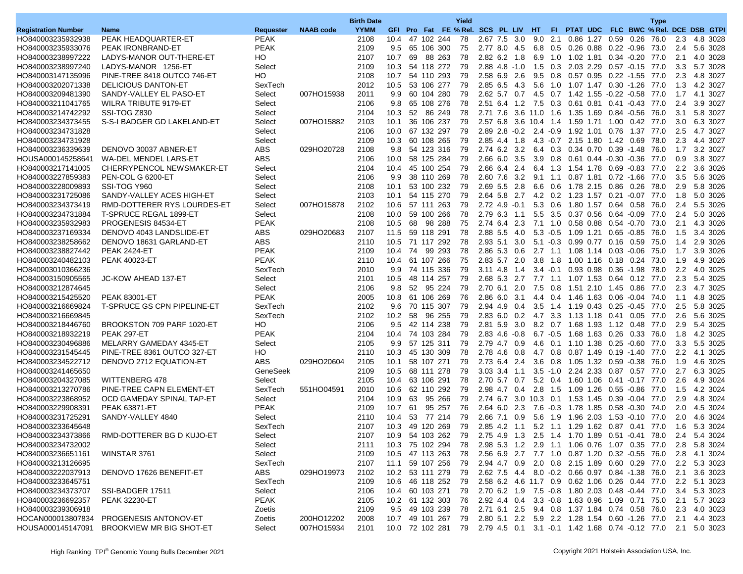|                                        |                                               |                       |                  | <b>Birth Date</b> |                        |    |                          |               | Yield    |                                   |      |     |           |                    |                                                                       | <b>Type</b>  |            |                                                                             |
|----------------------------------------|-----------------------------------------------|-----------------------|------------------|-------------------|------------------------|----|--------------------------|---------------|----------|-----------------------------------|------|-----|-----------|--------------------|-----------------------------------------------------------------------|--------------|------------|-----------------------------------------------------------------------------|
| <b>Registration Number</b>             | Name                                          | Requester             | <b>NAAB</b> code | <b>YYMM</b>       |                        |    |                          |               |          |                                   |      |     |           |                    |                                                                       |              |            | GFI Pro Fat FE % Rel. SCS PL LIV HT FI PTAT UDC FLC BWC % Rel. DCE DSB GTPI |
| HO840003235932938                      | PEAK HEADQUARTER-ET                           | <b>PEAK</b>           |                  | 2108              | 10.4                   |    | 47 102 244               |               | 78       | 2.67 7.5 3.0                      |      | 9.0 |           |                    | 2.1 0.86 1.27 0.59 0.26                                               | 76.0         | 2.3        | 4.8 3028                                                                    |
| HO840003235933076                      | PEAK IRONBRAND-ET                             | <b>PEAK</b>           |                  | 2109              | 9.5                    |    | 65 106 300               |               | 75       | 2.77 8.0 4.5                      |      |     |           |                    | 6.8 0.5 0.26 0.88 0.22 -0.96 73.0                                     |              | 2.4        | 5.6 3028                                                                    |
| HO840003238997222                      | LADYS-MANOR OUT-THERE-ET                      | HО                    |                  | 2107              | 10.7                   | 69 |                          | 88 263        | 78       | 2.82 6.2 1.8                      |      |     |           |                    | 6.9 1.0 1.02 1.81 0.34 -0.20 77.0                                     |              | 2.1        | 4.0 3028                                                                    |
| HO840003238997240                      | LADYS-MANOR 1256-ET                           | Select                |                  | 2109              | 10.3                   |    | 54 118 272               |               | 79       | $2.88$ 4.8 -1.0                   |      |     |           |                    | 1.5 0.3 2.03 2.29 0.57 -0.15 77.0                                     |              | 3.3        | 5.7 3028                                                                    |
| HO840003147135996                      | PINE-TREE 8418 OUTCO 746-ET                   | HO                    |                  | 2108              | 10.7                   |    | 54 110 293               |               | 79       | 2.58 6.9 2.6                      |      |     |           |                    | 9.5 0.8 0.57 0.95 0.22 -1.55 77.0                                     |              | 2.3        | 4.8 3027                                                                    |
| HO840003202071338                      | <b>DELICIOUS DANTON-ET</b>                    | SexTech               |                  | 2012              | 10.5                   |    | 53 106 277               |               | 79       | 2.85 6.5 4.3                      |      | 5.6 |           |                    | 1.0 1.07 1.47 0.30 -1.26                                              | 77.0         | 1.3        | 4.2 3027                                                                    |
| HO840003209481390                      | SANDY-VALLEY EL PASO-ET                       | Select                | 007HO15938       | 2011              | 9.9                    |    | 60 104 280               |               | 79       | $2.62$ 5.7                        | 0.7  |     |           |                    | 4.5 0.7 1.42 1.55 -0.22 -0.58                                         | 77.0         | 1.7        | 4.1 3027                                                                    |
| HO840003211041765                      | WILRA TRIBUTE 9179-ET                         | Select                |                  | 2106              | 9.8                    |    | 65 108 276               |               | 78       | 2.51 6.4 1.2                      |      |     |           |                    | 7.5 0.3 0.61 0.81 0.41 0.43 77.0                                      |              | 2.4        | 3.9 3027                                                                    |
| HO840003214742292                      | SSI-TOG Z830                                  | Select                |                  | 2104              | 10.3                   | 52 |                          | 86 249        | 78       |                                   |      |     |           |                    | 2.71 7.6 3.6 11.0 1.6 1.35 1.69 0.84 -0.56                            | 76.0         | 3.1        | 5.8 3027                                                                    |
| HO840003234373455                      | S-S-I BADGER GD LAKELAND-ET                   | Select                | 007HO15882       | 2103              | 10.1                   |    | 36 106 237               |               | 79       |                                   |      |     |           |                    | 2.57 6.8 3.6 10.4 1.4 1.59 1.71 1.00 0.42 77.0                        |              | 3.0        | 6.3 3027                                                                    |
| HO840003234731828                      |                                               | Select                |                  | 2106              | 10.0                   |    | 67 132 297               |               | 79       |                                   |      |     |           |                    | 2.89 2.8 -0.2 2.4 -0.9 1.92 1.01 0.76 1.37 77.0                       |              | 2.5        | 4.7 3027                                                                    |
| HO840003234731928                      |                                               | Select                |                  | 2109              | 10.3                   |    | 60 108 265               |               | 79       | 2.85 4.4 1.8                      |      |     |           |                    | 4.3 -0.7 2.15 1.80 1.42 0.69                                          | 78.0         | 2.3        | 4.4 3027                                                                    |
| HO840003236339639                      | DENOVO 30037 ABNER-ET                         | ABS.                  | 029HO20728       | 2108              | 9.8                    |    | 54 123 316               |               | 79       | 2.74 6.2 3.2                      |      |     |           |                    | 6.4 0.3 0.34 0.70 0.39 1.48                                           | 76.0         | 1.7        | 3.2 3027                                                                    |
| HOUSA000145258641                      | WA-DEL MENDEL LARS-ET                         | <b>ABS</b>            |                  | 2106              | 10.0                   |    | 58 125 284               |               | 79       | 2.66 6.0 3.5                      |      |     |           |                    | 3.9 0.8 0.61 0.44 -0.30 -0.36 77.0                                    |              | 0.9        | 3.8 3027                                                                    |
| HO840003217141005                      | CHERRYPENCOL NEWSMAKER-ET                     | Select                |                  | 2104              | 10.4                   |    | 45 100 254               |               | 79       | 2.66 6.4                          | 2.4  |     |           |                    | 6.4 1.3 1.54 1.78 0.69 0.83                                           | 77.0         | 2.2        | 3.6 3026                                                                    |
| HO840003227859383                      | PEN-COL G 6200-ET                             | Select                |                  | 2106              | 9.9                    |    | 38 110 269               |               | 78       | 2.60 7.6 3.2                      |      |     |           |                    | 9.1 1.1 0.87 1.81 0.72 1.66                                           | 77.0         | 3.5        | 5.6 3026                                                                    |
| HO840003228009893                      | SSI-TOG Y960                                  | Select                |                  | 2108              | 10.1                   |    | 53 100 232               |               | 79       | 2.69 5.5 2.8                      |      |     |           |                    | 6.6 0.6 1.78 2.15 0.86 0.26                                           | 78.0         | 2.9        | 5.8 3026                                                                    |
| HO840003231725086                      | SANDY-VALLEY ACES HIGH-ET                     | Select                |                  | 2103              | 10.1                   |    | 54 115 270               |               | 79       | 2.64 5.8 2.7                      |      |     |           |                    | 4.2 0.2 1.23 1.57 0.21 -0.07                                          | 77.0         | 1.8        | 5.0 3026                                                                    |
| HO840003234373419                      | RMD-DOTTERER RYS LOURDES-ET                   | Select                | 007HO15878       | 2102              | 10.6                   |    | 57 111 263               |               | 79       | $2.72$ 4.9 $-0.1$                 |      |     |           |                    | 5.3 0.6 1.80 1.57 0.64 0.58 76.0                                      |              | 2.4        | 5.5 3026                                                                    |
| HO840003234731884                      |                                               |                       |                  | 2108              | 10.0                   |    | 59 100 266               |               | 78       | 2.79 6.3 1.1                      |      | 5.5 |           |                    | 3.5 0.37 0.56 0.64 -0.09                                              | 77.0         |            | 5.0 3026                                                                    |
| HO840003235932983                      | T-SPRUCE REGAL 1899-ET<br>PROGENESIS 84534-ET | Select<br><b>PEAK</b> |                  | 2108              | 10.5                   | 68 |                          | 98 288        | 75       | 2.74 6.4 2.3                      |      |     |           |                    | 7.1 1.0 0.58 0.88 0.54 0.70                                           | 73.0         | 2.4<br>2.1 | 4.3 3026                                                                    |
|                                        | DENOVO 4043 LANDSLIDE-ET                      |                       |                  |                   |                        |    |                          |               |          |                                   |      |     |           |                    |                                                                       |              |            |                                                                             |
| HO840003237169334                      |                                               | ABS<br><b>ABS</b>     | 029HO20683       | 2107<br>2110      | 11.5                   |    | 59 118 291<br>71 117 292 |               | 78<br>78 | 2.88 5.5 4.0                      |      |     |           |                    | 5.3 -0.5 1.09 1.21 0.65 -0.85                                         | 76.0<br>75.0 | 1.5        | 3.4 3026<br>2.9 3026                                                        |
| HO840003238258662                      | DENOVO 18631 GARLAND-ET                       | <b>PEAK</b>           |                  | 2109              | 10.5<br>10.4           | 74 |                          | 99 293        |          | 2.93 5.1 3.0                      |      | 5.1 |           |                    | $-0.3$ 0.99 0.77 0.16 0.59                                            | 75.0         | 1.4        | 3.9 3026                                                                    |
| HO840003238827442                      | <b>PEAK 2424-ET</b>                           | <b>PEAK</b>           |                  |                   |                        |    |                          |               | 78<br>75 | 2.86 5.3 0.6                      |      |     | $2.7$ 1.1 |                    | 1.08 1.14 0.03 -0.06<br>3.8 1.8 1.00 1.16 0.18 0.24 73.0              |              | 1.7        |                                                                             |
| HO840003240482103                      | <b>PEAK 40023-ET</b>                          |                       |                  | 2110              | 10.4 61 107 266        |    |                          |               | 79       | 2.83 5.7 2.0                      |      |     |           |                    |                                                                       | 78.0         | 1.9        | 4.9 3026<br>4.0 3025                                                        |
| HO840003010366236                      |                                               | SexTech               |                  | 2010              | 9.9                    |    | 74 115 336               |               |          | $3.11$ 4.8                        | 1.4  |     |           |                    | 3.4 -0.1 0.93 0.98 0.36 -1.98                                         |              | 2.2        | 5.4 3025                                                                    |
| HO840003150905565                      | JC-KOW AHEAD 137-ET                           | Select                |                  | 2101              | 10.5                   |    | 48 114 257               |               | 79       | 2.68 5.3 2.7                      |      |     |           |                    | 7.7 1.1 1.07 1.53 0.64 0.12 77.0                                      |              | 2.3        | 4.7 3025                                                                    |
| HO840003212874645<br>HO840003215425520 |                                               | Select<br><b>PEAK</b> |                  | 2106              | 9.8<br>10.8            |    | 52 95 224<br>61 106 269  |               | 79<br>76 | 2.70 6.1 2.0                      |      |     |           |                    | 7.5 0.8 1.51 2.10 1.45 0.86 77.0                                      |              | 2.3        | 4.8 3025                                                                    |
|                                        | <b>PEAK 83001-ET</b>                          |                       |                  | 2005              |                        |    |                          |               |          | 2.86 6.0                          | -3.1 |     |           |                    | 4.4 0.4 1.46 1.63 0.06 0.04                                           | 74.0         | 1.1        |                                                                             |
| HO840003216669824                      | <b>T-SPRUCE GS CPN PIPELINE-ET</b>            | SexTech               |                  | 2102              | 9.6                    |    | 70 115 307               |               | 79       | 2.94 4.9 0.4                      |      |     |           |                    | 3.5 1.4 1.19 0.43 0.25 0.45                                           | 77.0         | 2.5        | 5.8 3025                                                                    |
| HO840003216669845                      |                                               | SexTech<br>HO         |                  | 2102              | 10.2                   | 58 |                          | 96 255        | 79       | 2.83 6.0 0.2                      |      |     |           |                    | 4.7 3.3 1.13 1.18 0.41 0.05                                           | 77.0         | 2.6        | 5.6 3025<br>5.4 3025                                                        |
| HO840003218446760<br>HO840003218932219 | BROOKSTON 709 PARF 1020-ET<br>PEAK 297-ET     | <b>PEAK</b>           |                  | 2106<br>2104      | 9.5<br>10.4 74 103 284 |    | 42 114 238               |               | 79<br>79 | 2.81 5.9 3.0<br>$2.83$ 4.6 $-0.8$ |      |     |           |                    | 8.2 0.7 1.68 1.93 1.12 0.48<br>6.7 -0.5 1.68 1.63 0.26 0.33 76.0      | 77.0         | 2.9<br>1.8 | 4.2 3025                                                                    |
|                                        |                                               |                       |                  |                   |                        |    |                          |               |          |                                   |      |     |           |                    |                                                                       |              |            |                                                                             |
| HO840003230496886                      | MELARRY GAMEDAY 4345-ET                       | Select<br>HO          |                  | 2105              | 9.9                    |    | 57 125 311               |               | 79<br>78 | 2.79 4.7 0.9                      |      | 4.6 |           |                    | 0.1 1.10 1.38 0.25 0.60                                               | 77.0         | 3.3        | 5.5 3025                                                                    |
| HO840003231545445                      | PINE-TREE 8361 OUTCO 327-ET                   | ABS.                  |                  | 2110              | 10.3                   |    | 45 130 309<br>58 107 271 |               | 79       | 2.78 4.6 0.8                      |      |     |           |                    | 4.7 0.8 0.87 1.49 0.19 1.40                                           | 77.0         | 2.2        | 4.1 3025<br>4.6 3025                                                        |
| HO840003234522712<br>HO840003241465650 | DENOVO 2712 EQUATION-ET                       | GeneSeek              | 029HO20604       | 2105<br>2109      | 10.1<br>10.5           |    | 68 111 278               |               | 79       | 2.73 6.4 2.4<br>3.03 3.4 1.1      |      |     |           |                    | 3.6 0.8 1.05 1.32 0.59 0.38 76.0<br>3.5 -1.0 2.24 2.33 0.87 0.57 77.0 |              | 1.9<br>2.7 | 6.3 3025                                                                    |
| HO840003204327085                      | <b>WITTENBERG 478</b>                         | Select                |                  | 2105              | 10.4                   |    | 63 106 291               |               | 78       | 2.70 5.7 0.7                      |      |     |           |                    | 5.2 0.4 1.60 1.06 0.41 -0.17 77.0                                     |              | 2.6        | 4.9 3024                                                                    |
| HO840003213270786                      |                                               |                       |                  |                   |                        |    |                          |               | 79       | 2.98 4.7 0.4                      |      |     |           |                    |                                                                       |              |            |                                                                             |
|                                        | PINE-TREE CAPN ELEMENT-ET                     | SexTech               | 551HO04591       | 2010<br>2104      | 10.6<br>10.9           | 63 | 62 110 292               | 95 266        | 79       |                                   |      |     |           |                    | 2.8 1.5 1.09 1.26 0.55 -0.86 77.0<br>$0.39 - 0.04$                    |              | 1.5        | 4.2 3024<br>4.8 3024                                                        |
| HO840003223868952                      | OCD GAMEDAY SPINAL TAP-ET                     | Select                |                  |                   |                        |    |                          |               |          | 2.74 6.7                          | 3.0  |     |           | 10.3 0.1 1.53 1.45 |                                                                       | 77.0         | 2.9        |                                                                             |
| HO840003229908391                      | <b>PEAK 63871-ET</b>                          | <b>PEAK</b>           |                  | 2109              | 10.7                   | 61 |                          | 95 257        | 76       | 2.64 6.0 2.3                      |      | 7.6 |           |                    | $-0.3$ 1.78 1.85 0.58 $-0.30$ 74.0                                    |              | 2.0        | 4.5 3024                                                                    |
| HO840003231725291                      | SANDY-VALLEY 4840                             | Select                |                  | 2110              | 10.4                   |    | 53 77 214                |               | 79       | 2.66 7.1 0.9                      |      |     |           |                    | 5.6 1.9 1.96 2.03 1.53 -0.10 77.0                                     |              | 2.0        | 4.6 3024                                                                    |
| HO840003233645648                      |                                               | SexTech               |                  | 2107              | 10.3                   |    | 49 120 269               |               | 79       | $2.85$ 4.2 1.1                    |      |     |           |                    | 5.2 1.1 1.29 1.62 0.87 0.41 77.0                                      |              | 1.6        | 5.3 3024                                                                    |
| HO840003234373866                      | RMD-DOTTERER BG D KUJO-ET                     | Select                |                  | 2107              | 10.9                   |    |                          | 54 103 262 79 |          |                                   |      |     |           |                    | 2.75 4.9 1.3 2.5 1.4 1.70 1.89 0.51 0.41 78.0 2.4                     |              |            | 5.4 3024                                                                    |
| HO840003234732002                      |                                               | Select                |                  | 2111              | 10.3 75 102 294        |    |                          |               | 78       |                                   |      |     |           |                    | 2.98 5.3 1.2 2.9 1.1 1.06 0.76 1.07 0.35 77.0                         |              | 2.8        | 5.8 3024                                                                    |
| HO840003236651161                      | WINSTAR 3761                                  | Select                |                  | 2109              | 10.5                   |    | 47 113 263               |               | 78       | 2.56 6.9 2.7                      |      |     |           |                    | 7.7 1.0 0.87 1.20 0.32 -0.55 76.0                                     |              | 2.8        | 4.1 3024                                                                    |
| HO840003213126695                      |                                               | SexTech               |                  | 2107              | 11.1 59 107 256        |    |                          |               | 79       |                                   |      |     |           |                    | 2.94 4.7 0.9 2.0 0.8 2.15 1.89 0.60 0.29 77.0                         |              |            | 2.2 5.3 3023                                                                |
| HO840003222037913                      | DENOVO 17626 BENEFIT-ET                       | ABS                   | 029HO19973       | 2102              | 10.2 53 111 279        |    |                          |               | 79       |                                   |      |     |           |                    | 2.62 7.5 4.4 8.0 0.2 0.66 0.97 0.84 -1.38 76.0                        |              | 2.1        | 3.6 3023                                                                    |
| HO840003233645751                      |                                               | SexTech               |                  | 2109              | 10.6 46 118 252        |    |                          |               | 79       |                                   |      |     |           |                    | 2.58 6.2 4.6 11.7 0.9 0.62 1.06 0.26 0.44 77.0                        |              |            | 2.2 5.1 3023                                                                |
| HO840003234373707                      | SSI-BADGER 17511                              | Select                |                  | 2106              | 10.4 60 103 271        |    |                          |               | 79       |                                   |      |     |           |                    | 2.70 6.2 1.9 7.5 -0.8 1.80 2.03 0.48 -0.44 77.0                       |              |            | 3.4 5.3 3023                                                                |
| HO840003236692357                      | <b>PEAK 32230-ET</b>                          | <b>PEAK</b>           |                  | 2105              | 10.2 61 132 303        |    |                          |               | 76       |                                   |      |     |           |                    | 2.92 4.4 0.4 3.3 -0.8 1.63 0.96 1.09 0.71 75.0                        |              | 2.1        | 5.7 3023                                                                    |
| HO840003239306918                      |                                               | Zoetis                |                  | 2109              |                        |    | 9.5 49 103 239           |               | 78       | 2.71 6.1 2.5                      |      |     |           |                    | 9.4 0.8 1.37 1.84 0.74 0.58 76.0                                      |              |            | 2.3 4.0 3023                                                                |
| HOCAN000013807834                      | PROGENESIS ANTONOV-ET                         | Zoetis                | 200HO12202       | 2008              | 10.7 49 101 267        |    |                          |               | 79       |                                   |      |     |           |                    |                                                                       |              |            | 2.80 5.1 2.2 5.9 2.2 1.28 1.54 0.60 -1.26 77.0 2.1 4.4 3023                 |
| HOUSA000145147091                      | BROOKVIEW MR BIG SHOT-ET                      | Select                | 007HO15934       | 2101              | 10.0 72 102 281        |    |                          |               | 79       |                                   |      |     |           |                    | 2.79 4.5 0.1 3.1 -0.1 1.42 1.68 0.74 -0.12 77.0                       |              |            | 2.1 5.0 3023                                                                |